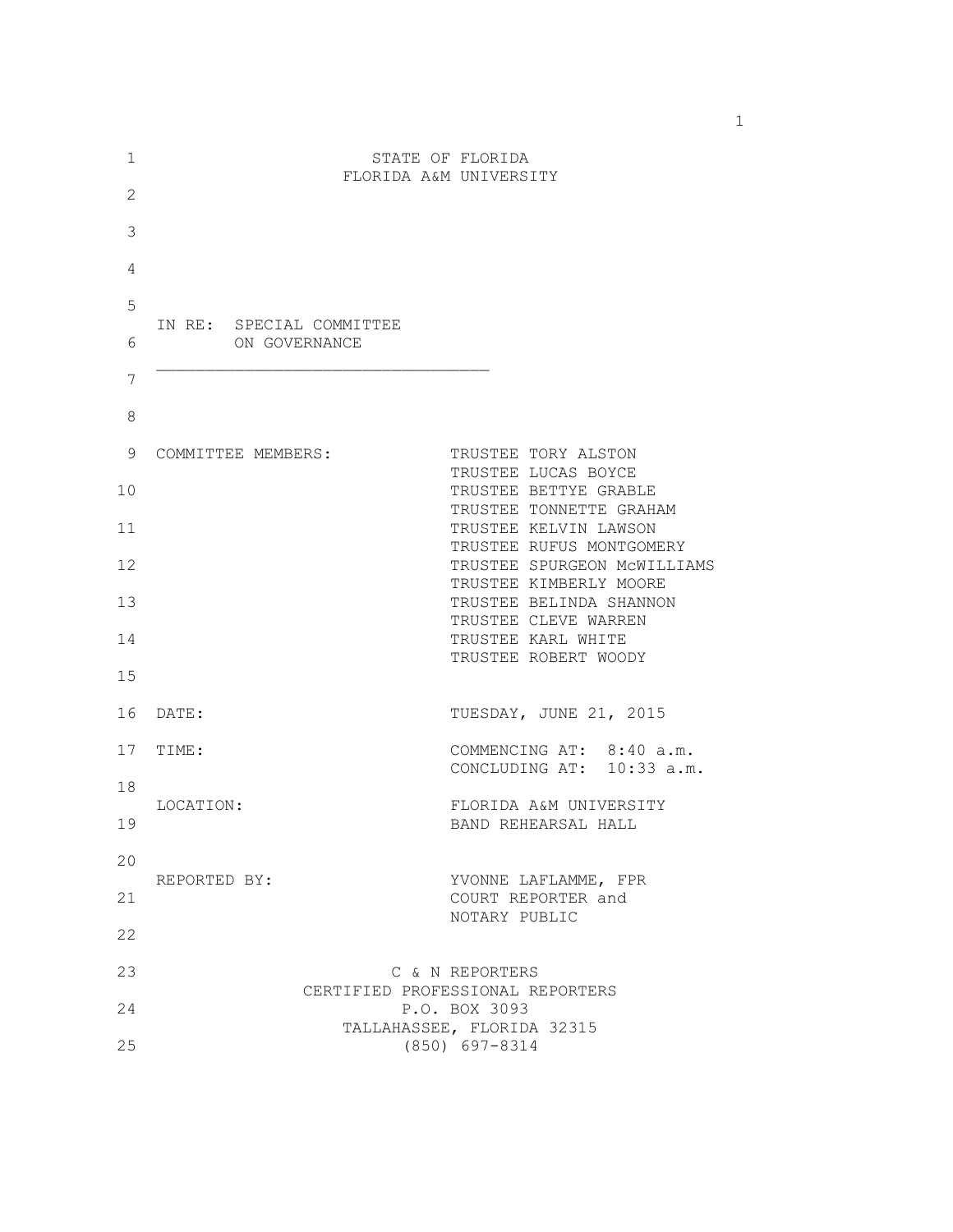| $\mathbf 1$ | STATE OF FLORIDA<br>FLORIDA A&M UNIVERSITY |                                                                         |
|-------------|--------------------------------------------|-------------------------------------------------------------------------|
| 2           |                                            |                                                                         |
| 3           |                                            |                                                                         |
| 4           |                                            |                                                                         |
| 5           | IN RE: SPECIAL COMMITTEE                   |                                                                         |
| 6           | ON GOVERNANCE                              |                                                                         |
| 7           |                                            |                                                                         |
| 8           |                                            |                                                                         |
| 9           | COMMITTEE MEMBERS:                         | TRUSTEE TORY ALSTON                                                     |
| 10          |                                            | TRUSTEE LUCAS BOYCE<br>TRUSTEE BETTYE GRABLE<br>TRUSTEE TONNETTE GRAHAM |
| 11          |                                            | TRUSTEE KELVIN LAWSON<br>TRUSTEE RUFUS MONTGOMERY                       |
| 12          |                                            | TRUSTEE SPURGEON MCWILLIAMS<br>TRUSTEE KIMBERLY MOORE                   |
| 13          |                                            | TRUSTEE BELINDA SHANNON<br>TRUSTEE CLEVE WARREN                         |
| 14          |                                            | TRUSTEE KARL WHITE<br>TRUSTEE ROBERT WOODY                              |
| 15          |                                            |                                                                         |
| 16          | DATE:                                      | TUESDAY, JUNE 21, 2015                                                  |
| 17          | TIME:                                      | COMMENCING AT: 8:40 a.m.<br>CONCLUDING AT: 10:33 a.m.                   |
| 18          | LOCATION:                                  | FLORIDA A&M UNIVERSITY                                                  |
| 19          |                                            | BAND REHEARSAL HALL                                                     |
| 20          | REPORTED BY:                               | YVONNE LAFLAMME, FPR                                                    |
| 21          |                                            | COURT REPORTER and<br>NOTARY PUBLIC                                     |
| 22          |                                            |                                                                         |
| 23          |                                            | C & N REPORTERS<br>CERTIFIED PROFESSIONAL REPORTERS                     |
| 24          |                                            | P.O. BOX 3093<br>TALLAHASSEE, FLORIDA 32315                             |
| 25          |                                            | (850) 697-8314                                                          |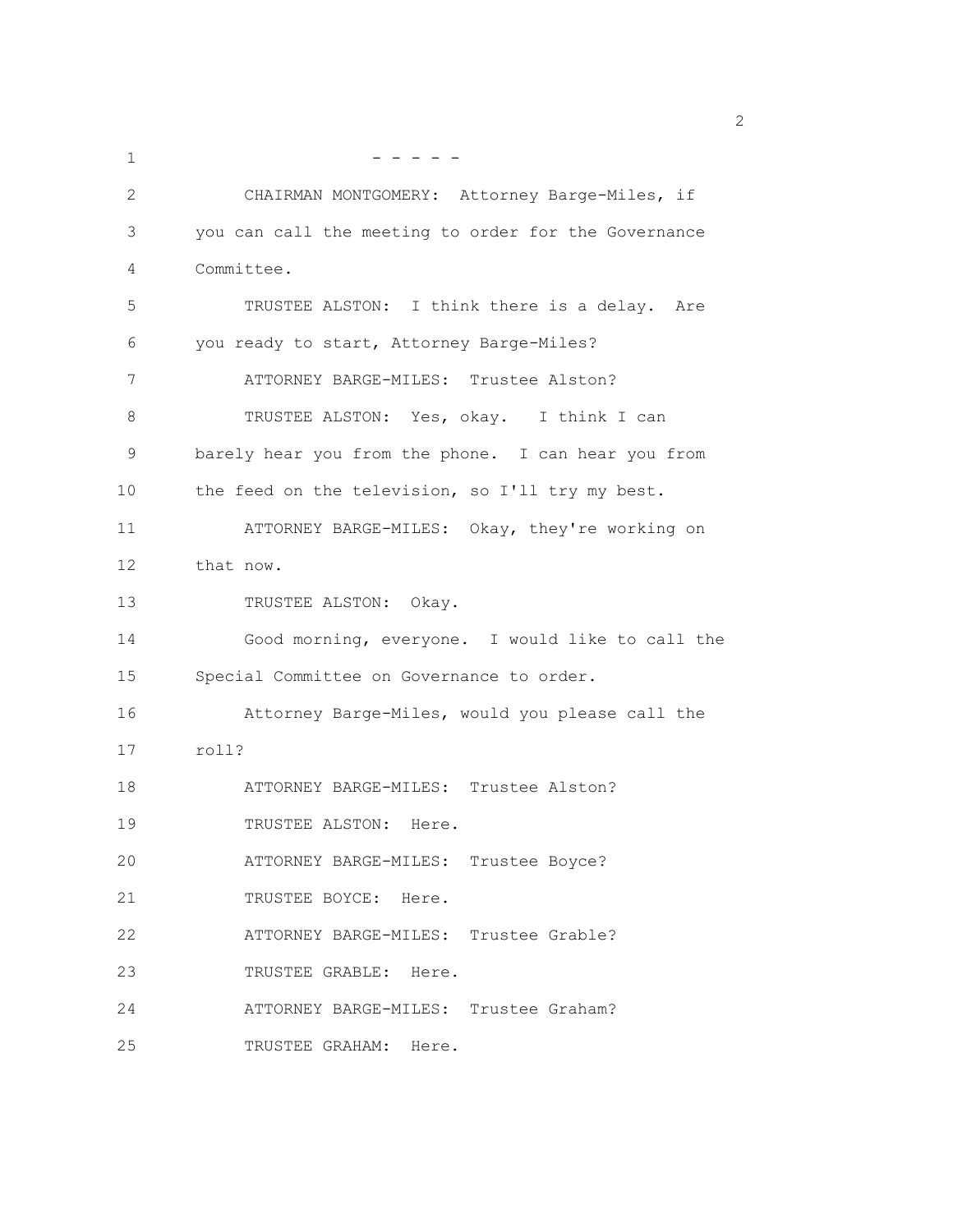| 1  |                                                      |
|----|------------------------------------------------------|
| 2  | CHAIRMAN MONTGOMERY: Attorney Barge-Miles, if        |
| 3  | you can call the meeting to order for the Governance |
| 4  | Committee.                                           |
| 5  | TRUSTEE ALSTON: I think there is a delay.<br>Are     |
| 6  | you ready to start, Attorney Barge-Miles?            |
| 7  | ATTORNEY BARGE-MILES: Trustee Alston?                |
| 8  | TRUSTEE ALSTON: Yes, okay. I think I can             |
| 9  | barely hear you from the phone. I can hear you from  |
| 10 | the feed on the television, so I'll try my best.     |
| 11 | ATTORNEY BARGE-MILES: Okay, they're working on       |
| 12 | that now.                                            |
| 13 | TRUSTEE ALSTON: Okay.                                |
| 14 | Good morning, everyone. I would like to call the     |
| 15 | Special Committee on Governance to order.            |
| 16 | Attorney Barge-Miles, would you please call the      |
| 17 | roll?                                                |
| 18 | ATTORNEY BARGE-MILES: Trustee Alston?                |
| 19 | TRUSTEE ALSTON: Here.                                |
| 20 | ATTORNEY BARGE-MILES: Trustee Boyce?                 |
| 21 | TRUSTEE BOYCE: Here.                                 |
| 22 | ATTORNEY BARGE-MILES: Trustee Grable?                |
| 23 | TRUSTEE GRABLE: Here.                                |
| 24 | ATTORNEY BARGE-MILES: Trustee Graham?                |
| 25 | TRUSTEE GRAHAM: Here.                                |

 $\sim$  2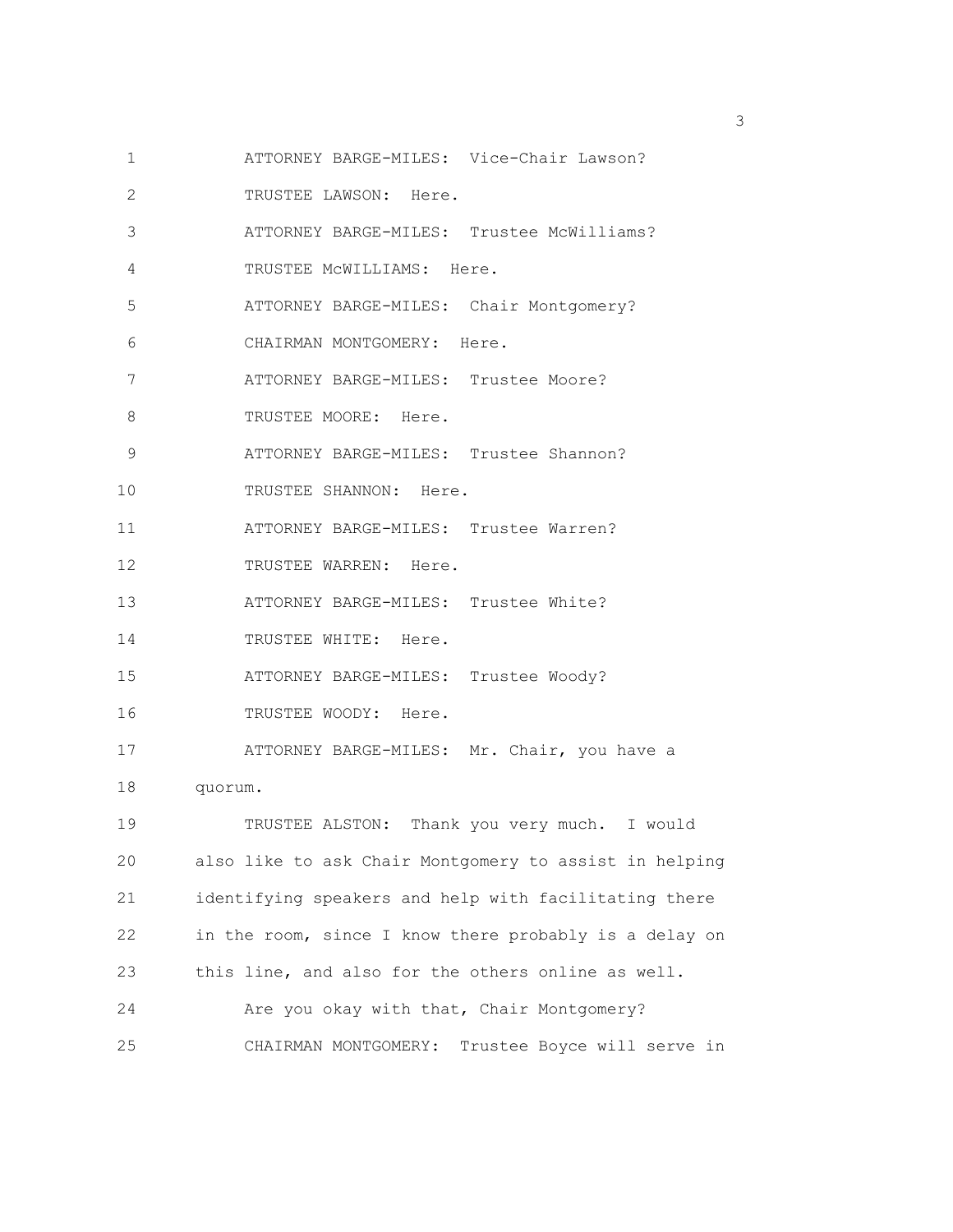- 1 ATTORNEY BARGE-MILES: Vice-Chair Lawson?
- 2 TRUSTEE LAWSON: Here.
- 3 ATTORNEY BARGE-MILES: Trustee McWilliams?
- 4 TRUSTEE McWILLIAMS: Here.
- 5 ATTORNEY BARGE-MILES: Chair Montgomery?
- 6 CHAIRMAN MONTGOMERY: Here.
- 7 ATTORNEY BARGE-MILES: Trustee Moore?
- 8 TRUSTEE MOORE: Here.
- 9 ATTORNEY BARGE-MILES: Trustee Shannon?
- 10 TRUSTEE SHANNON: Here.
- 11 ATTORNEY BARGE-MILES: Trustee Warren?
- 12 TRUSTEE WARREN: Here.
- 13 ATTORNEY BARGE-MILES: Trustee White?
- 14 TRUSTEE WHITE: Here.
- 15 ATTORNEY BARGE-MILES: Trustee Woody?
- 16 TRUSTEE WOODY: Here.
- 17 ATTORNEY BARGE-MILES: Mr. Chair, you have a
- 18 quorum.

19 TRUSTEE ALSTON: Thank you very much. I would 20 also like to ask Chair Montgomery to assist in helping 21 identifying speakers and help with facilitating there 22 in the room, since I know there probably is a delay on 23 this line, and also for the others online as well. 24 Are you okay with that, Chair Montgomery? 25 CHAIRMAN MONTGOMERY: Trustee Boyce will serve in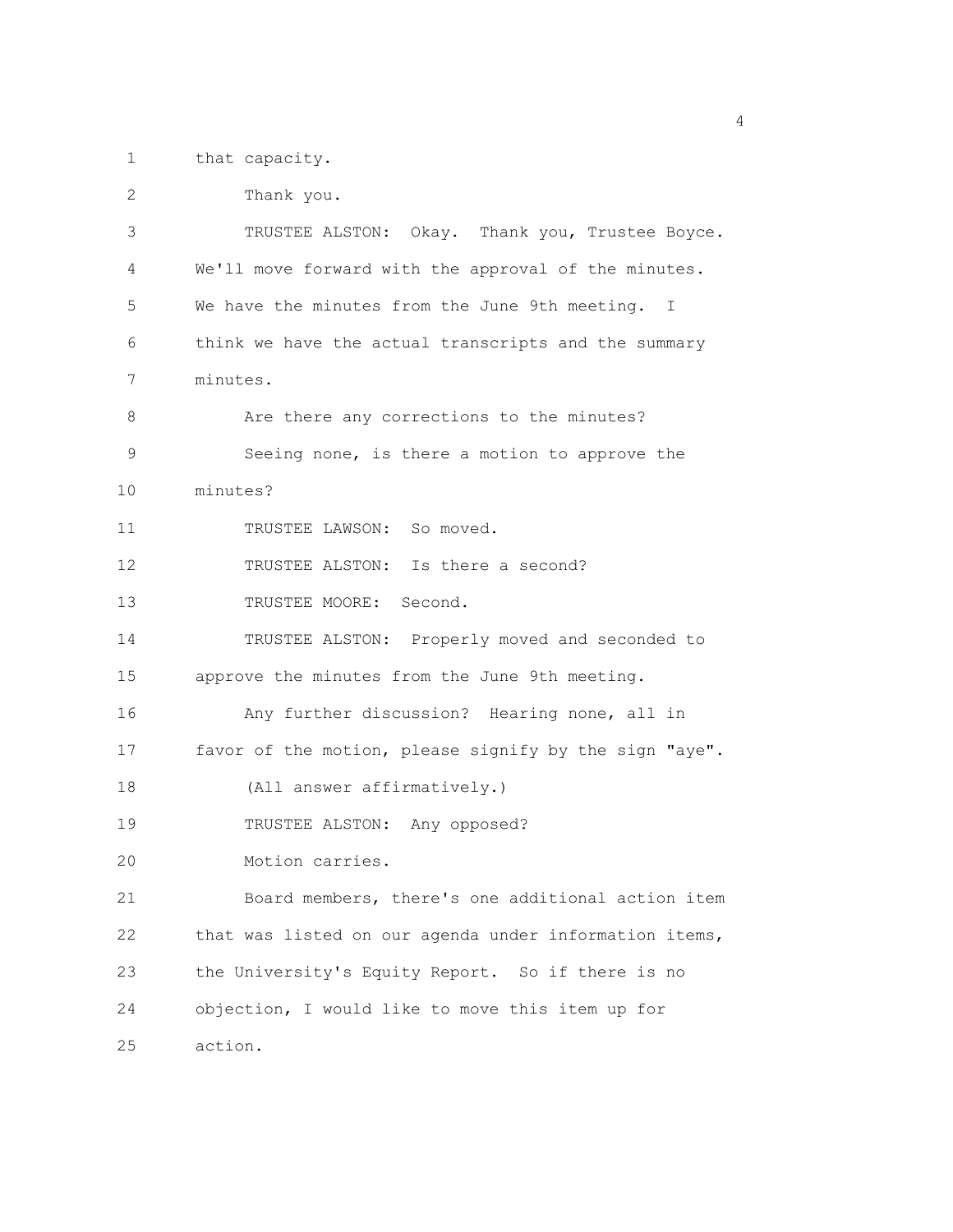1 that capacity.

| 2  | Thank you.                                             |  |
|----|--------------------------------------------------------|--|
| 3  | TRUSTEE ALSTON: Okay. Thank you, Trustee Boyce.        |  |
| 4  | We'll move forward with the approval of the minutes.   |  |
| 5  | We have the minutes from the June 9th meeting. I       |  |
| 6  | think we have the actual transcripts and the summary   |  |
| 7  | minutes.                                               |  |
| 8  | Are there any corrections to the minutes?              |  |
| 9  | Seeing none, is there a motion to approve the          |  |
| 10 | minutes?                                               |  |
| 11 | TRUSTEE LAWSON: So moved.                              |  |
| 12 | TRUSTEE ALSTON: Is there a second?                     |  |
| 13 | TRUSTEE MOORE: Second.                                 |  |
| 14 | TRUSTEE ALSTON: Properly moved and seconded to         |  |
| 15 | approve the minutes from the June 9th meeting.         |  |
| 16 | Any further discussion? Hearing none, all in           |  |
| 17 | favor of the motion, please signify by the sign "aye". |  |
| 18 | (All answer affirmatively.)                            |  |
| 19 | TRUSTEE ALSTON: Any opposed?                           |  |
| 20 | Motion carries.                                        |  |
| 21 | Board members, there's one additional action item      |  |
| 22 | that was listed on our agenda under information items, |  |
| 23 | the University's Equity Report. So if there is no      |  |
| 24 | objection, I would like to move this item up for       |  |
| 25 | action.                                                |  |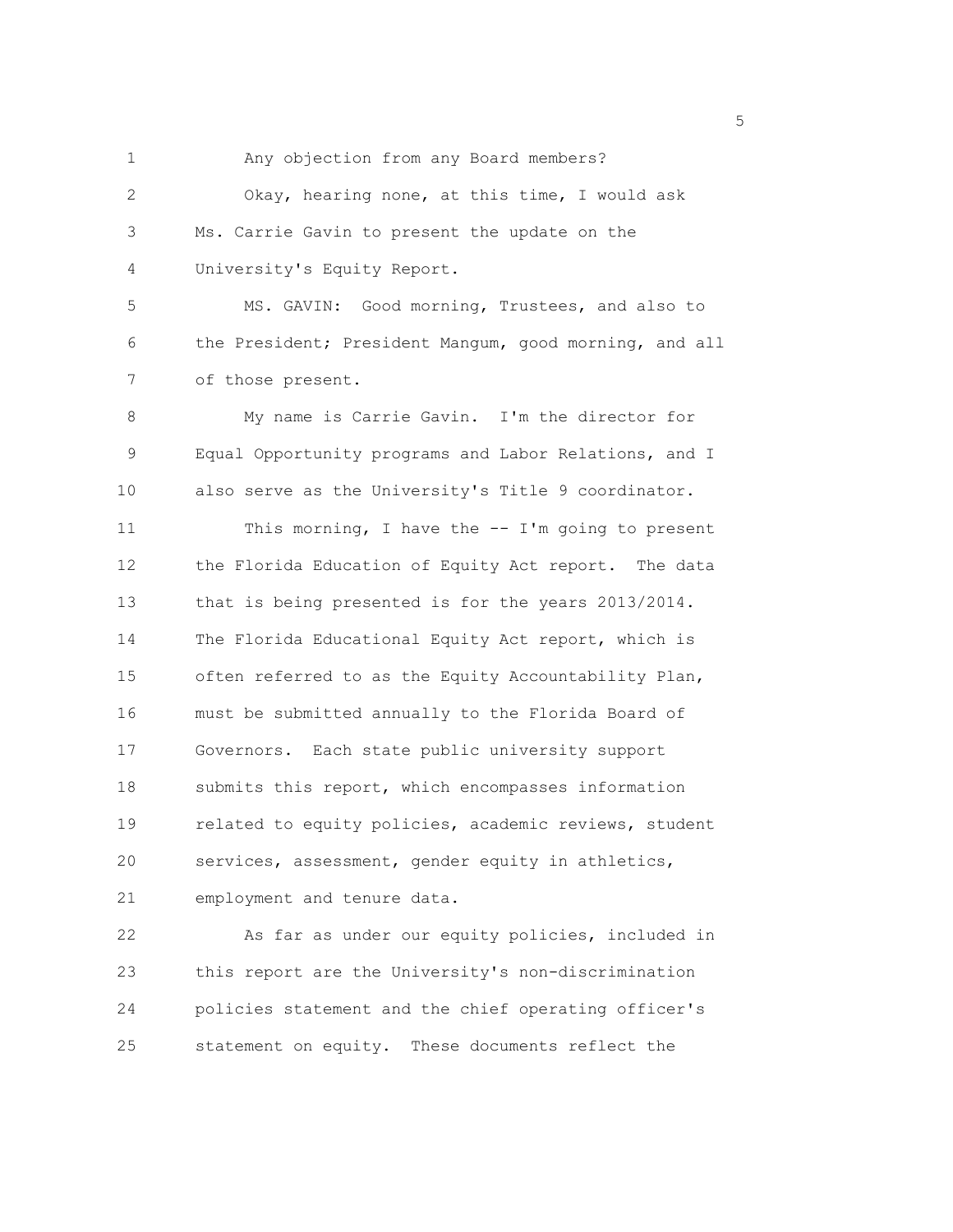1 Any objection from any Board members? 2 Okay, hearing none, at this time, I would ask 3 Ms. Carrie Gavin to present the update on the 4 University's Equity Report. 5 MS. GAVIN: Good morning, Trustees, and also to 6 the President; President Mangum, good morning, and all 7 of those present. 8 My name is Carrie Gavin. I'm the director for 9 Equal Opportunity programs and Labor Relations, and I 10 also serve as the University's Title 9 coordinator. 11 This morning, I have the -- I'm going to present 12 the Florida Education of Equity Act report. The data 13 that is being presented is for the years 2013/2014. 14 The Florida Educational Equity Act report, which is 15 often referred to as the Equity Accountability Plan, 16 must be submitted annually to the Florida Board of 17 Governors. Each state public university support 18 submits this report, which encompasses information 19 related to equity policies, academic reviews, student 20 services, assessment, gender equity in athletics, 21 employment and tenure data.

22 As far as under our equity policies, included in 23 this report are the University's non-discrimination 24 policies statement and the chief operating officer's 25 statement on equity. These documents reflect the

<u>5</u> September 2005 and 2006 and 2007 and 2007 and 2008 and 2007 and 2008 and 2008 and 2008 and 2008 and 2008 and 2008 and 2008 and 2008 and 2008 and 2008 and 2008 and 2008 and 2008 and 2008 and 2008 and 2008 and 2008 and 2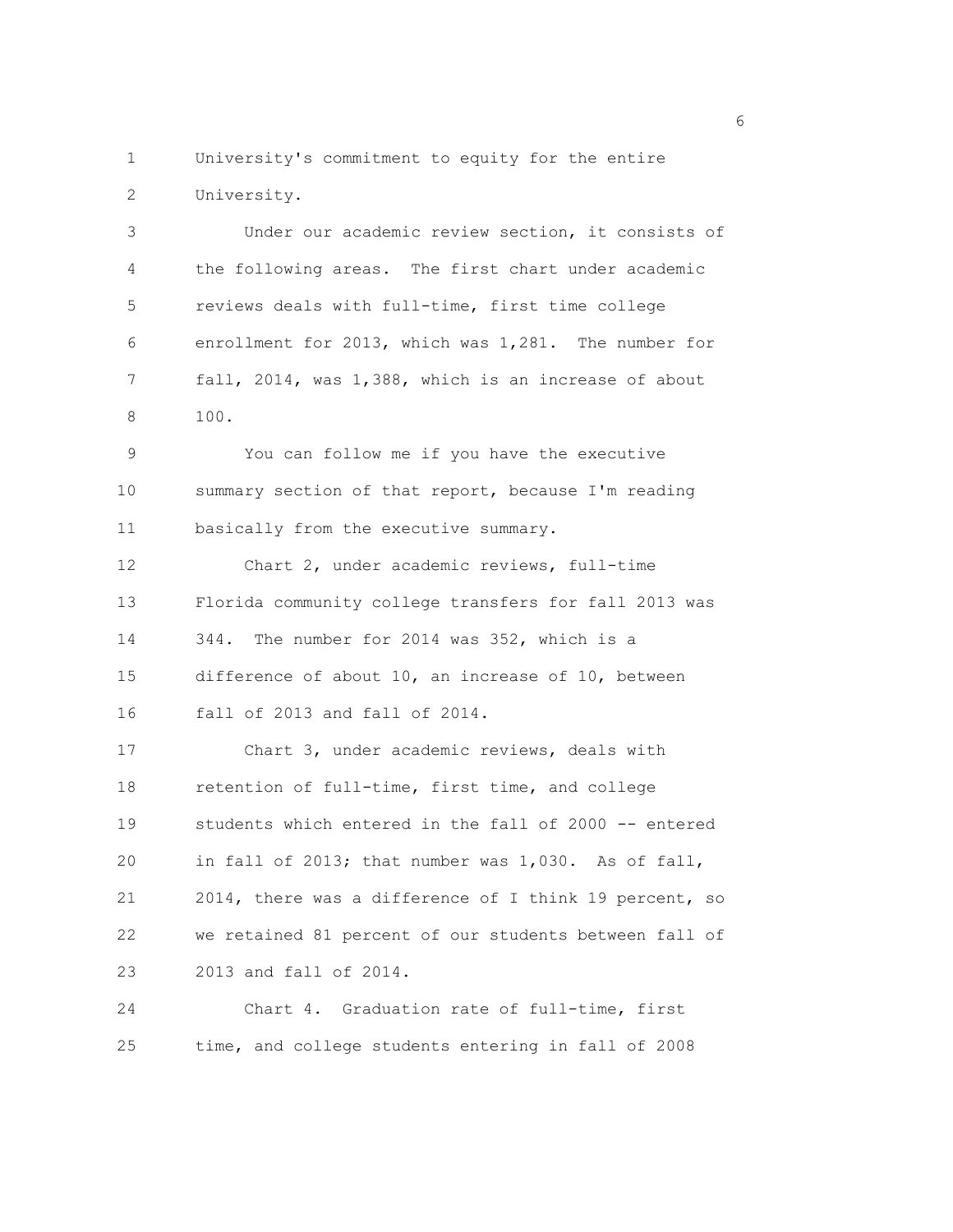1 University's commitment to equity for the entire 2 University.

3 Under our academic review section, it consists of 4 the following areas. The first chart under academic 5 reviews deals with full-time, first time college 6 enrollment for 2013, which was 1,281. The number for 7 fall, 2014, was 1,388, which is an increase of about 8 100.

9 You can follow me if you have the executive 10 summary section of that report, because I'm reading 11 basically from the executive summary.

12 Chart 2, under academic reviews, full-time 13 Florida community college transfers for fall 2013 was 14 344. The number for 2014 was 352, which is a 15 difference of about 10, an increase of 10, between

16 fall of 2013 and fall of 2014.

17 Chart 3, under academic reviews, deals with 18 retention of full-time, first time, and college 19 students which entered in the fall of 2000 -- entered 20 in fall of 2013; that number was 1,030. As of fall, 21 2014, there was a difference of I think 19 percent, so 22 we retained 81 percent of our students between fall of 23 2013 and fall of 2014.

24 Chart 4. Graduation rate of full-time, first 25 time, and college students entering in fall of 2008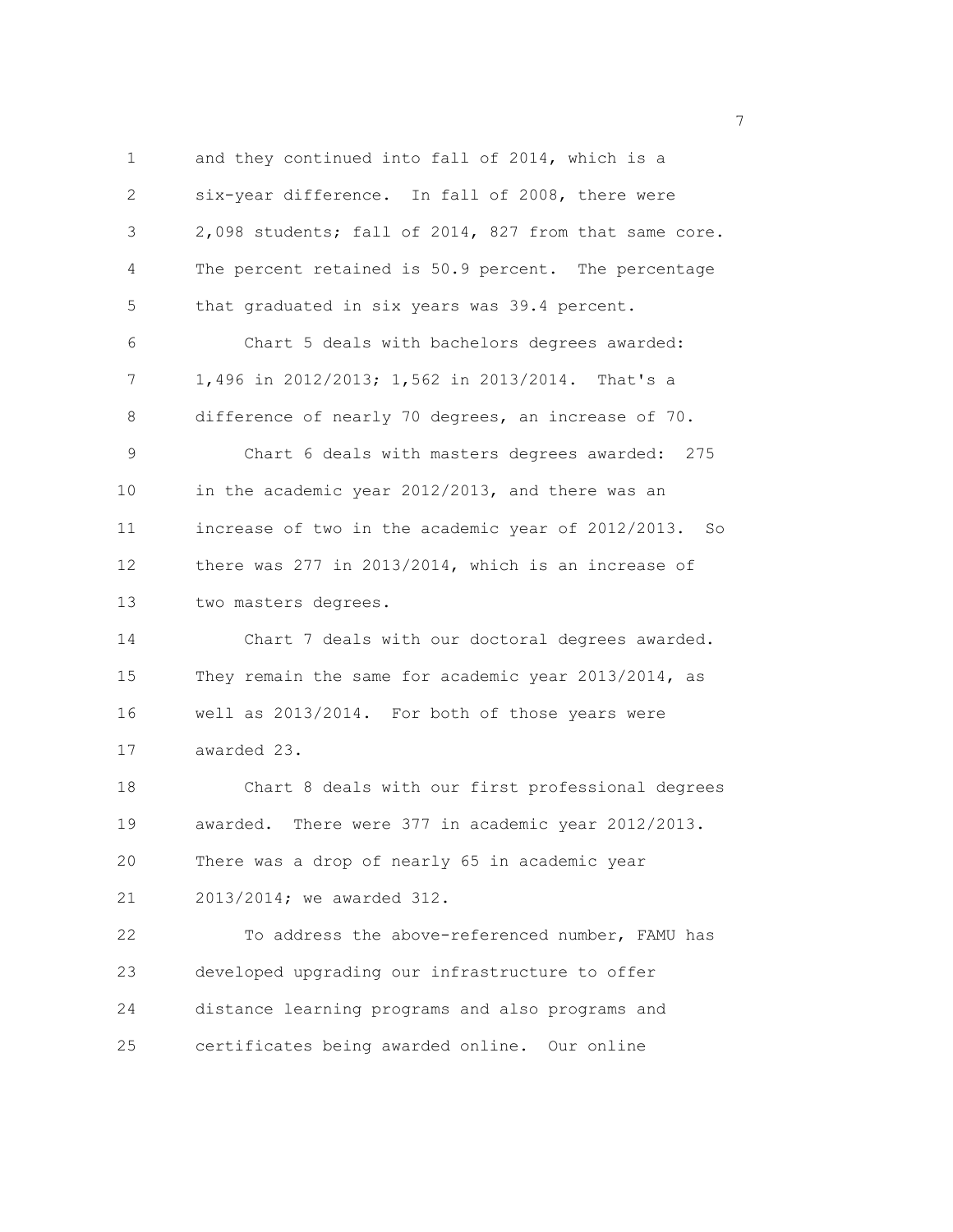1 and they continued into fall of 2014, which is a 2 six-year difference. In fall of 2008, there were 3 2,098 students; fall of 2014, 827 from that same core. 4 The percent retained is 50.9 percent. The percentage 5 that graduated in six years was 39.4 percent. 6 Chart 5 deals with bachelors degrees awarded: 7 1,496 in 2012/2013; 1,562 in 2013/2014. That's a 8 difference of nearly 70 degrees, an increase of 70. 9 Chart 6 deals with masters degrees awarded: 275 10 in the academic year 2012/2013, and there was an 11 increase of two in the academic year of 2012/2013. So 12 there was 277 in 2013/2014, which is an increase of 13 two masters degrees. 14 Chart 7 deals with our doctoral degrees awarded. 15 They remain the same for academic year 2013/2014, as 16 well as 2013/2014. For both of those years were 17 awarded 23. 18 Chart 8 deals with our first professional degrees 19 awarded. There were 377 in academic year 2012/2013. 20 There was a drop of nearly 65 in academic year 21 2013/2014; we awarded 312. 22 To address the above-referenced number, FAMU has 23 developed upgrading our infrastructure to offer 24 distance learning programs and also programs and 25 certificates being awarded online. Our online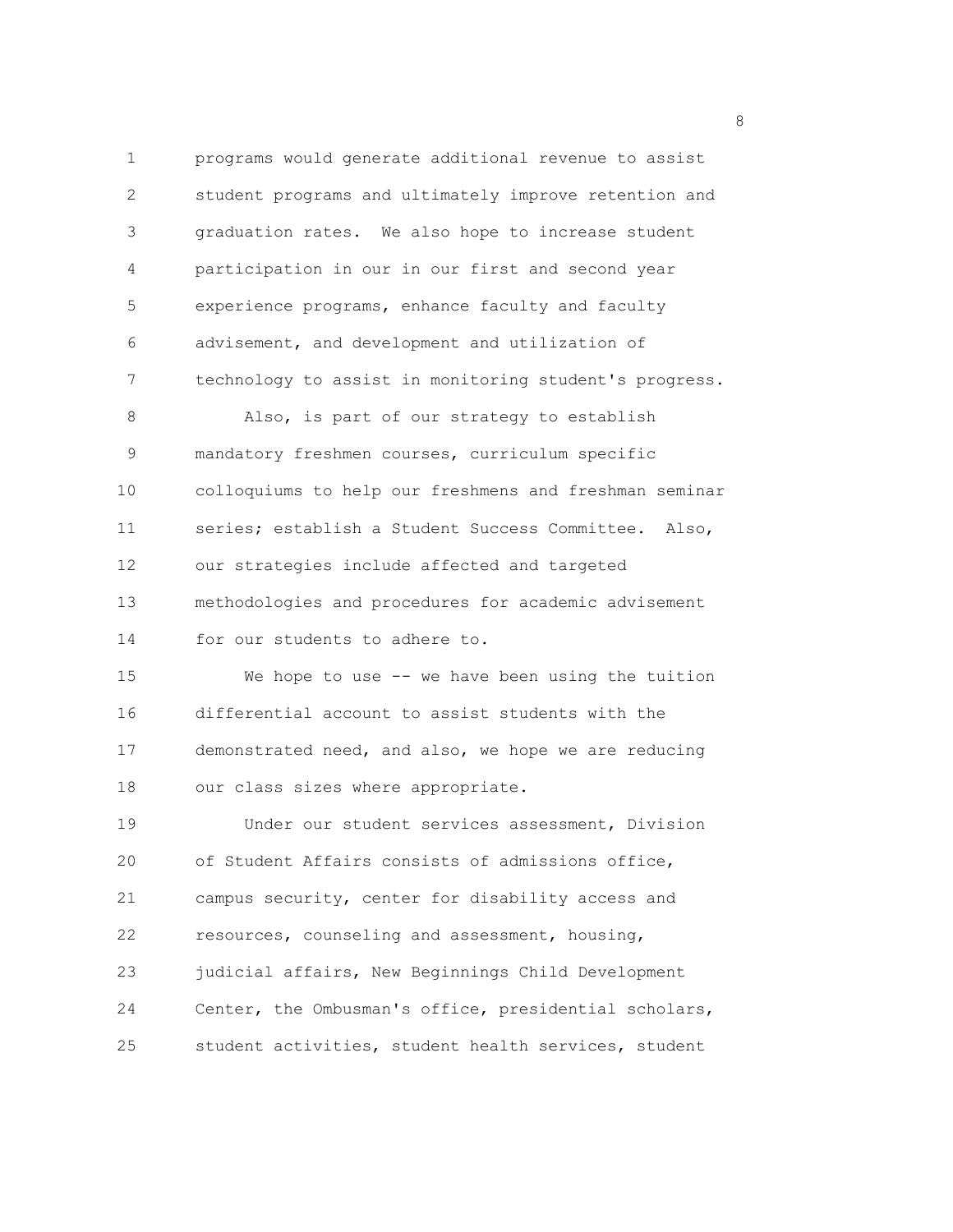1 programs would generate additional revenue to assist 2 student programs and ultimately improve retention and 3 graduation rates. We also hope to increase student 4 participation in our in our first and second year 5 experience programs, enhance faculty and faculty 6 advisement, and development and utilization of 7 technology to assist in monitoring student's progress. 8 Also, is part of our strategy to establish 9 mandatory freshmen courses, curriculum specific 10 colloquiums to help our freshmens and freshman seminar 11 series; establish a Student Success Committee. Also, 12 our strategies include affected and targeted 13 methodologies and procedures for academic advisement 14 for our students to adhere to. 15 We hope to use -- we have been using the tuition 16 differential account to assist students with the 17 demonstrated need, and also, we hope we are reducing 18 our class sizes where appropriate. 19 Under our student services assessment, Division 20 of Student Affairs consists of admissions office, 21 campus security, center for disability access and 22 resources, counseling and assessment, housing, 23 judicial affairs, New Beginnings Child Development 24 Center, the Ombusman's office, presidential scholars, 25 student activities, student health services, student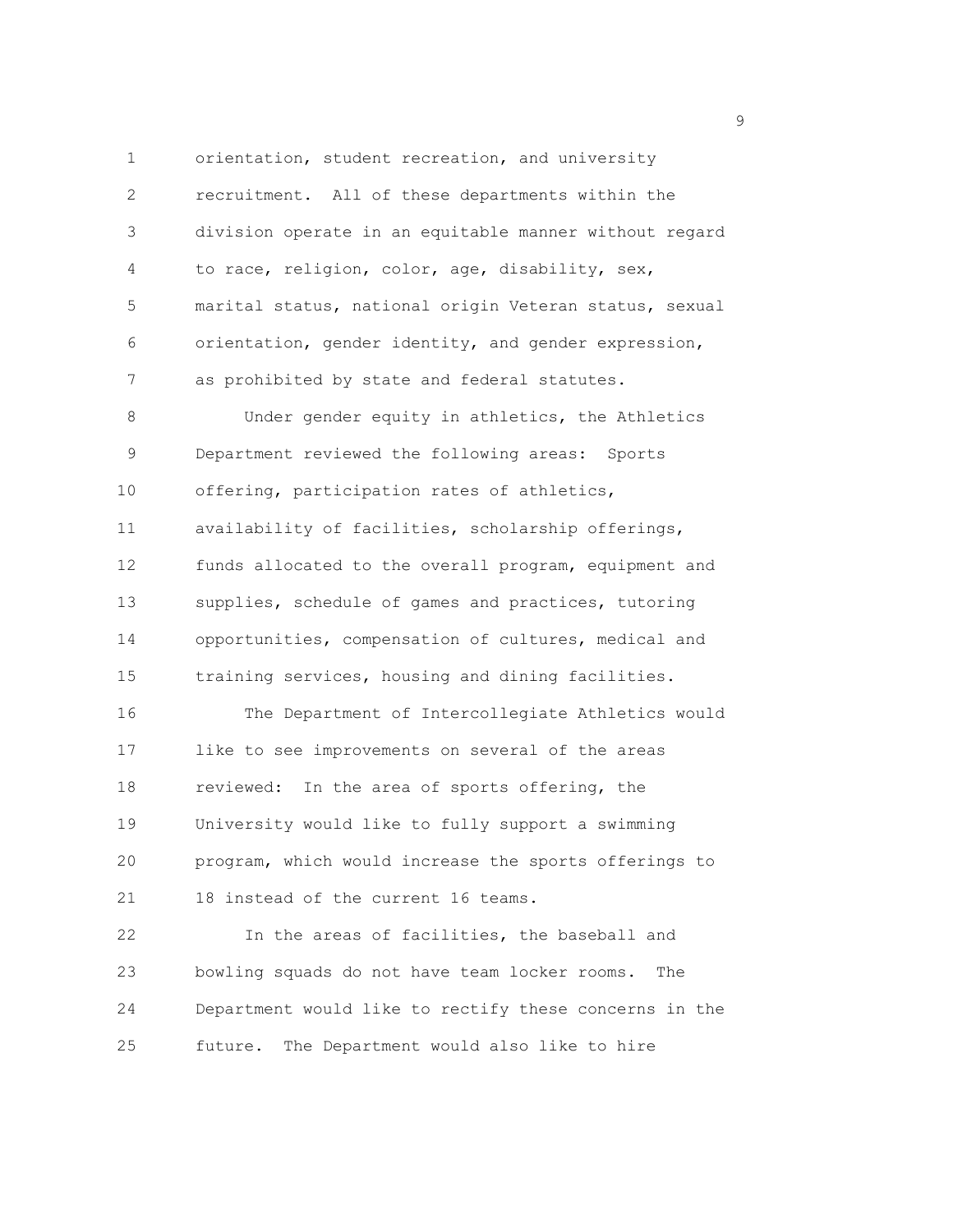1 orientation, student recreation, and university 2 recruitment. All of these departments within the 3 division operate in an equitable manner without regard 4 to race, religion, color, age, disability, sex, 5 marital status, national origin Veteran status, sexual 6 orientation, gender identity, and gender expression, 7 as prohibited by state and federal statutes. 8 Under gender equity in athletics, the Athletics 9 Department reviewed the following areas: Sports 10 offering, participation rates of athletics,

11 availability of facilities, scholarship offerings, 12 funds allocated to the overall program, equipment and 13 supplies, schedule of games and practices, tutoring 14 opportunities, compensation of cultures, medical and 15 training services, housing and dining facilities.

16 The Department of Intercollegiate Athletics would 17 like to see improvements on several of the areas 18 reviewed: In the area of sports offering, the 19 University would like to fully support a swimming 20 program, which would increase the sports offerings to 21 18 instead of the current 16 teams.

22 In the areas of facilities, the baseball and 23 bowling squads do not have team locker rooms. The 24 Department would like to rectify these concerns in the 25 future. The Department would also like to hire

en de la provincia de la provincia de la provincia de la provincia de la provincia de la provincia de la provi<br>1900 : la provincia de la provincia de la provincia de la provincia de la provincia de la provincia de la prov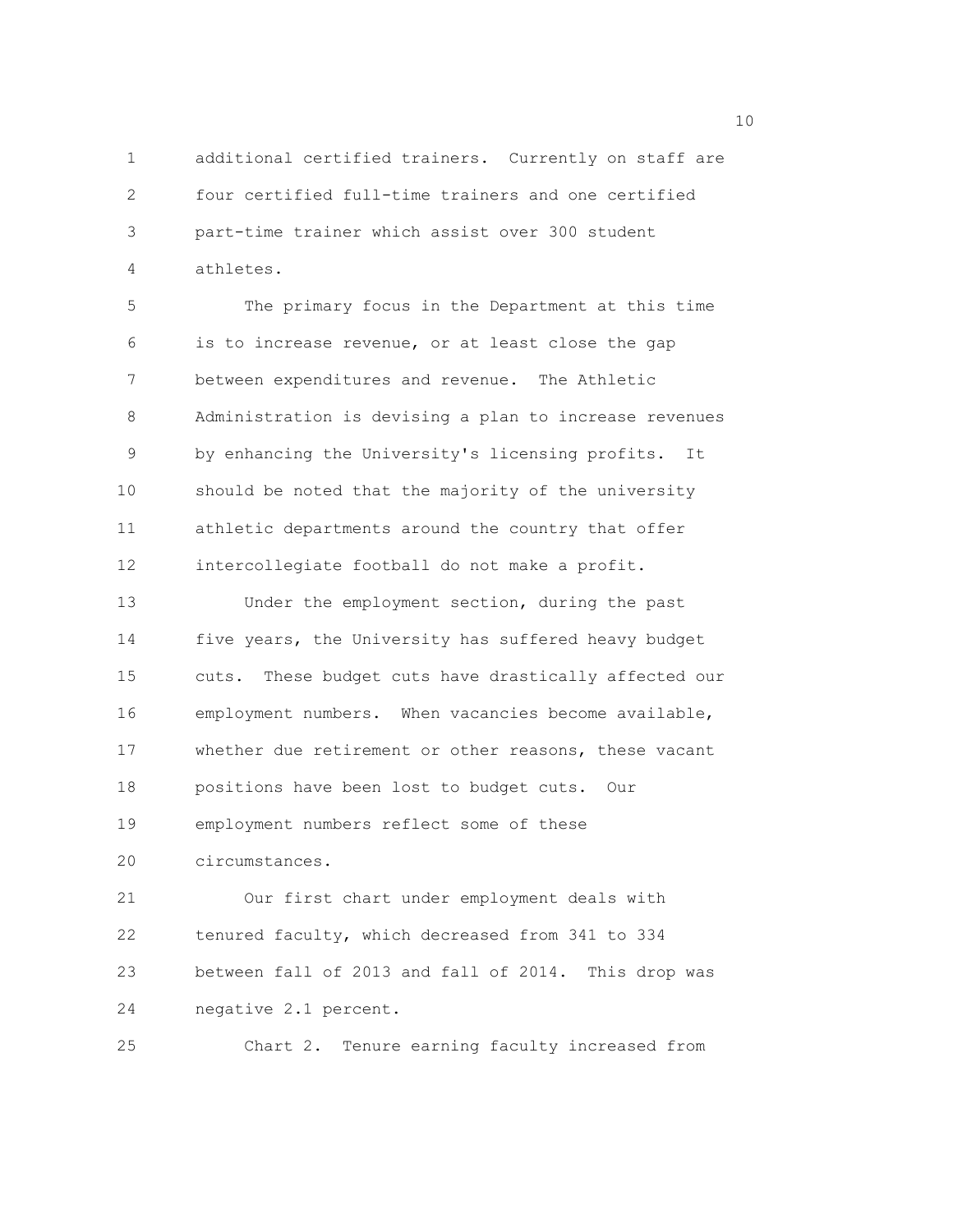1 additional certified trainers. Currently on staff are 2 four certified full-time trainers and one certified 3 part-time trainer which assist over 300 student 4 athletes.

5 The primary focus in the Department at this time 6 is to increase revenue, or at least close the gap 7 between expenditures and revenue. The Athletic 8 Administration is devising a plan to increase revenues 9 by enhancing the University's licensing profits. It 10 should be noted that the majority of the university 11 athletic departments around the country that offer 12 intercollegiate football do not make a profit.

13 Under the employment section, during the past 14 five years, the University has suffered heavy budget 15 cuts. These budget cuts have drastically affected our 16 employment numbers. When vacancies become available, 17 whether due retirement or other reasons, these vacant 18 positions have been lost to budget cuts. Our 19 employment numbers reflect some of these 20 circumstances.

21 Our first chart under employment deals with 22 tenured faculty, which decreased from 341 to 334 23 between fall of 2013 and fall of 2014. This drop was 24 negative 2.1 percent.

25 Chart 2. Tenure earning faculty increased from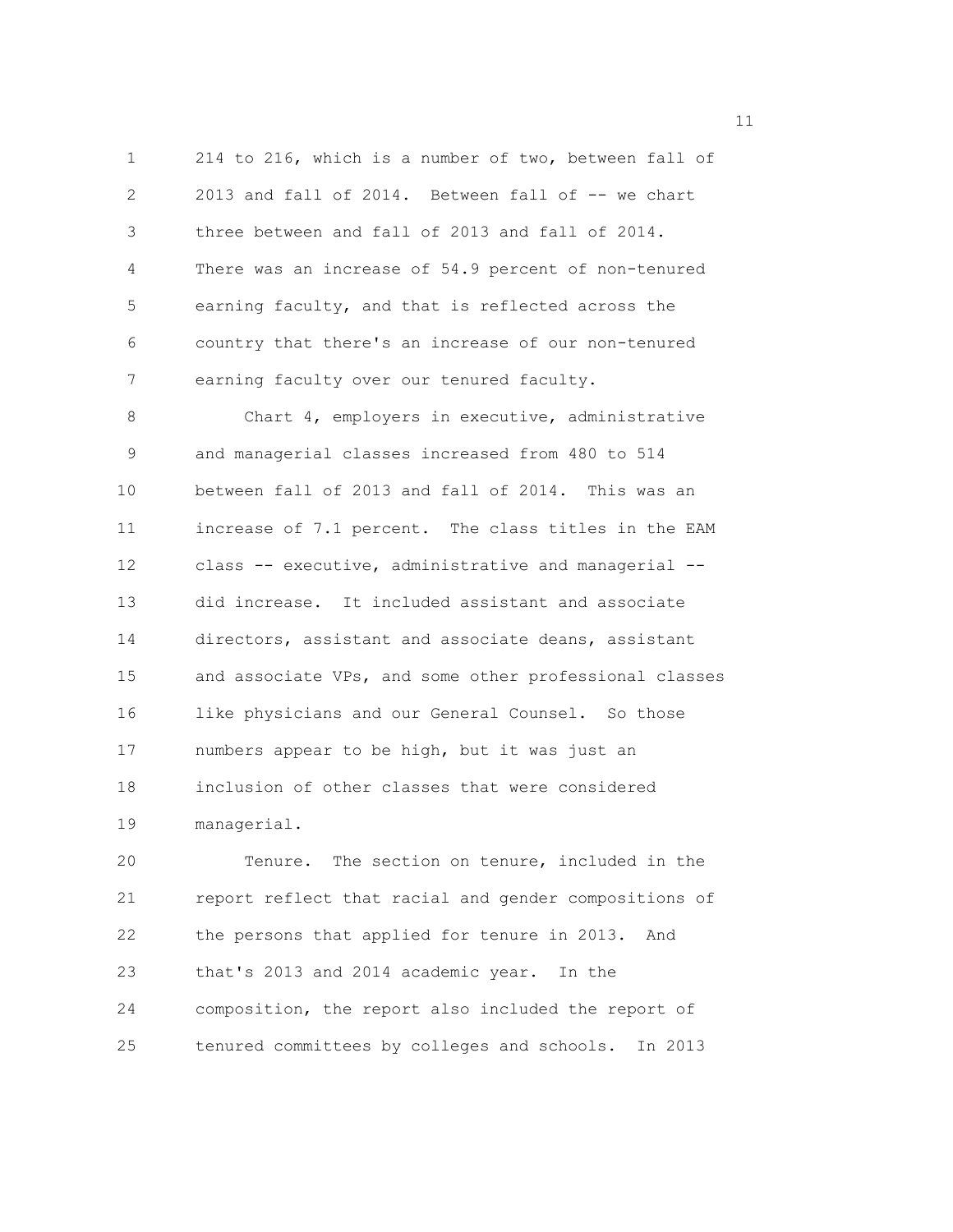1 214 to 216, which is a number of two, between fall of 2 2013 and fall of 2014. Between fall of -- we chart 3 three between and fall of 2013 and fall of 2014. 4 There was an increase of 54.9 percent of non-tenured 5 earning faculty, and that is reflected across the 6 country that there's an increase of our non-tenured 7 earning faculty over our tenured faculty.

8 Chart 4, employers in executive, administrative 9 and managerial classes increased from 480 to 514 10 between fall of 2013 and fall of 2014. This was an 11 increase of 7.1 percent. The class titles in the EAM 12 class -- executive, administrative and managerial -- 13 did increase. It included assistant and associate 14 directors, assistant and associate deans, assistant 15 and associate VPs, and some other professional classes 16 like physicians and our General Counsel. So those 17 numbers appear to be high, but it was just an 18 inclusion of other classes that were considered 19 managerial.

20 Tenure. The section on tenure, included in the 21 report reflect that racial and gender compositions of 22 the persons that applied for tenure in 2013. And 23 that's 2013 and 2014 academic year. In the 24 composition, the report also included the report of 25 tenured committees by colleges and schools. In 2013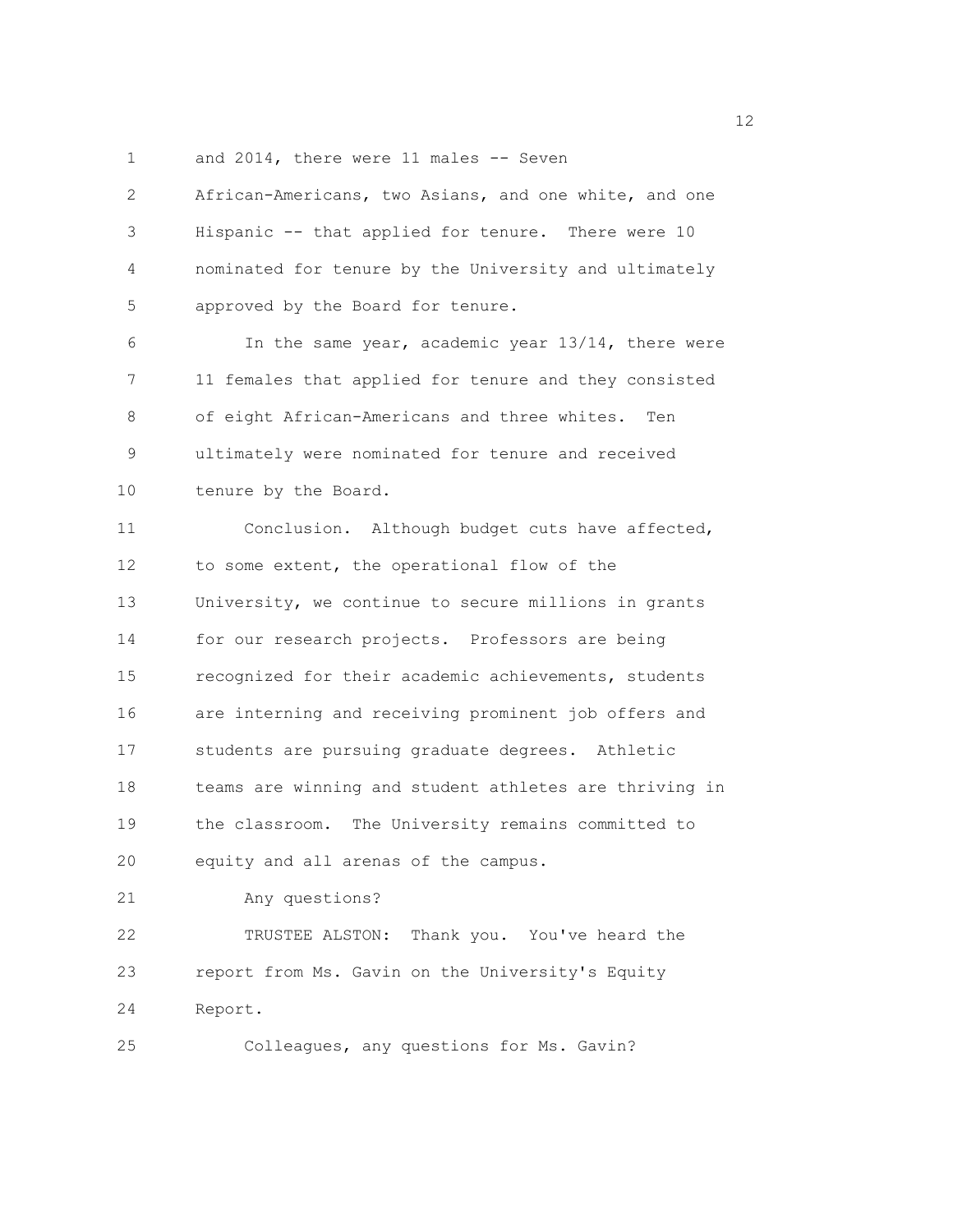1 and 2014, there were 11 males -- Seven

| $\overline{2}$ | African-Americans, two Asians, and one white, and one  |
|----------------|--------------------------------------------------------|
| 3              | Hispanic -- that applied for tenure. There were 10     |
| 4              | nominated for tenure by the University and ultimately  |
| 5              | approved by the Board for tenure.                      |
| 6              | In the same year, academic year 13/14, there were      |
| 7              | 11 females that applied for tenure and they consisted  |
| 8              | of eight African-Americans and three whites.<br>Ten    |
| 9              | ultimately were nominated for tenure and received      |
| 10             | tenure by the Board.                                   |
| 11             | Conclusion. Although budget cuts have affected,        |
| 12             | to some extent, the operational flow of the            |
| 13             | University, we continue to secure millions in grants   |
| 14             | for our research projects. Professors are being        |
| 15             | recognized for their academic achievements, students   |
| 16             | are interning and receiving prominent job offers and   |
| 17             | students are pursuing graduate degrees. Athletic       |
| 18             | teams are winning and student athletes are thriving in |
| 19             | the classroom. The University remains committed to     |
| 20             | equity and all arenas of the campus.                   |
| 21             | Any questions?                                         |
| 22             | TRUSTEE ALSTON: Thank you. You've heard the            |
| 23             | report from Ms. Gavin on the University's Equity       |
| 24             | Report.                                                |
| 25             | Colleagues, any questions for Ms. Gavin?               |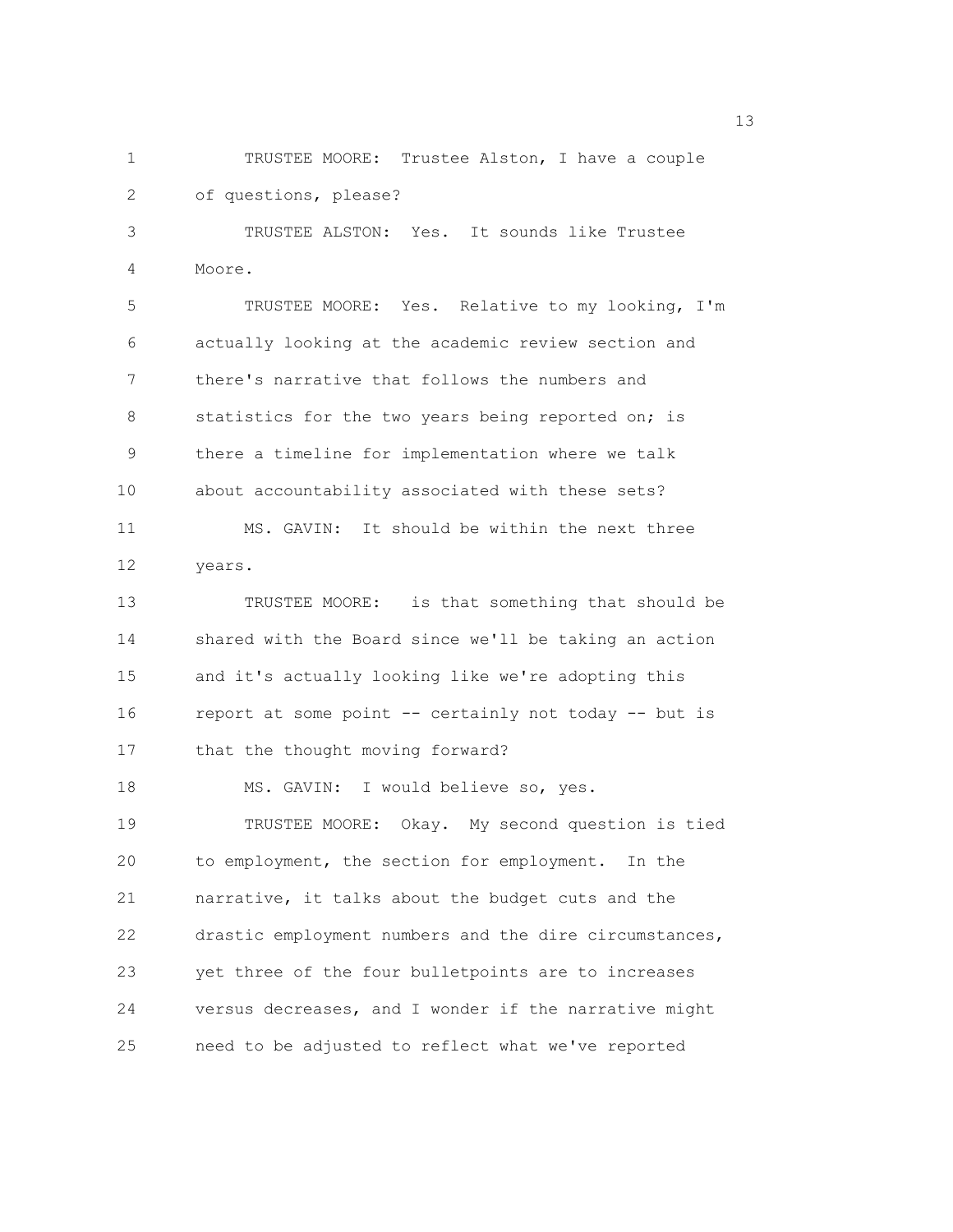2 of questions, please? 3 TRUSTEE ALSTON: Yes. It sounds like Trustee 4 Moore. 5 TRUSTEE MOORE: Yes. Relative to my looking, I'm 6 actually looking at the academic review section and 7 there's narrative that follows the numbers and 8 statistics for the two years being reported on; is 9 there a timeline for implementation where we talk 10 about accountability associated with these sets? 11 MS. GAVIN: It should be within the next three 12 years.

1 TRUSTEE MOORE: Trustee Alston, I have a couple

13 TRUSTEE MOORE: is that something that should be 14 shared with the Board since we'll be taking an action 15 and it's actually looking like we're adopting this 16 report at some point -- certainly not today -- but is 17 that the thought moving forward? 18 MS. GAVIN: I would believe so, yes. 19 TRUSTEE MOORE: Okay. My second question is tied 20 to employment, the section for employment. In the 21 narrative, it talks about the budget cuts and the 22 drastic employment numbers and the dire circumstances, 23 yet three of the four bulletpoints are to increases 24 versus decreases, and I wonder if the narrative might 25 need to be adjusted to reflect what we've reported

13 and 13 and 13 and 13 and 13 and 13 and 13 and 13 and 13 and 13 and 13 and 13 and 13 and 13 and 13 and 13 and 13 and 13 and 13 and 13 and 13 and 13 and 13 and 13 and 13 and 13 and 13 and 13 and 13 and 13 and 13 and 13 an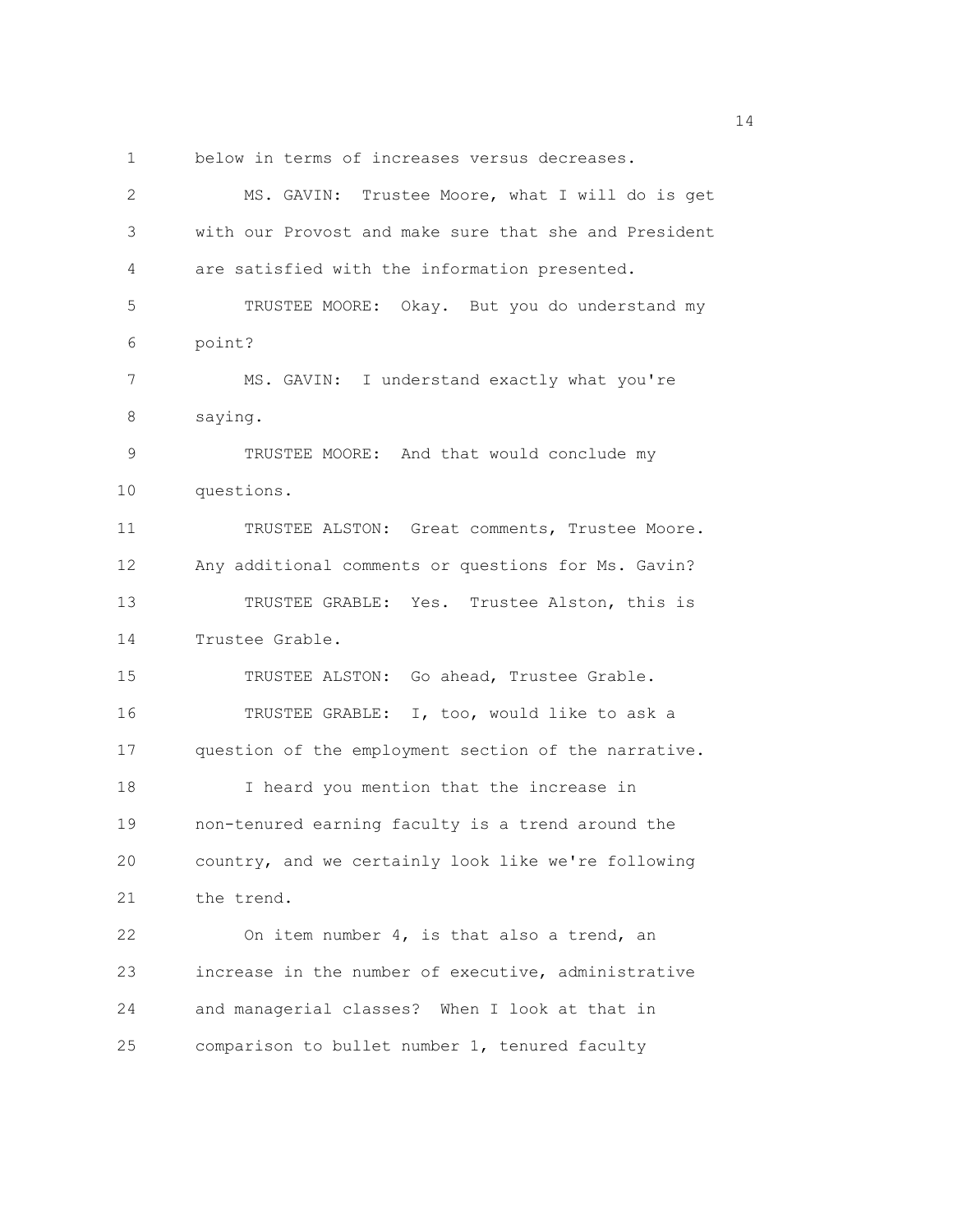1 below in terms of increases versus decreases.

| $\mathbf{2}$ | MS. GAVIN: Trustee Moore, what I will do is get       |
|--------------|-------------------------------------------------------|
| 3            | with our Provost and make sure that she and President |
| 4            | are satisfied with the information presented.         |
| 5            | TRUSTEE MOORE: Okay. But you do understand my         |
| 6            | point?                                                |
| 7            | MS. GAVIN: I understand exactly what you're           |
| 8            | saying.                                               |
| $\mathsf 9$  | TRUSTEE MOORE: And that would conclude my             |
| 10           | questions.                                            |
| 11           | TRUSTEE ALSTON: Great comments, Trustee Moore.        |
| 12           | Any additional comments or questions for Ms. Gavin?   |
| 13           | TRUSTEE GRABLE: Yes. Trustee Alston, this is          |
| 14           | Trustee Grable.                                       |
| 15           | TRUSTEE ALSTON: Go ahead, Trustee Grable.             |
| 16           | TRUSTEE GRABLE: I, too, would like to ask a           |
| 17           | question of the employment section of the narrative.  |
| 18           | I heard you mention that the increase in              |
| 19           | non-tenured earning faculty is a trend around the     |
| 20           | country, and we certainly look like we're following   |
| 21           | the trend.                                            |
| 22           | On item number 4, is that also a trend, an            |
| 23           | increase in the number of executive, administrative   |
| 24           | and managerial classes? When I look at that in        |
| 25           | comparison to bullet number 1, tenured faculty        |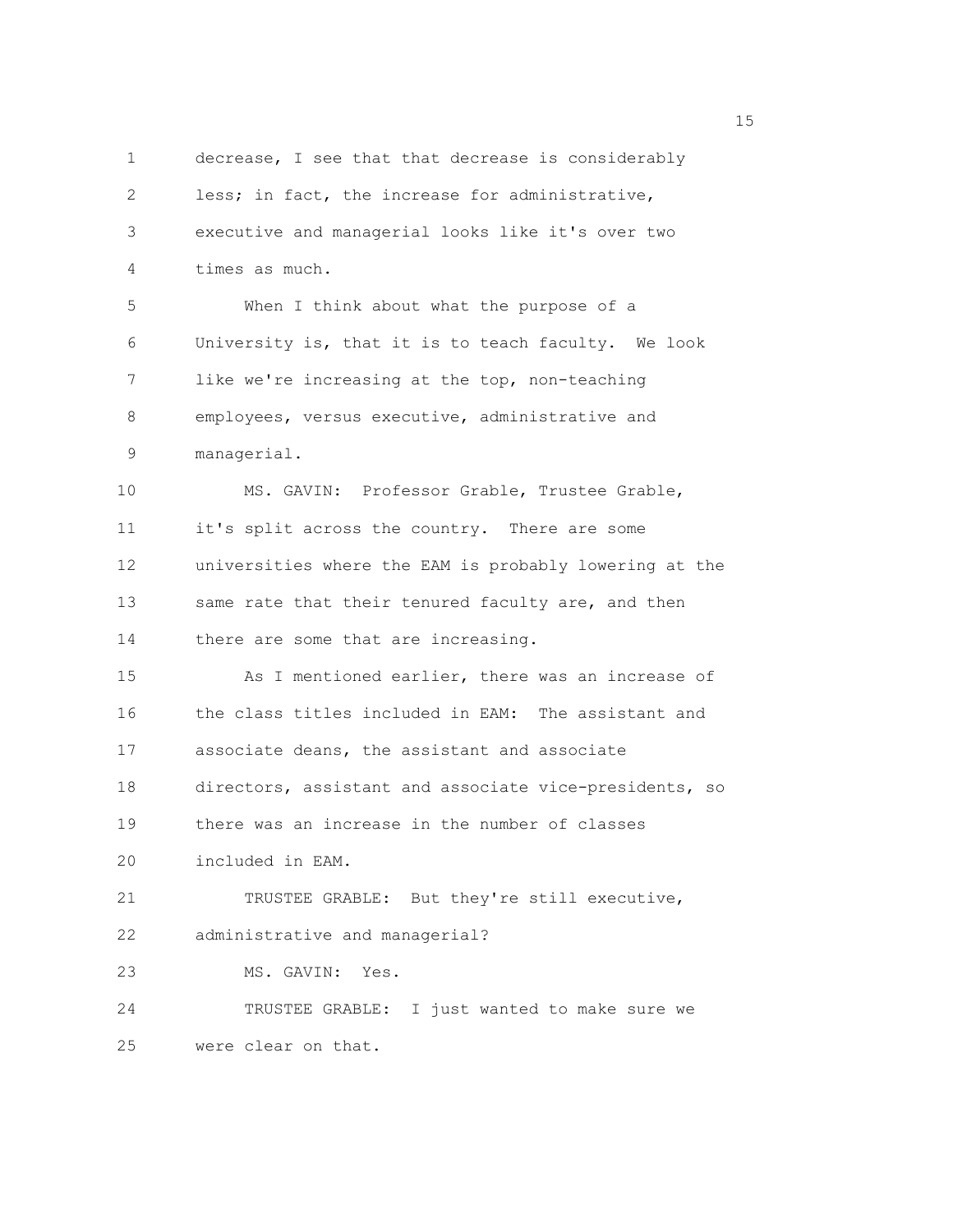1 decrease, I see that that decrease is considerably 2 less; in fact, the increase for administrative, 3 executive and managerial looks like it's over two 4 times as much. 5 When I think about what the purpose of a 6 University is, that it is to teach faculty. We look 7 like we're increasing at the top, non-teaching 8 employees, versus executive, administrative and 9 managerial. 10 MS. GAVIN: Professor Grable, Trustee Grable, 11 it's split across the country. There are some 12 universities where the EAM is probably lowering at the 13 same rate that their tenured faculty are, and then 14 there are some that are increasing. 15 As I mentioned earlier, there was an increase of 16 the class titles included in EAM: The assistant and 17 associate deans, the assistant and associate 18 directors, assistant and associate vice-presidents, so 19 there was an increase in the number of classes 20 included in EAM. 21 TRUSTEE GRABLE: But they're still executive, 22 administrative and managerial? 23 MS. GAVIN: Yes. 24 TRUSTEE GRABLE: I just wanted to make sure we 25 were clear on that.

n 15 ann an 15 an t-Òire ann an 15 an t-Òire an t-Òire an t-Òire an t-Òire ann an 15 an t-Òire an t-Òire an t-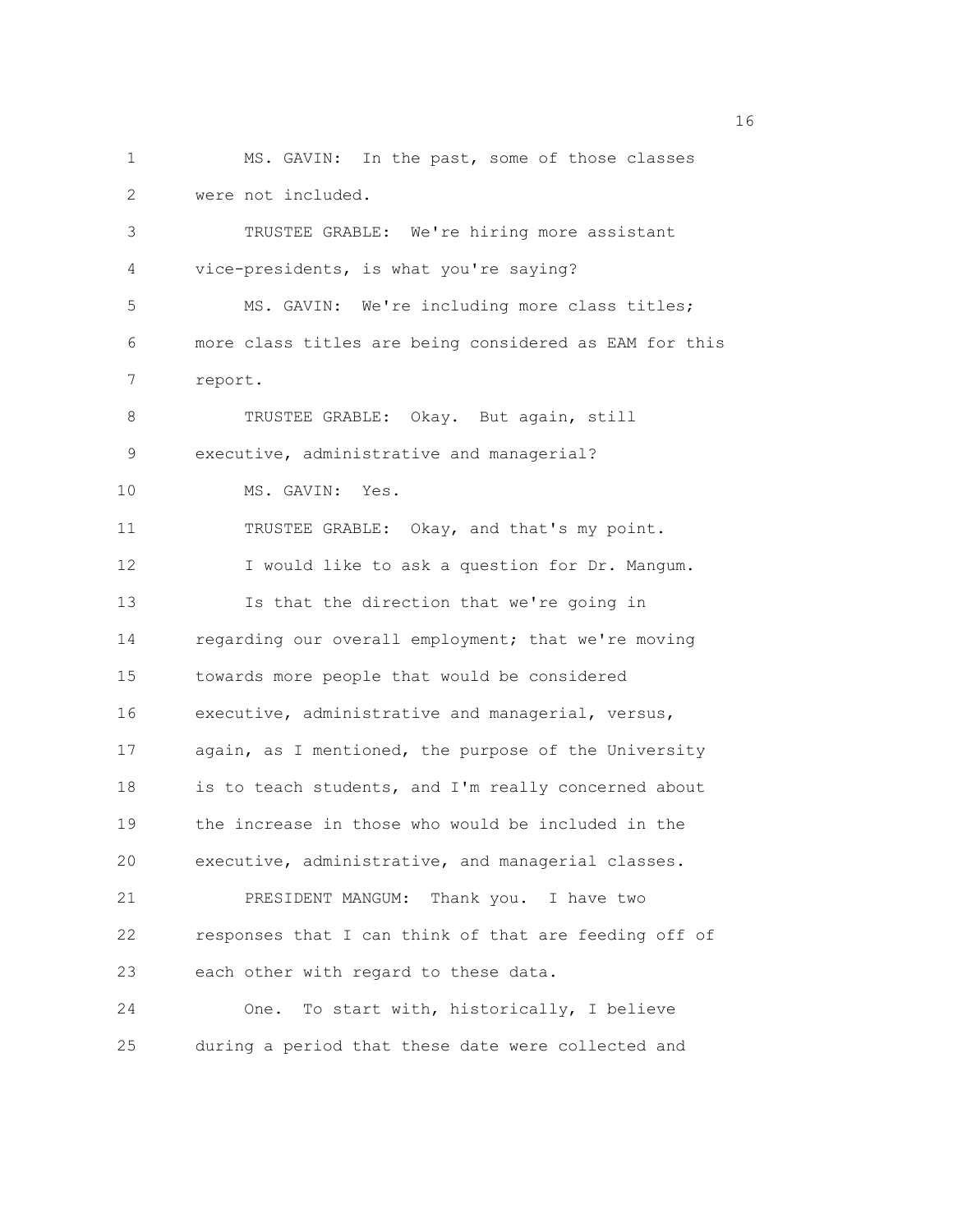1 MS. GAVIN: In the past, some of those classes 2 were not included. 3 TRUSTEE GRABLE: We're hiring more assistant 4 vice-presidents, is what you're saying? 5 MS. GAVIN: We're including more class titles; 6 more class titles are being considered as EAM for this 7 report. 8 TRUSTEE GRABLE: Okay. But again, still 9 executive, administrative and managerial? 10 MS. GAVIN: Yes. 11 TRUSTEE GRABLE: Okay, and that's my point. 12 I would like to ask a question for Dr. Mangum. 13 Is that the direction that we're going in 14 regarding our overall employment; that we're moving 15 towards more people that would be considered 16 executive, administrative and managerial, versus, 17 again, as I mentioned, the purpose of the University 18 is to teach students, and I'm really concerned about 19 the increase in those who would be included in the 20 executive, administrative, and managerial classes. 21 PRESIDENT MANGUM: Thank you. I have two 22 responses that I can think of that are feeding off of 23 each other with regard to these data. 24 One. To start with, historically, I believe 25 during a period that these date were collected and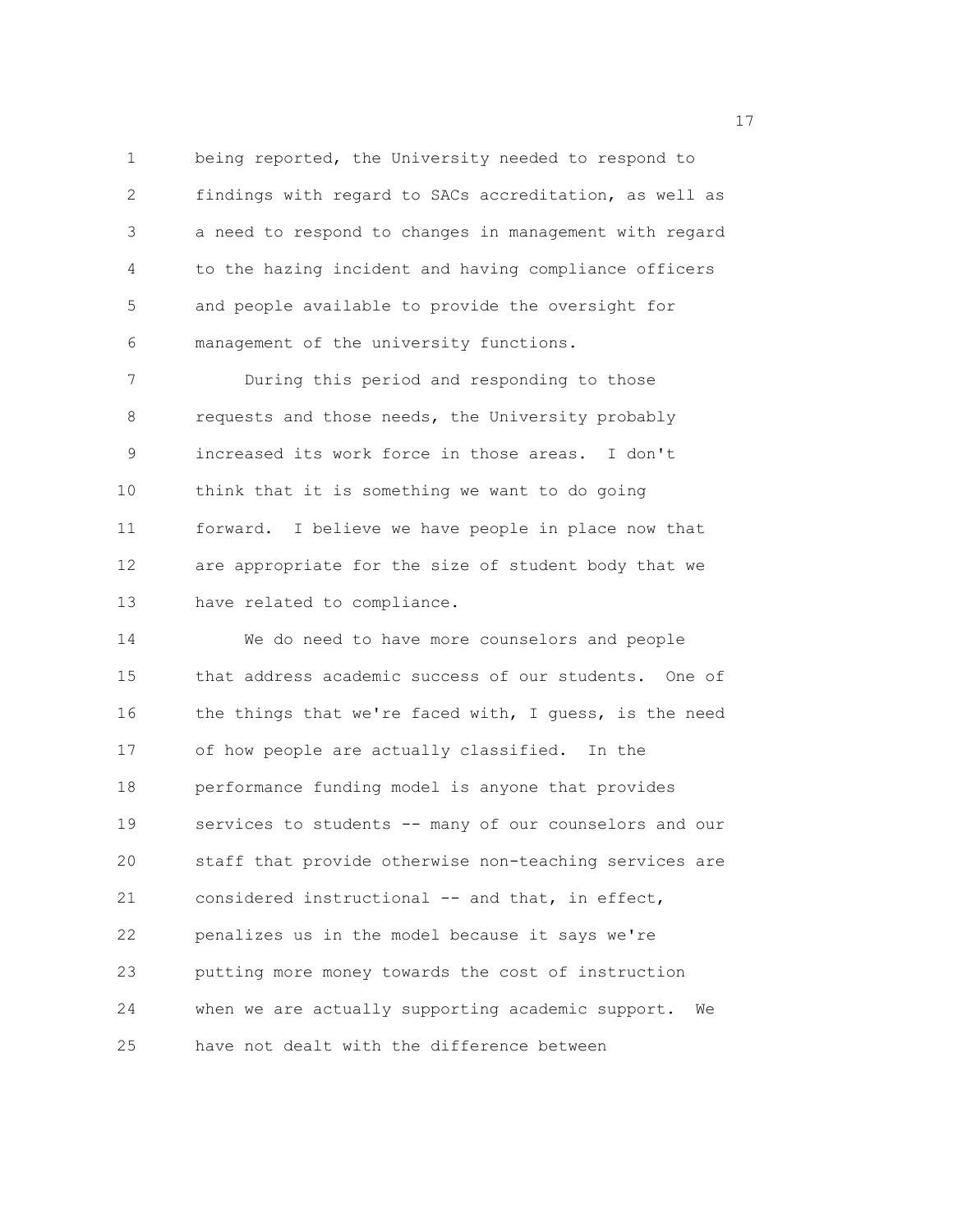1 being reported, the University needed to respond to 2 findings with regard to SACs accreditation, as well as 3 a need to respond to changes in management with regard 4 to the hazing incident and having compliance officers 5 and people available to provide the oversight for 6 management of the university functions.

7 During this period and responding to those 8 requests and those needs, the University probably 9 increased its work force in those areas. I don't 10 think that it is something we want to do going 11 forward. I believe we have people in place now that 12 are appropriate for the size of student body that we 13 have related to compliance.

14 We do need to have more counselors and people 15 that address academic success of our students. One of 16 the things that we're faced with, I guess, is the need 17 of how people are actually classified. In the 18 performance funding model is anyone that provides 19 services to students -- many of our counselors and our 20 staff that provide otherwise non-teaching services are 21 considered instructional -- and that, in effect, 22 penalizes us in the model because it says we're 23 putting more money towards the cost of instruction 24 when we are actually supporting academic support. We 25 have not dealt with the difference between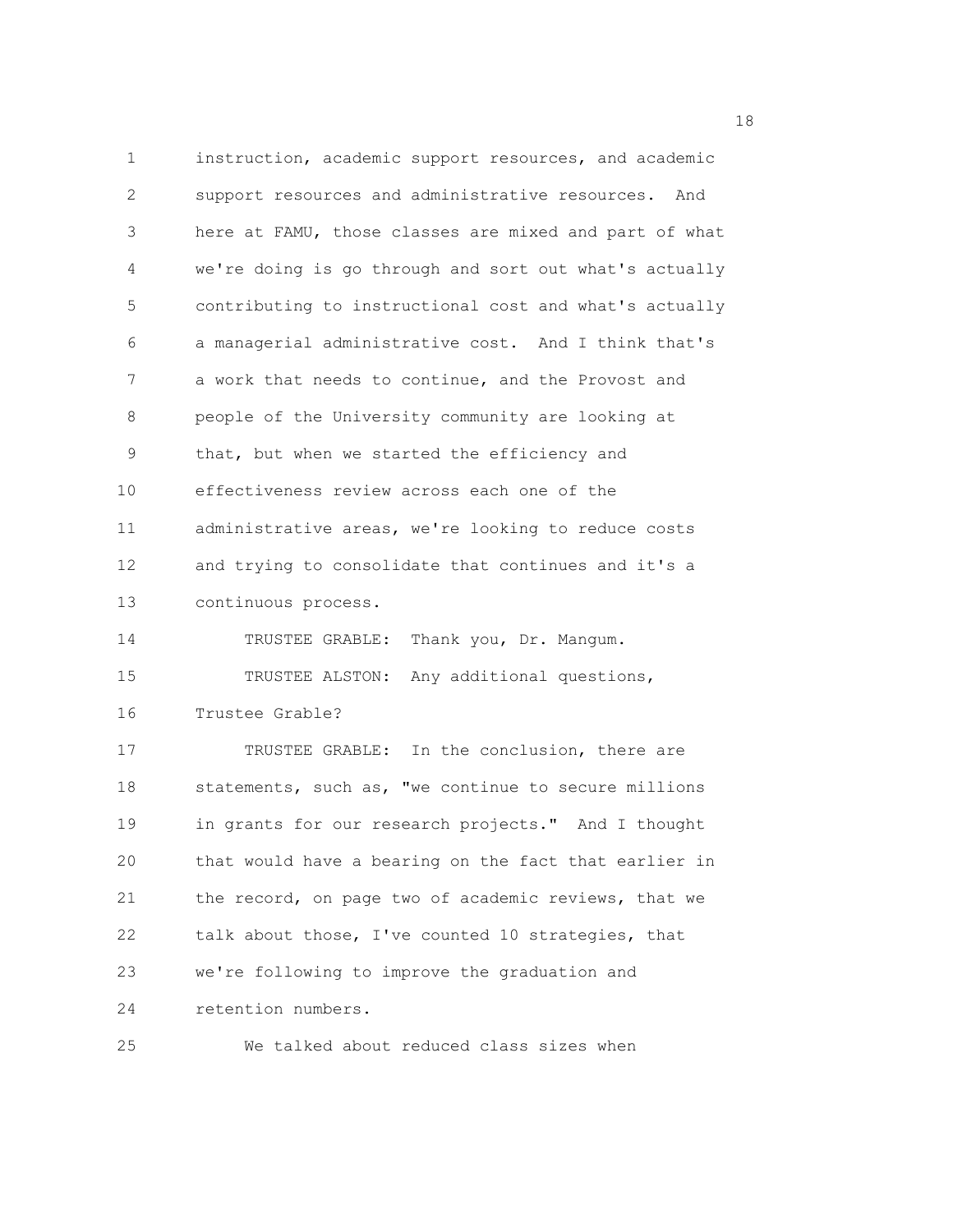1 instruction, academic support resources, and academic 2 support resources and administrative resources. And 3 here at FAMU, those classes are mixed and part of what 4 we're doing is go through and sort out what's actually 5 contributing to instructional cost and what's actually 6 a managerial administrative cost. And I think that's 7 a work that needs to continue, and the Provost and 8 people of the University community are looking at 9 that, but when we started the efficiency and 10 effectiveness review across each one of the 11 administrative areas, we're looking to reduce costs 12 and trying to consolidate that continues and it's a 13 continuous process. 14 TRUSTEE GRABLE: Thank you, Dr. Mangum. 15 TRUSTEE ALSTON: Any additional questions, 16 Trustee Grable? 17 TRUSTEE GRABLE: In the conclusion, there are 18 statements, such as, "we continue to secure millions 19 in grants for our research projects." And I thought 20 that would have a bearing on the fact that earlier in 21 the record, on page two of academic reviews, that we 22 talk about those, I've counted 10 strategies, that 23 we're following to improve the graduation and 24 retention numbers.

25 We talked about reduced class sizes when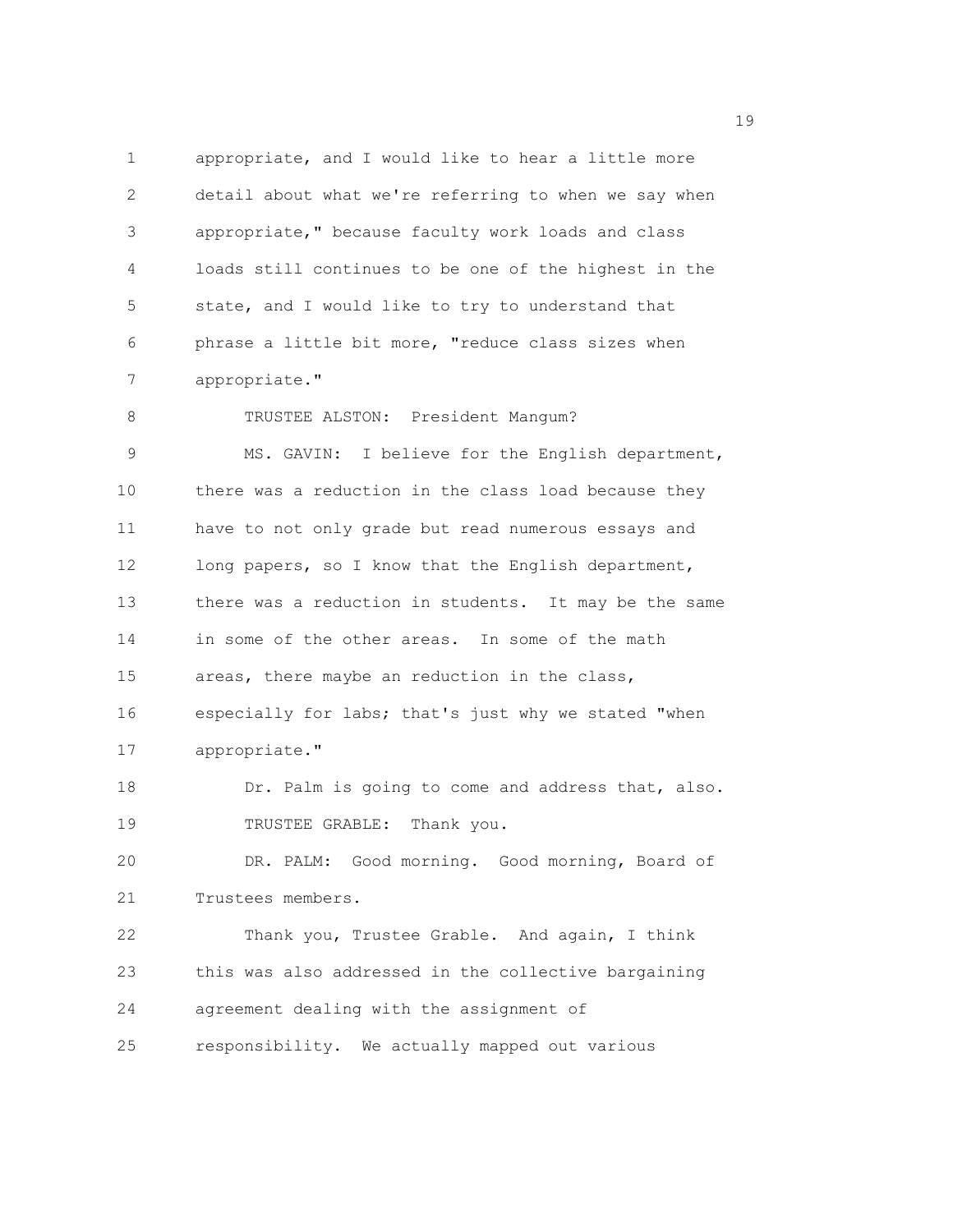1 appropriate, and I would like to hear a little more 2 detail about what we're referring to when we say when 3 appropriate," because faculty work loads and class 4 loads still continues to be one of the highest in the 5 state, and I would like to try to understand that 6 phrase a little bit more, "reduce class sizes when 7 appropriate." 8 TRUSTEE ALSTON: President Mangum? 9 MS. GAVIN: I believe for the English department, 10 there was a reduction in the class load because they 11 have to not only grade but read numerous essays and 12 long papers, so I know that the English department, 13 there was a reduction in students. It may be the same 14 in some of the other areas. In some of the math 15 areas, there maybe an reduction in the class, 16 especially for labs; that's just why we stated "when 17 appropriate." 18 Dr. Palm is going to come and address that, also. 19 TRUSTEE GRABLE: Thank you. 20 DR. PALM: Good morning. Good morning, Board of 21 Trustees members. 22 Thank you, Trustee Grable. And again, I think 23 this was also addressed in the collective bargaining 24 agreement dealing with the assignment of 25 responsibility. We actually mapped out various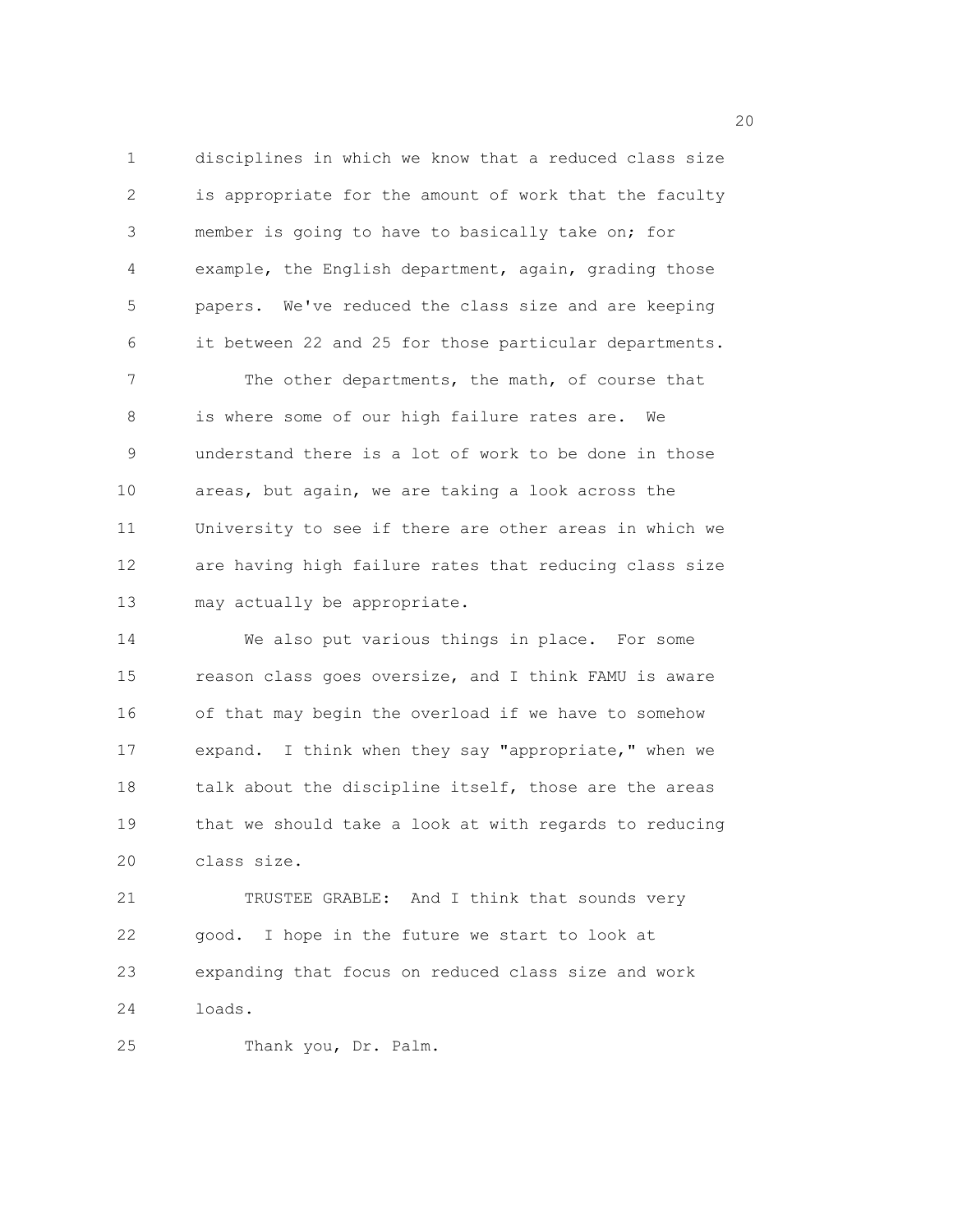1 disciplines in which we know that a reduced class size 2 is appropriate for the amount of work that the faculty 3 member is going to have to basically take on; for 4 example, the English department, again, grading those 5 papers. We've reduced the class size and are keeping 6 it between 22 and 25 for those particular departments. 7 The other departments, the math, of course that 8 is where some of our high failure rates are. We 9 understand there is a lot of work to be done in those 10 areas, but again, we are taking a look across the 11 University to see if there are other areas in which we 12 are having high failure rates that reducing class size 13 may actually be appropriate.

14 We also put various things in place. For some 15 reason class goes oversize, and I think FAMU is aware 16 of that may begin the overload if we have to somehow 17 expand. I think when they say "appropriate," when we 18 talk about the discipline itself, those are the areas 19 that we should take a look at with regards to reducing 20 class size.

21 TRUSTEE GRABLE: And I think that sounds very 22 good. I hope in the future we start to look at 23 expanding that focus on reduced class size and work 24 loads.

25 Thank you, Dr. Palm.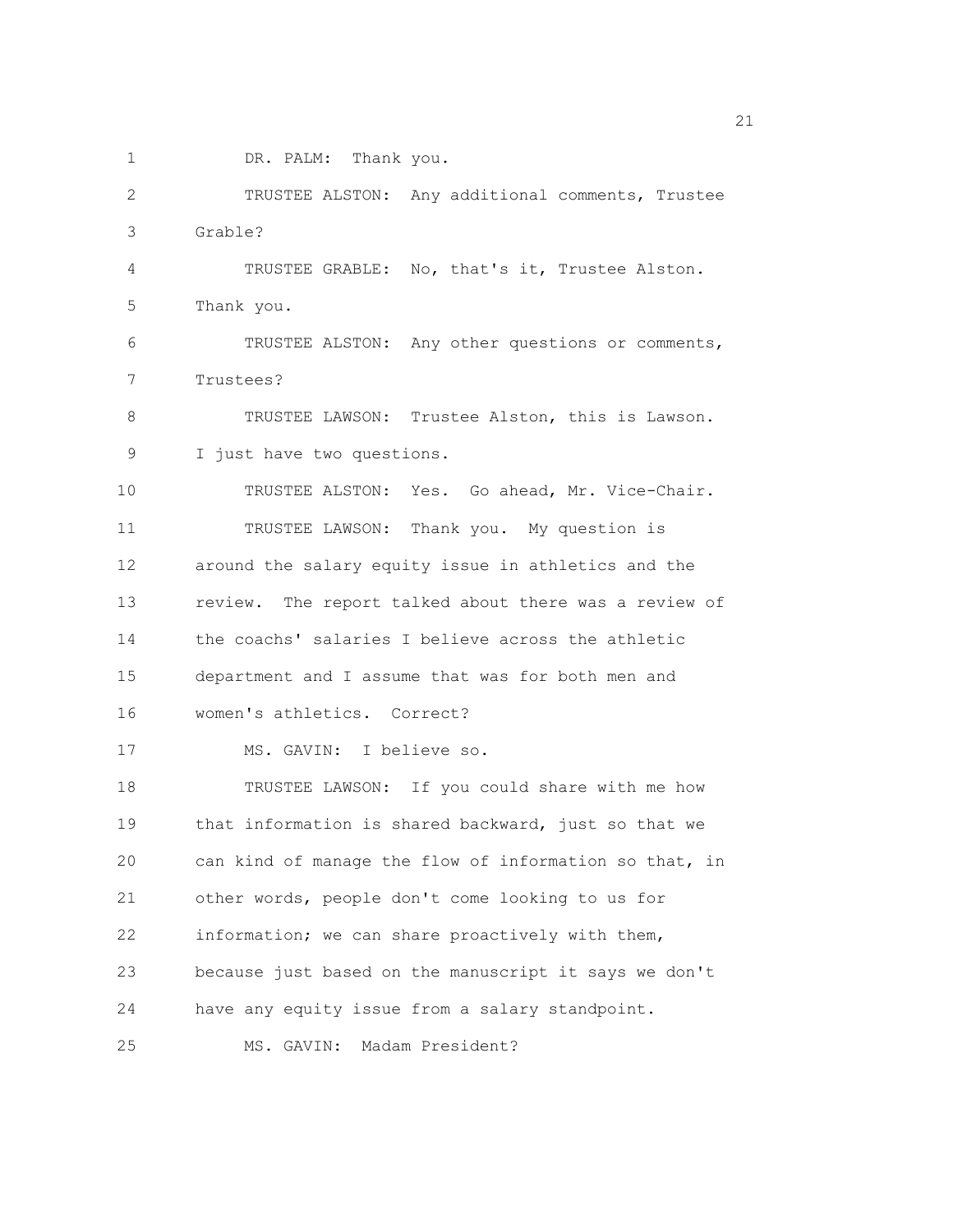1 DR. PALM: Thank you.

2 TRUSTEE ALSTON: Any additional comments, Trustee 3 Grable? 4 TRUSTEE GRABLE: No, that's it, Trustee Alston. 5 Thank you. 6 TRUSTEE ALSTON: Any other questions or comments, 7 Trustees? 8 TRUSTEE LAWSON: Trustee Alston, this is Lawson. 9 I just have two questions. 10 TRUSTEE ALSTON: Yes. Go ahead, Mr. Vice-Chair. 11 TRUSTEE LAWSON: Thank you. My question is 12 around the salary equity issue in athletics and the 13 review. The report talked about there was a review of 14 the coachs' salaries I believe across the athletic 15 department and I assume that was for both men and 16 women's athletics. Correct? 17 MS. GAVIN: I believe so. 18 TRUSTEE LAWSON: If you could share with me how 19 that information is shared backward, just so that we 20 can kind of manage the flow of information so that, in 21 other words, people don't come looking to us for 22 information; we can share proactively with them, 23 because just based on the manuscript it says we don't 24 have any equity issue from a salary standpoint. 25 MS. GAVIN: Madam President?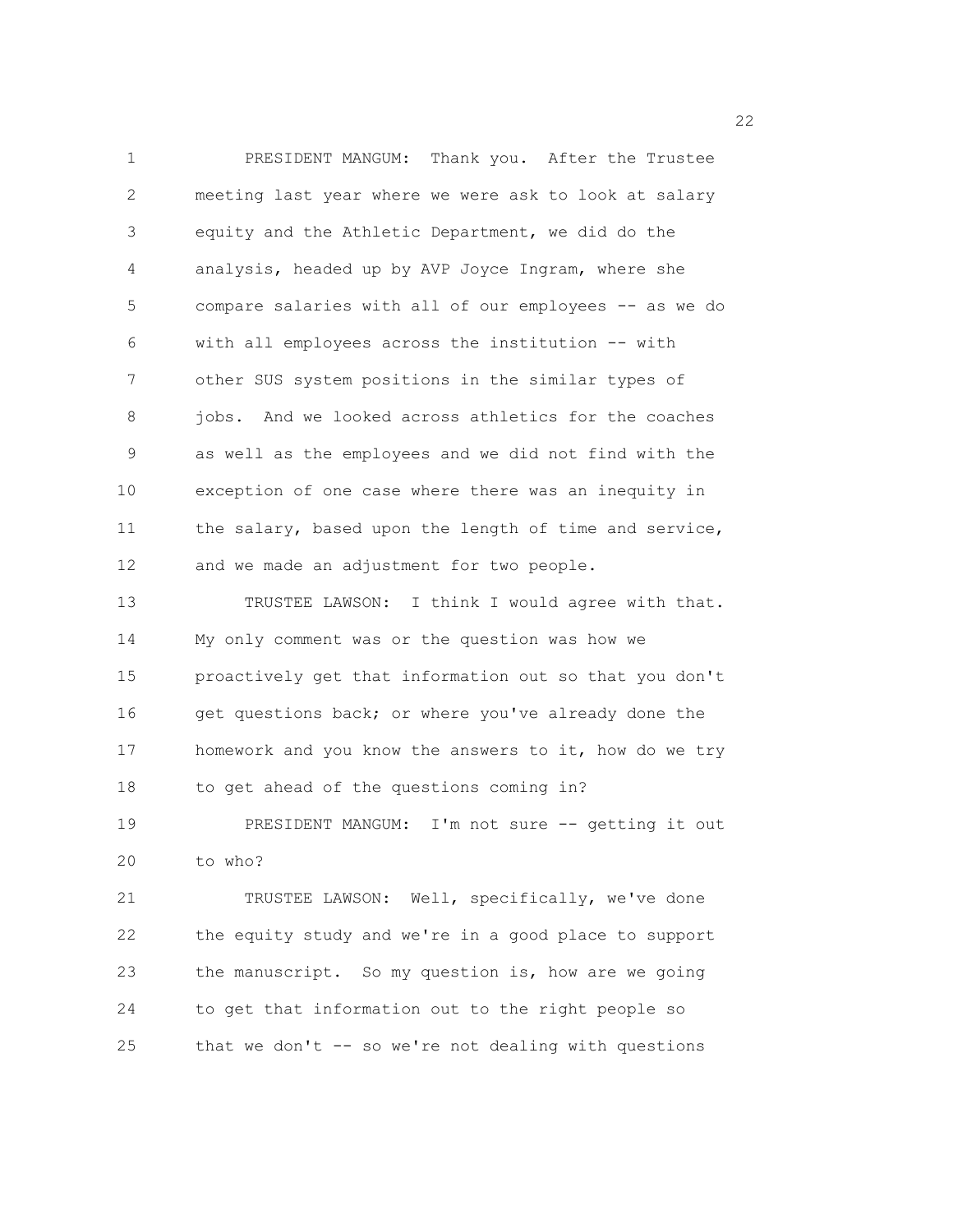1 PRESIDENT MANGUM: Thank you. After the Trustee 2 meeting last year where we were ask to look at salary 3 equity and the Athletic Department, we did do the 4 analysis, headed up by AVP Joyce Ingram, where she 5 compare salaries with all of our employees -- as we do 6 with all employees across the institution -- with 7 other SUS system positions in the similar types of 8 jobs. And we looked across athletics for the coaches 9 as well as the employees and we did not find with the 10 exception of one case where there was an inequity in 11 the salary, based upon the length of time and service, 12 and we made an adjustment for two people. 13 TRUSTEE LAWSON: I think I would agree with that. 14 My only comment was or the question was how we 15 proactively get that information out so that you don't 16 get questions back; or where you've already done the 17 homework and you know the answers to it, how do we try 18 to get ahead of the questions coming in? 19 PRESIDENT MANGUM: I'm not sure -- getting it out 20 to who? 21 TRUSTEE LAWSON: Well, specifically, we've done 22 the equity study and we're in a good place to support 23 the manuscript. So my question is, how are we going 24 to get that information out to the right people so

25 that we don't -- so we're not dealing with questions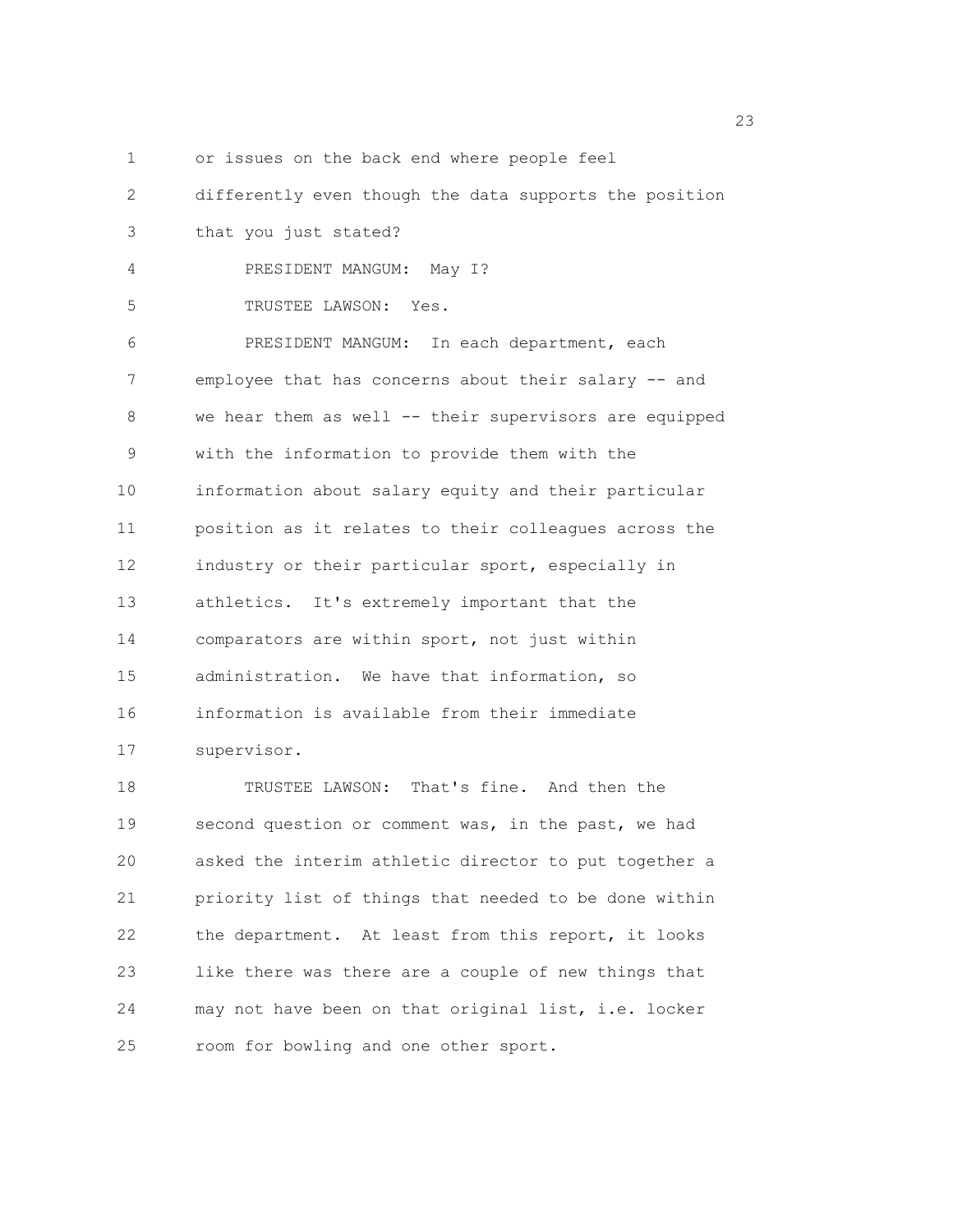1 or issues on the back end where people feel

2 differently even though the data supports the position

- 3 that you just stated?
- 4 PRESIDENT MANGUM: May I?
- 5 TRUSTEE LAWSON: Yes.

6 PRESIDENT MANGUM: In each department, each 7 employee that has concerns about their salary -- and 8 we hear them as well -- their supervisors are equipped 9 with the information to provide them with the 10 information about salary equity and their particular 11 position as it relates to their colleagues across the 12 industry or their particular sport, especially in 13 athletics. It's extremely important that the 14 comparators are within sport, not just within 15 administration. We have that information, so 16 information is available from their immediate 17 supervisor.

18 TRUSTEE LAWSON: That's fine. And then the 19 second question or comment was, in the past, we had 20 asked the interim athletic director to put together a 21 priority list of things that needed to be done within 22 the department. At least from this report, it looks 23 like there was there are a couple of new things that 24 may not have been on that original list, i.e. locker 25 room for bowling and one other sport.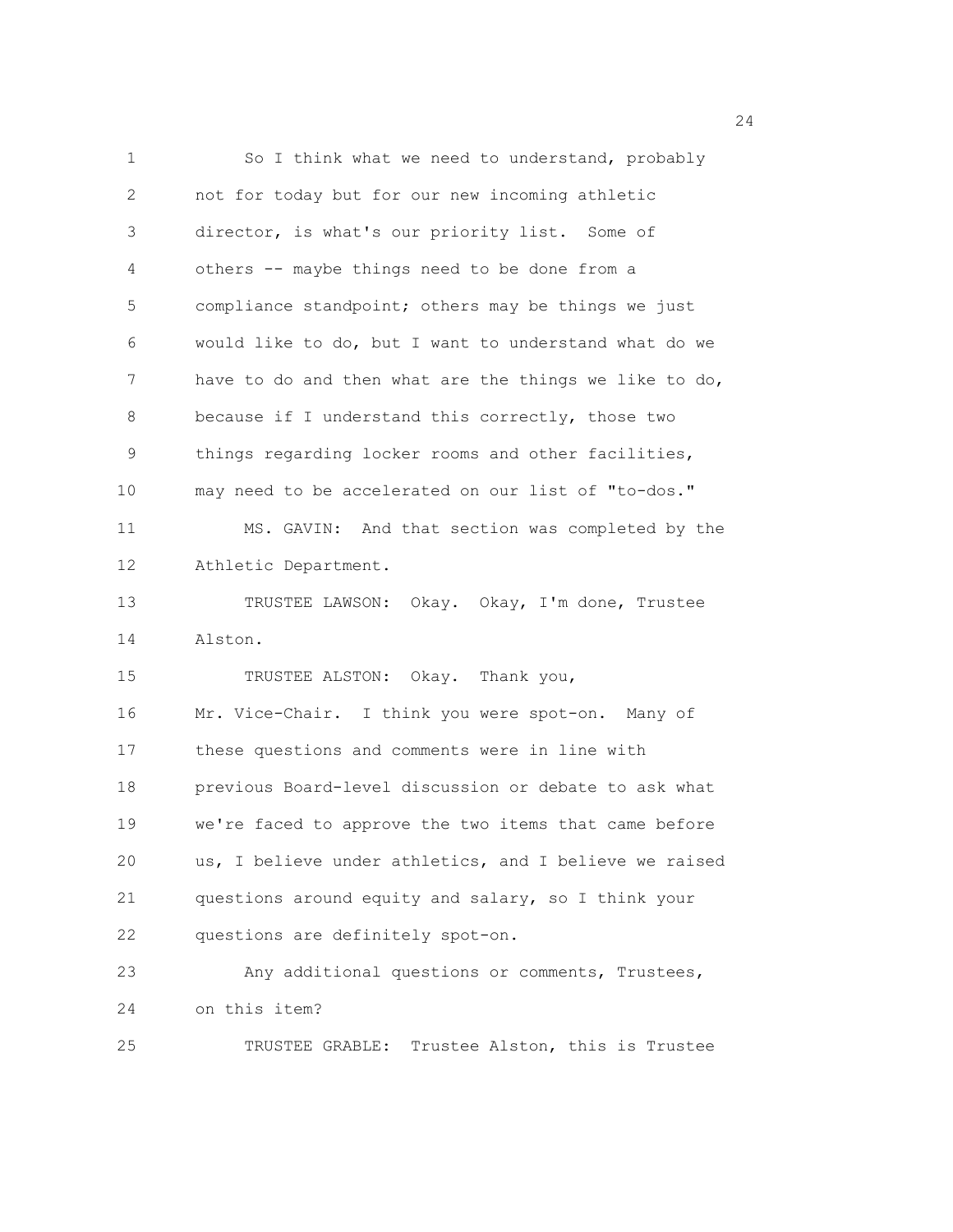1 So I think what we need to understand, probably 2 not for today but for our new incoming athletic 3 director, is what's our priority list. Some of 4 others -- maybe things need to be done from a 5 compliance standpoint; others may be things we just 6 would like to do, but I want to understand what do we 7 have to do and then what are the things we like to do, 8 because if I understand this correctly, those two 9 things regarding locker rooms and other facilities, 10 may need to be accelerated on our list of "to-dos." 11 MS. GAVIN: And that section was completed by the 12 Athletic Department. 13 TRUSTEE LAWSON: Okay. Okay, I'm done, Trustee 14 Alston. 15 TRUSTEE ALSTON: Okay. Thank you, 16 Mr. Vice-Chair. I think you were spot-on. Many of 17 these questions and comments were in line with 18 previous Board-level discussion or debate to ask what 19 we're faced to approve the two items that came before 20 us, I believe under athletics, and I believe we raised 21 questions around equity and salary, so I think your 22 questions are definitely spot-on. 23 Any additional questions or comments, Trustees, 24 on this item? 25 TRUSTEE GRABLE: Trustee Alston, this is Trustee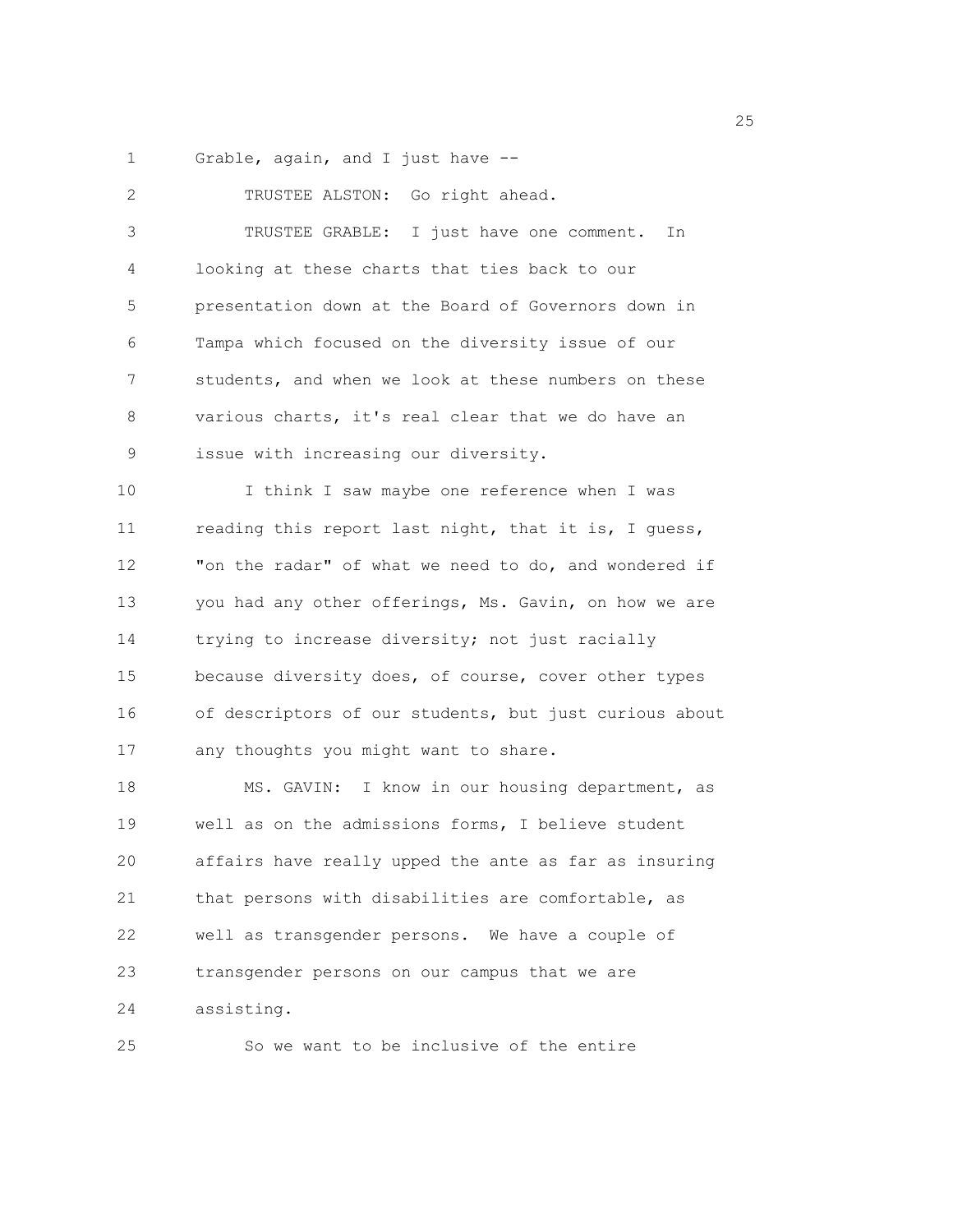1 Grable, again, and I just have --

2 TRUSTEE ALSTON: Go right ahead. 3 TRUSTEE GRABLE: I just have one comment. In 4 looking at these charts that ties back to our 5 presentation down at the Board of Governors down in 6 Tampa which focused on the diversity issue of our 7 students, and when we look at these numbers on these 8 various charts, it's real clear that we do have an 9 issue with increasing our diversity. 10 I think I saw maybe one reference when I was 11 reading this report last night, that it is, I guess, 12 "on the radar" of what we need to do, and wondered if 13 you had any other offerings, Ms. Gavin, on how we are 14 trying to increase diversity; not just racially 15 because diversity does, of course, cover other types 16 of descriptors of our students, but just curious about 17 any thoughts you might want to share. 18 MS. GAVIN: I know in our housing department, as 19 well as on the admissions forms, I believe student 20 affairs have really upped the ante as far as insuring 21 that persons with disabilities are comfortable, as 22 well as transgender persons. We have a couple of 23 transgender persons on our campus that we are 24 assisting.

25 So we want to be inclusive of the entire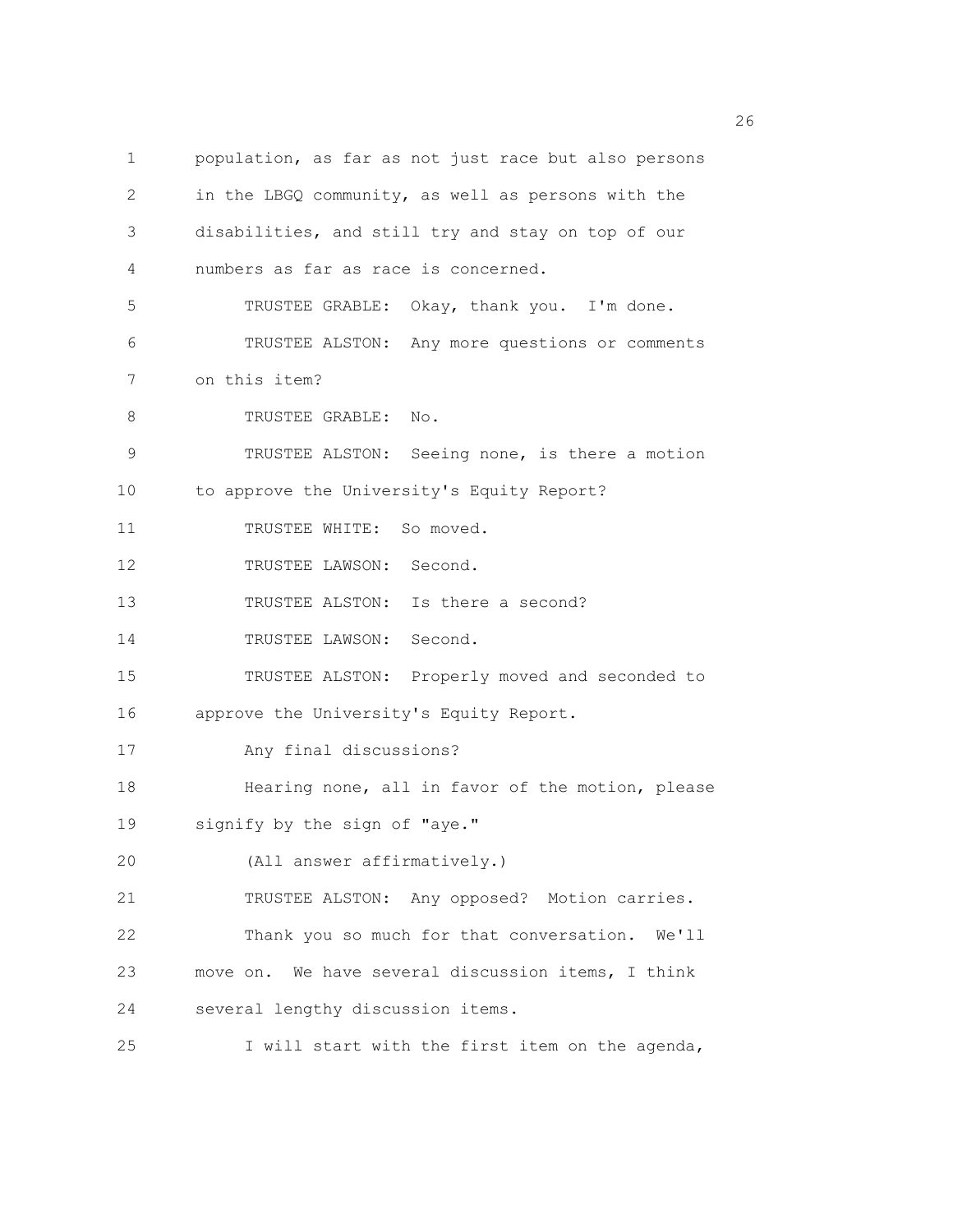1 population, as far as not just race but also persons 2 in the LBGQ community, as well as persons with the 3 disabilities, and still try and stay on top of our 4 numbers as far as race is concerned. 5 TRUSTEE GRABLE: Okay, thank you. I'm done. 6 TRUSTEE ALSTON: Any more questions or comments 7 on this item? 8 TRUSTEE GRABLE: No. 9 TRUSTEE ALSTON: Seeing none, is there a motion 10 to approve the University's Equity Report? 11 TRUSTEE WHITE: So moved. 12 TRUSTEE LAWSON: Second. 13 TRUSTEE ALSTON: Is there a second? 14 TRUSTEE LAWSON: Second. 15 TRUSTEE ALSTON: Properly moved and seconded to 16 approve the University's Equity Report. 17 Any final discussions? 18 Hearing none, all in favor of the motion, please 19 signify by the sign of "aye." 20 (All answer affirmatively.) 21 TRUSTEE ALSTON: Any opposed? Motion carries. 22 Thank you so much for that conversation. We'll 23 move on. We have several discussion items, I think 24 several lengthy discussion items. 25 I will start with the first item on the agenda,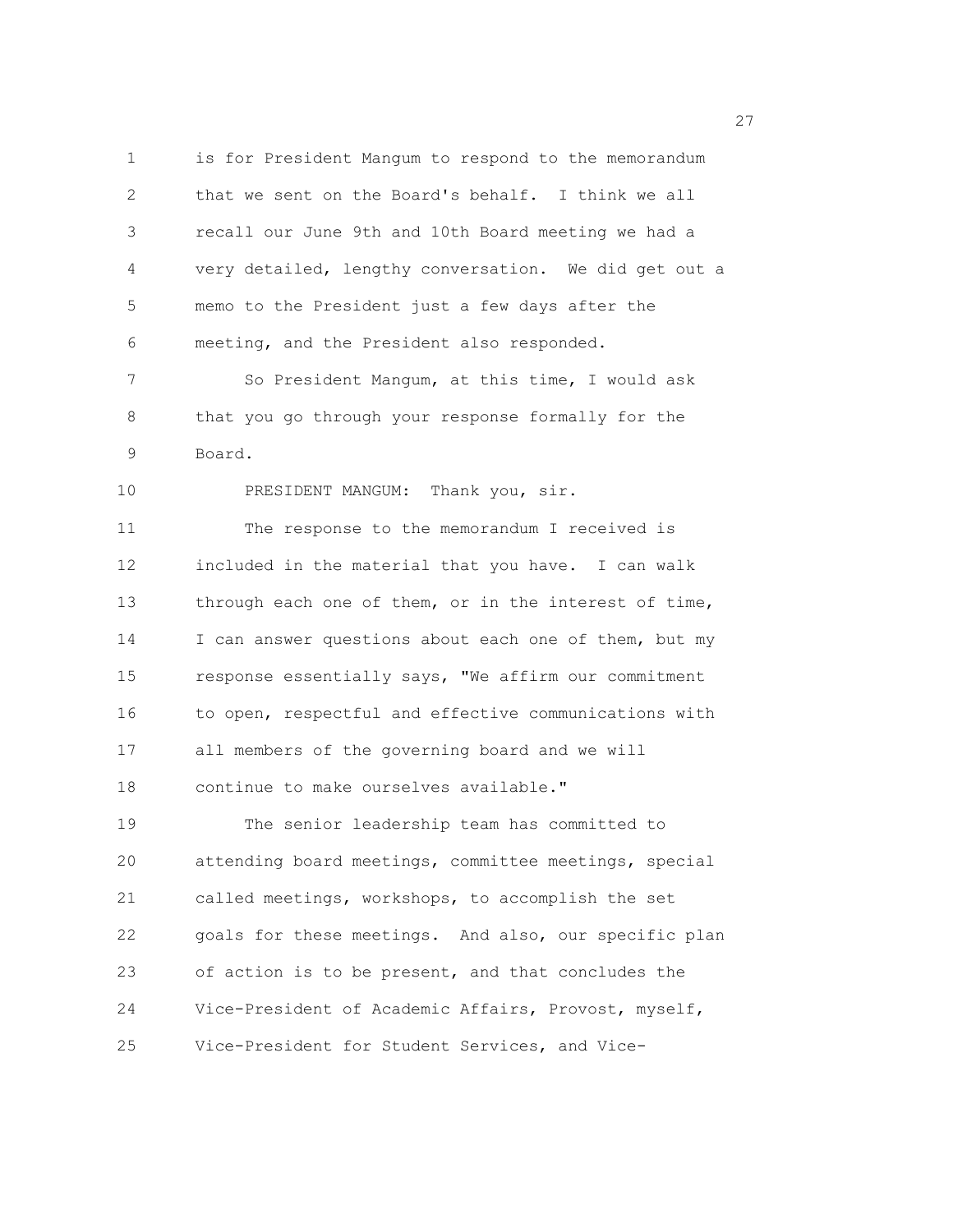1 is for President Mangum to respond to the memorandum 2 that we sent on the Board's behalf. I think we all 3 recall our June 9th and 10th Board meeting we had a 4 very detailed, lengthy conversation. We did get out a 5 memo to the President just a few days after the 6 meeting, and the President also responded. 7 So President Mangum, at this time, I would ask 8 that you go through your response formally for the 9 Board. 10 PRESIDENT MANGUM: Thank you, sir. 11 The response to the memorandum I received is 12 included in the material that you have. I can walk 13 through each one of them, or in the interest of time, 14 I can answer questions about each one of them, but my 15 response essentially says, "We affirm our commitment 16 to open, respectful and effective communications with 17 all members of the governing board and we will 18 continue to make ourselves available." 19 The senior leadership team has committed to 20 attending board meetings, committee meetings, special 21 called meetings, workshops, to accomplish the set 22 goals for these meetings. And also, our specific plan 23 of action is to be present, and that concludes the 24 Vice-President of Academic Affairs, Provost, myself, 25 Vice-President for Student Services, and Vice-

<u>27</u>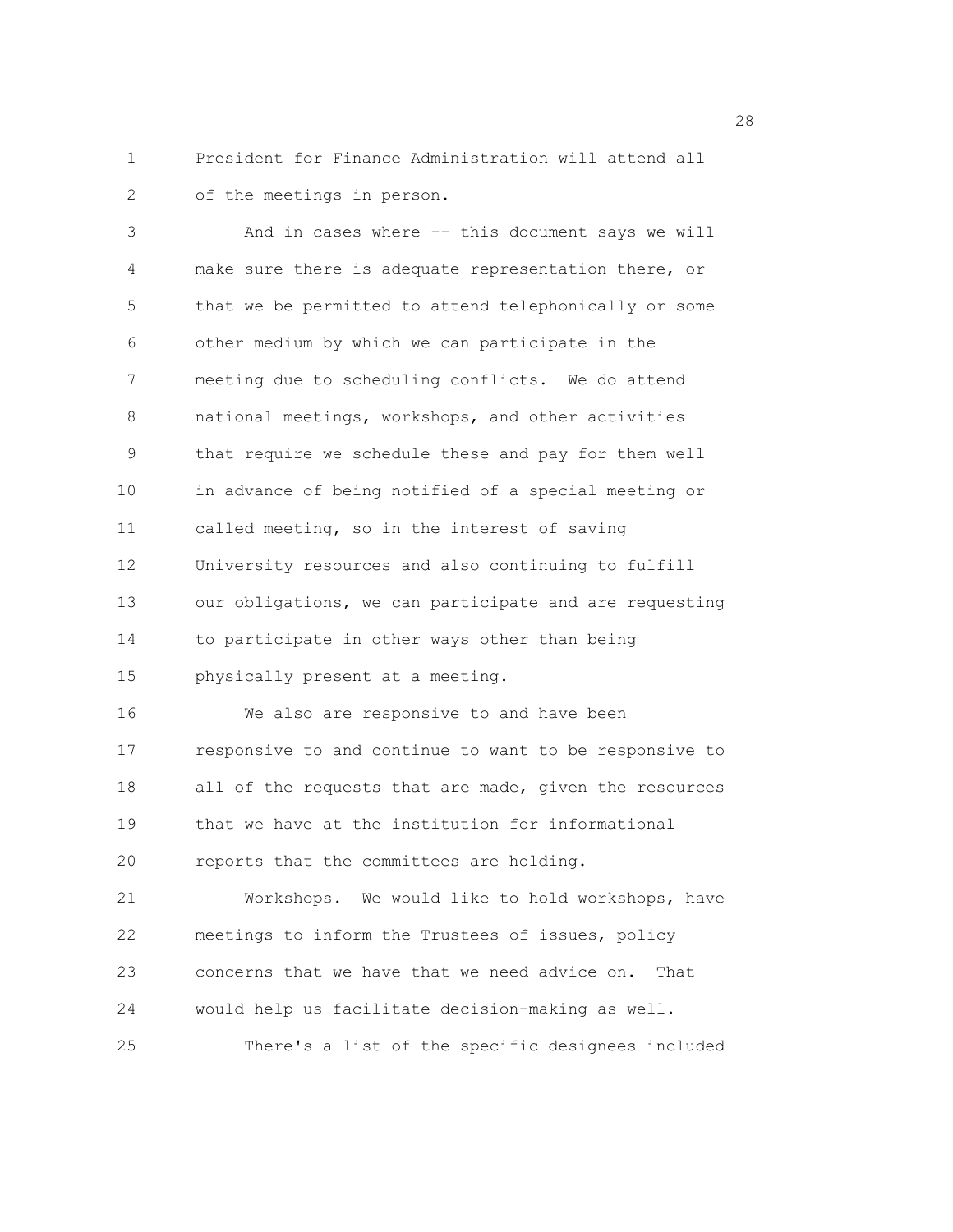1 President for Finance Administration will attend all 2 of the meetings in person.

3 And in cases where -- this document says we will 4 make sure there is adequate representation there, or 5 that we be permitted to attend telephonically or some 6 other medium by which we can participate in the 7 meeting due to scheduling conflicts. We do attend 8 national meetings, workshops, and other activities 9 that require we schedule these and pay for them well 10 in advance of being notified of a special meeting or 11 called meeting, so in the interest of saving 12 University resources and also continuing to fulfill 13 our obligations, we can participate and are requesting 14 to participate in other ways other than being 15 physically present at a meeting. 16 We also are responsive to and have been 17 responsive to and continue to want to be responsive to 18 all of the requests that are made, given the resources 19 that we have at the institution for informational 20 reports that the committees are holding. 21 Workshops. We would like to hold workshops, have 22 meetings to inform the Trustees of issues, policy 23 concerns that we have that we need advice on. That 24 would help us facilitate decision-making as well. 25 There's a list of the specific designees included

28 and 28 and 28 and 28 and 28 and 28 and 28 and 28 and 28 and 28 and 28 and 28 and 28 and 28 and 28 and 28 and 28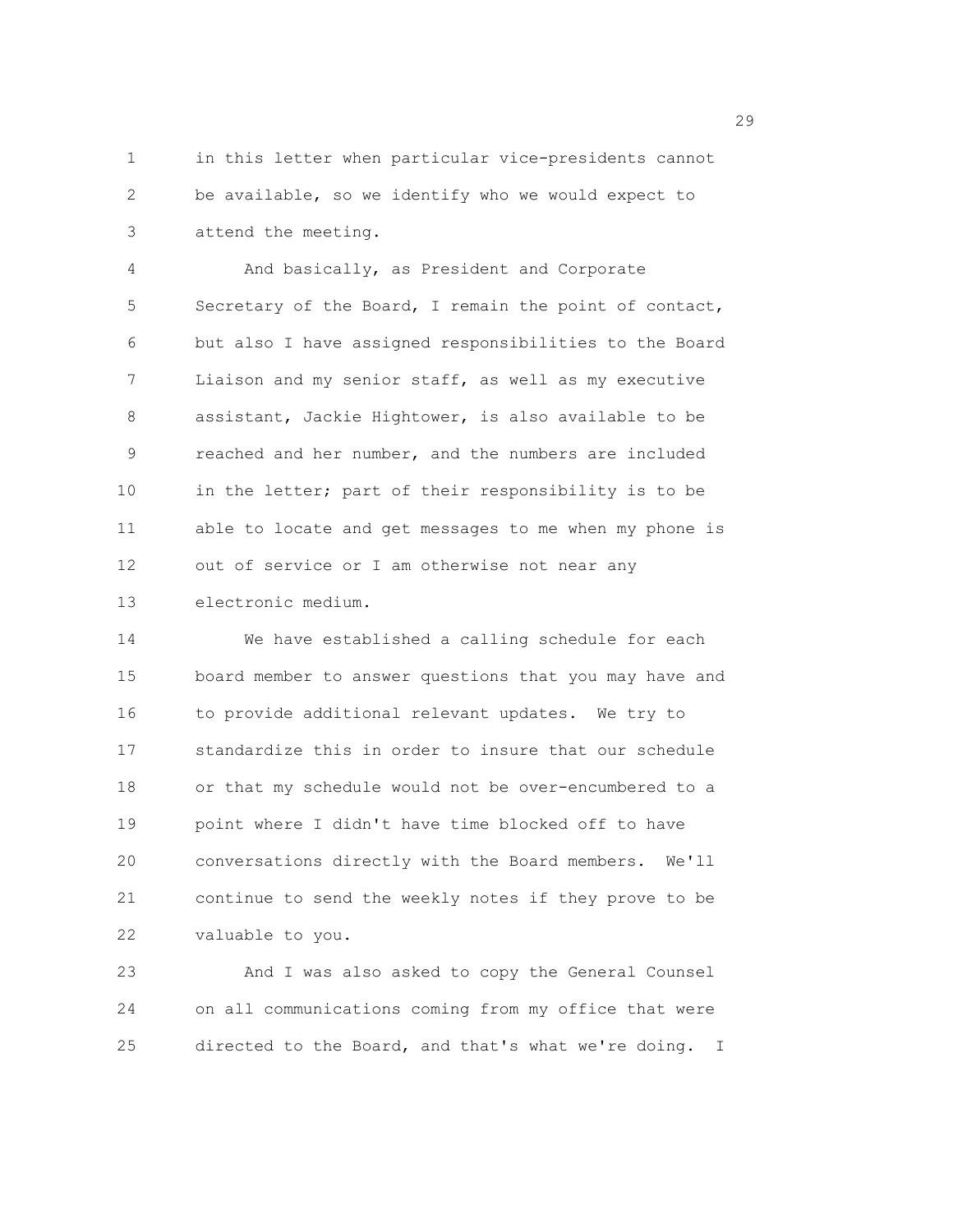1 in this letter when particular vice-presidents cannot 2 be available, so we identify who we would expect to 3 attend the meeting.

4 And basically, as President and Corporate 5 Secretary of the Board, I remain the point of contact, 6 but also I have assigned responsibilities to the Board 7 Liaison and my senior staff, as well as my executive 8 assistant, Jackie Hightower, is also available to be 9 reached and her number, and the numbers are included 10 in the letter; part of their responsibility is to be 11 able to locate and get messages to me when my phone is 12 out of service or I am otherwise not near any 13 electronic medium.

14 We have established a calling schedule for each 15 board member to answer questions that you may have and 16 to provide additional relevant updates. We try to 17 standardize this in order to insure that our schedule 18 or that my schedule would not be over-encumbered to a 19 point where I didn't have time blocked off to have 20 conversations directly with the Board members. We'll 21 continue to send the weekly notes if they prove to be 22 valuable to you.

23 And I was also asked to copy the General Counsel 24 on all communications coming from my office that were 25 directed to the Board, and that's what we're doing. I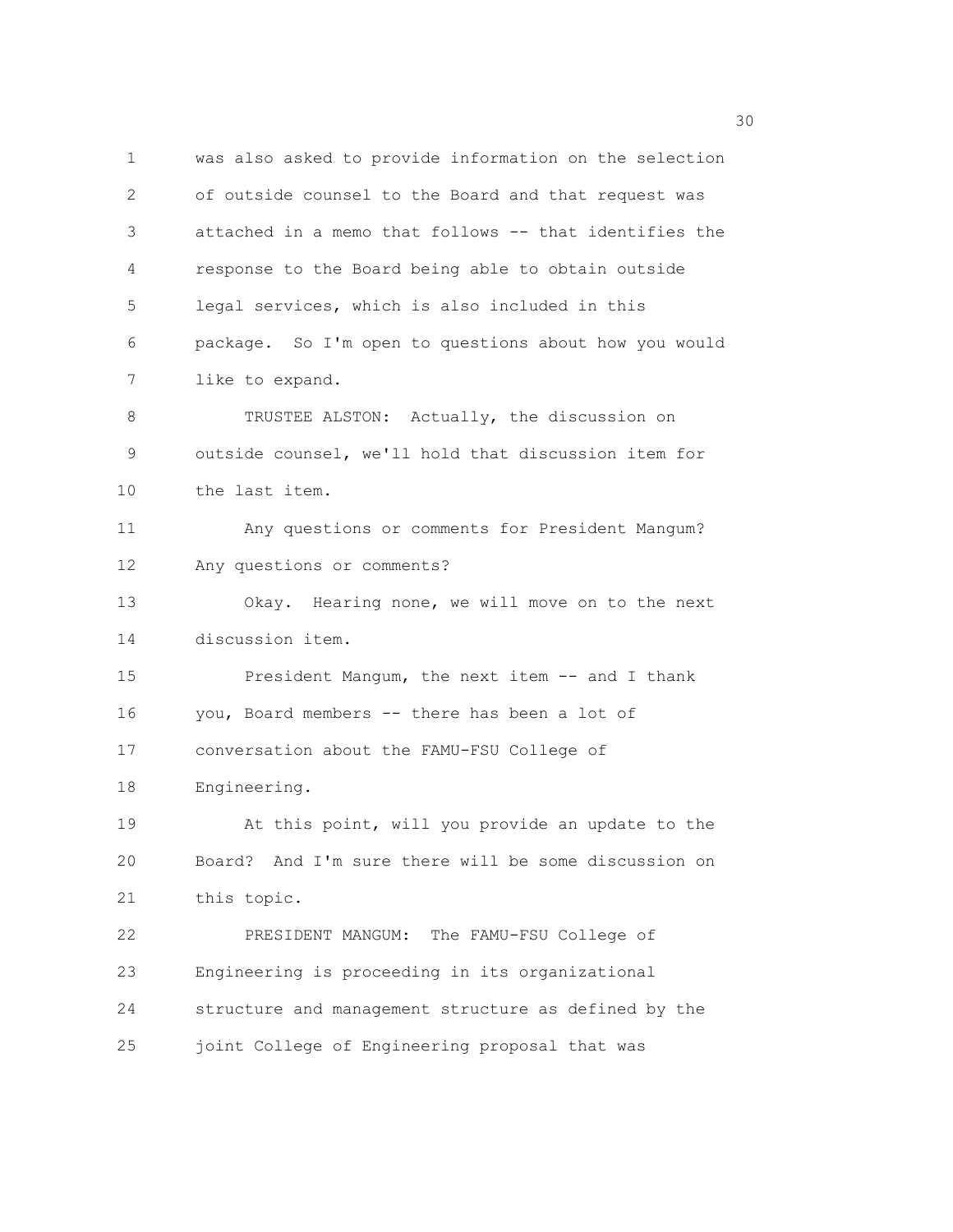1 was also asked to provide information on the selection 2 of outside counsel to the Board and that request was 3 attached in a memo that follows -- that identifies the 4 response to the Board being able to obtain outside 5 legal services, which is also included in this 6 package. So I'm open to questions about how you would 7 like to expand. 8 TRUSTEE ALSTON: Actually, the discussion on 9 outside counsel, we'll hold that discussion item for 10 the last item. 11 Any questions or comments for President Mangum? 12 Any questions or comments? 13 Okay. Hearing none, we will move on to the next 14 discussion item. 15 President Mangum, the next item -- and I thank 16 you, Board members -- there has been a lot of 17 conversation about the FAMU-FSU College of 18 Engineering. 19 At this point, will you provide an update to the 20 Board? And I'm sure there will be some discussion on 21 this topic. 22 PRESIDENT MANGUM: The FAMU-FSU College of 23 Engineering is proceeding in its organizational 24 structure and management structure as defined by the 25 joint College of Engineering proposal that was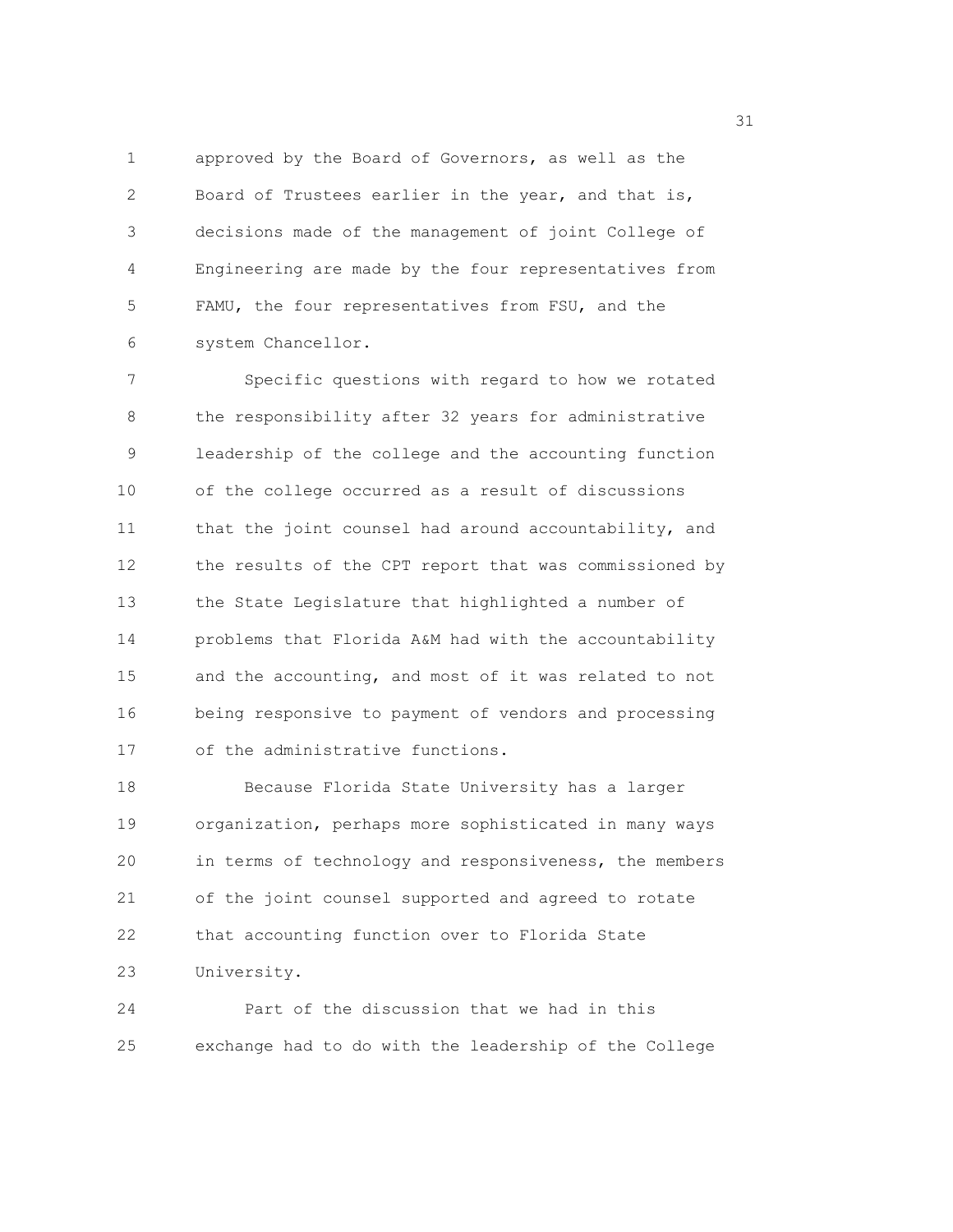1 approved by the Board of Governors, as well as the 2 Board of Trustees earlier in the year, and that is, 3 decisions made of the management of joint College of 4 Engineering are made by the four representatives from 5 FAMU, the four representatives from FSU, and the 6 system Chancellor.

7 Specific questions with regard to how we rotated 8 the responsibility after 32 years for administrative 9 leadership of the college and the accounting function 10 of the college occurred as a result of discussions 11 that the joint counsel had around accountability, and 12 the results of the CPT report that was commissioned by 13 the State Legislature that highlighted a number of 14 problems that Florida A&M had with the accountability 15 and the accounting, and most of it was related to not 16 being responsive to payment of vendors and processing 17 of the administrative functions.

18 Because Florida State University has a larger 19 organization, perhaps more sophisticated in many ways 20 in terms of technology and responsiveness, the members 21 of the joint counsel supported and agreed to rotate 22 that accounting function over to Florida State 23 University.

24 Part of the discussion that we had in this 25 exchange had to do with the leadership of the College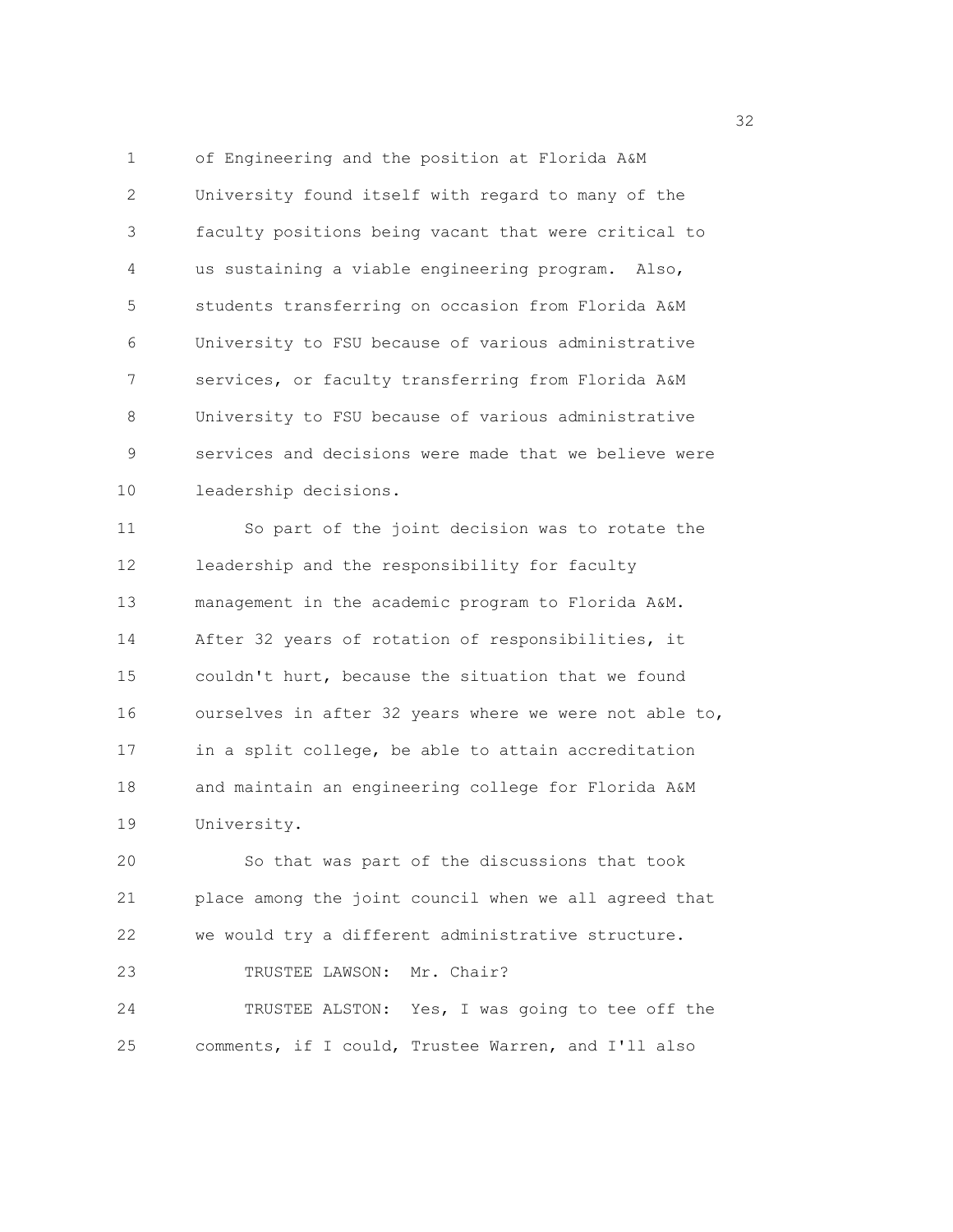1 of Engineering and the position at Florida A&M 2 University found itself with regard to many of the 3 faculty positions being vacant that were critical to 4 us sustaining a viable engineering program. Also, 5 students transferring on occasion from Florida A&M 6 University to FSU because of various administrative 7 services, or faculty transferring from Florida A&M 8 University to FSU because of various administrative 9 services and decisions were made that we believe were 10 leadership decisions.

11 So part of the joint decision was to rotate the 12 leadership and the responsibility for faculty 13 management in the academic program to Florida A&M. 14 After 32 years of rotation of responsibilities, it 15 couldn't hurt, because the situation that we found 16 ourselves in after 32 years where we were not able to, 17 in a split college, be able to attain accreditation 18 and maintain an engineering college for Florida A&M 19 University.

20 So that was part of the discussions that took 21 place among the joint council when we all agreed that 22 we would try a different administrative structure.

23 TRUSTEE LAWSON: Mr. Chair?

24 TRUSTEE ALSTON: Yes, I was going to tee off the 25 comments, if I could, Trustee Warren, and I'll also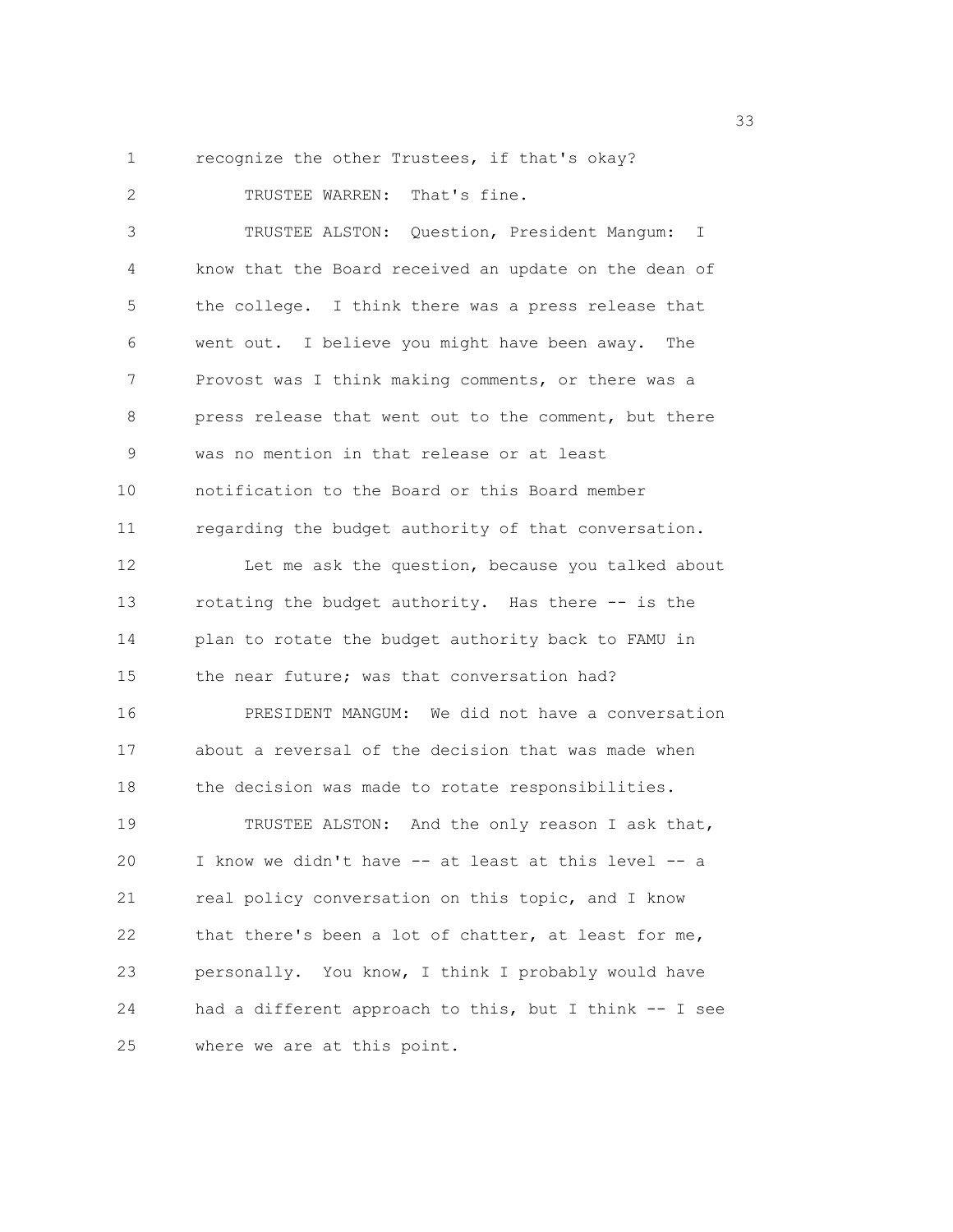1 recognize the other Trustees, if that's okay?

2 TRUSTEE WARREN: That's fine. 3 TRUSTEE ALSTON: Question, President Mangum: I 4 know that the Board received an update on the dean of 5 the college. I think there was a press release that 6 went out. I believe you might have been away. The 7 Provost was I think making comments, or there was a 8 press release that went out to the comment, but there 9 was no mention in that release or at least 10 notification to the Board or this Board member 11 regarding the budget authority of that conversation. 12 Let me ask the question, because you talked about 13 rotating the budget authority. Has there -- is the 14 plan to rotate the budget authority back to FAMU in 15 the near future; was that conversation had? 16 PRESIDENT MANGUM: We did not have a conversation 17 about a reversal of the decision that was made when 18 the decision was made to rotate responsibilities. 19 TRUSTEE ALSTON: And the only reason I ask that, 20 I know we didn't have -- at least at this level -- a 21 real policy conversation on this topic, and I know 22 that there's been a lot of chatter, at least for me, 23 personally. You know, I think I probably would have 24 had a different approach to this, but I think -- I see 25 where we are at this point.

<u>333</u> and the state of the state of the state of the state of the state of the state of the state of the state of the state of the state of the state of the state of the state of the state of the state of the state of the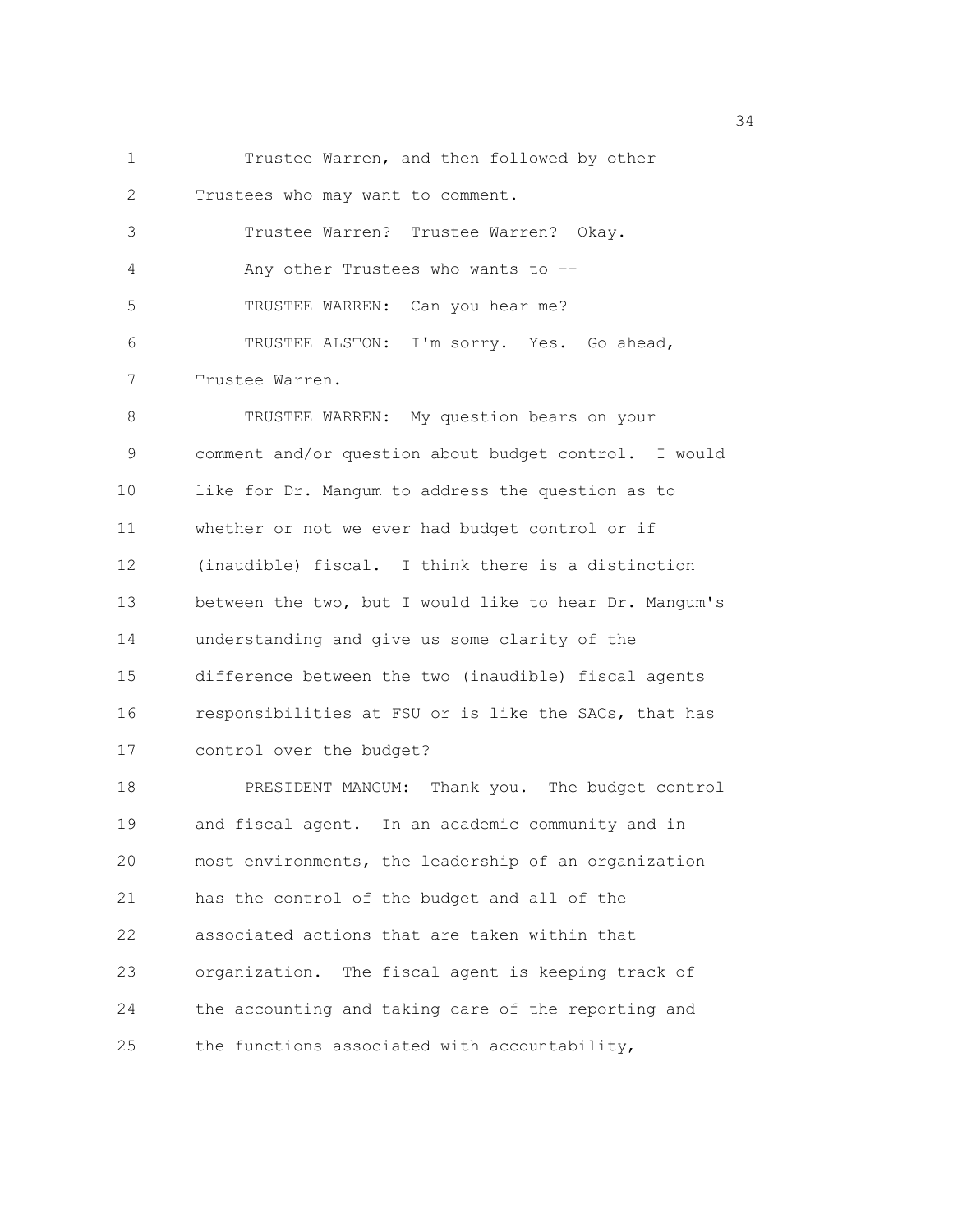1 Trustee Warren, and then followed by other 2 Trustees who may want to comment. 3 Trustee Warren? Trustee Warren? Okay. 4 Any other Trustees who wants to -- 5 TRUSTEE WARREN: Can you hear me? 6 TRUSTEE ALSTON: I'm sorry. Yes. Go ahead, 7 Trustee Warren. 8 TRUSTEE WARREN: My question bears on your 9 comment and/or question about budget control. I would 10 like for Dr. Mangum to address the question as to 11 whether or not we ever had budget control or if 12 (inaudible) fiscal. I think there is a distinction 13 between the two, but I would like to hear Dr. Mangum's 14 understanding and give us some clarity of the 15 difference between the two (inaudible) fiscal agents 16 responsibilities at FSU or is like the SACs, that has 17 control over the budget? 18 PRESIDENT MANGUM: Thank you. The budget control 19 and fiscal agent. In an academic community and in 20 most environments, the leadership of an organization 21 has the control of the budget and all of the 22 associated actions that are taken within that 23 organization. The fiscal agent is keeping track of 24 the accounting and taking care of the reporting and 25 the functions associated with accountability,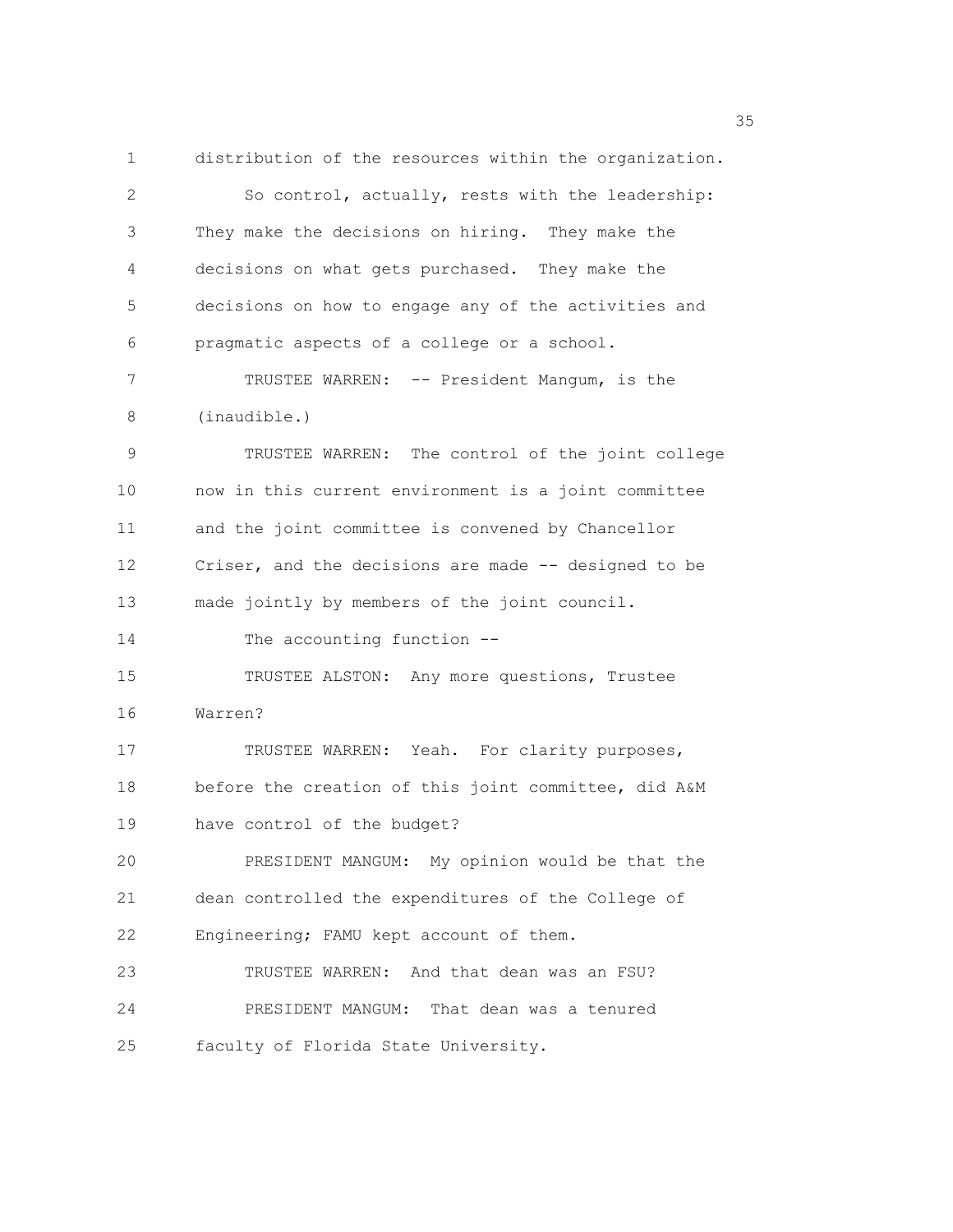1 distribution of the resources within the organization. 2 So control, actually, rests with the leadership: 3 They make the decisions on hiring. They make the 4 decisions on what gets purchased. They make the 5 decisions on how to engage any of the activities and 6 pragmatic aspects of a college or a school. 7 TRUSTEE WARREN: -- President Mangum, is the 8 (inaudible.) 9 TRUSTEE WARREN: The control of the joint college 10 now in this current environment is a joint committee 11 and the joint committee is convened by Chancellor 12 Criser, and the decisions are made -- designed to be 13 made jointly by members of the joint council. 14 The accounting function -- 15 TRUSTEE ALSTON: Any more questions, Trustee 16 Warren? 17 TRUSTEE WARREN: Yeah. For clarity purposes, 18 before the creation of this joint committee, did A&M 19 have control of the budget? 20 PRESIDENT MANGUM: My opinion would be that the 21 dean controlled the expenditures of the College of 22 Engineering; FAMU kept account of them. 23 TRUSTEE WARREN: And that dean was an FSU? 24 PRESIDENT MANGUM: That dean was a tenured 25 faculty of Florida State University.

<u>35 September 2005 September 2005 September 2005 September 2005 September 2005 September 2005 September 2005 S</u>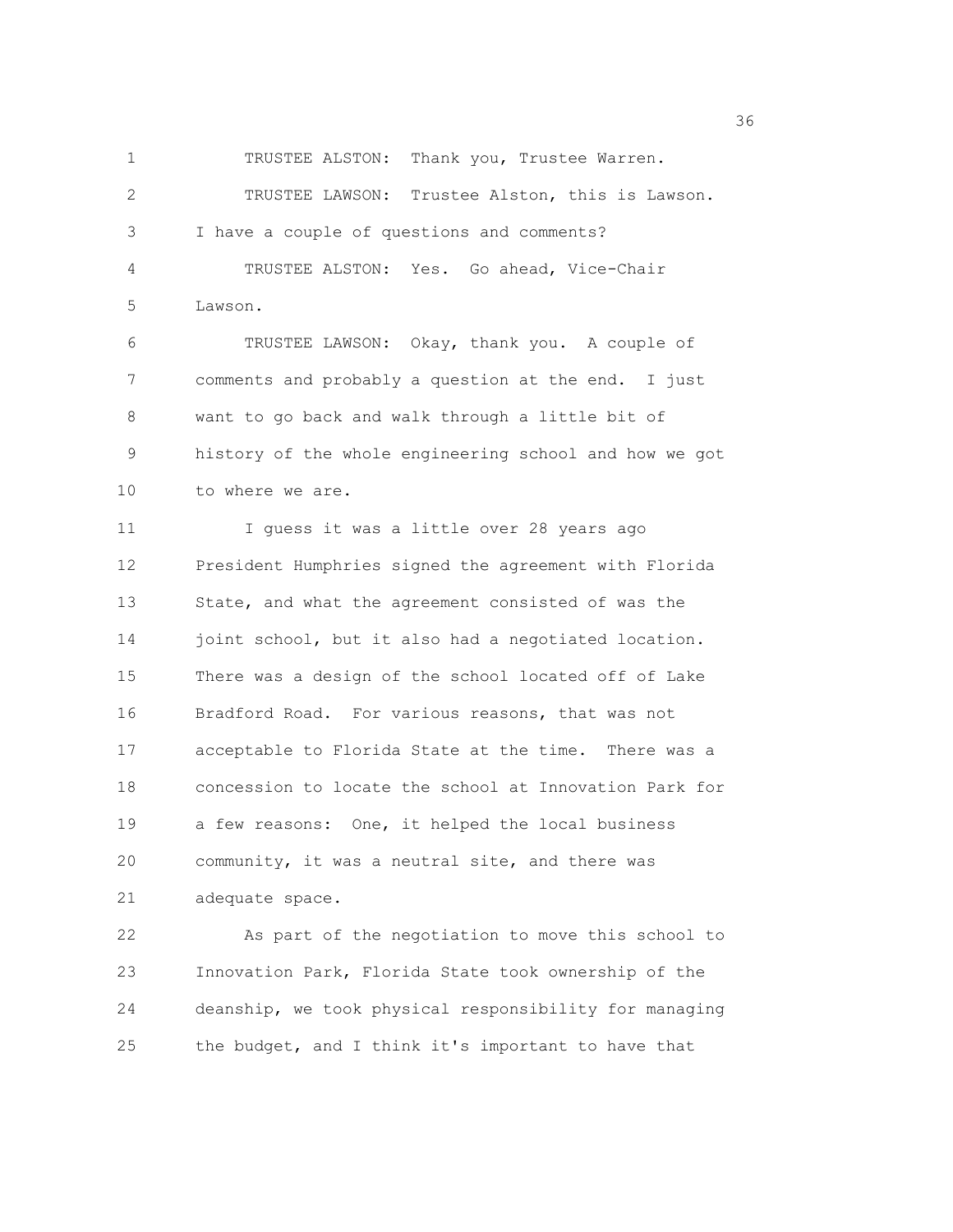1 TRUSTEE ALSTON: Thank you, Trustee Warren.

2 TRUSTEE LAWSON: Trustee Alston, this is Lawson. 3 I have a couple of questions and comments? 4 TRUSTEE ALSTON: Yes. Go ahead, Vice-Chair 5 Lawson. 6 TRUSTEE LAWSON: Okay, thank you. A couple of 7 comments and probably a question at the end. I just 8 want to go back and walk through a little bit of 9 history of the whole engineering school and how we got 10 to where we are. 11 I guess it was a little over 28 years ago 12 President Humphries signed the agreement with Florida 13 State, and what the agreement consisted of was the 14 joint school, but it also had a negotiated location. 15 There was a design of the school located off of Lake 16 Bradford Road. For various reasons, that was not 17 acceptable to Florida State at the time. There was a 18 concession to locate the school at Innovation Park for 19 a few reasons: One, it helped the local business

20 community, it was a neutral site, and there was 21 adequate space.

22 As part of the negotiation to move this school to 23 Innovation Park, Florida State took ownership of the 24 deanship, we took physical responsibility for managing 25 the budget, and I think it's important to have that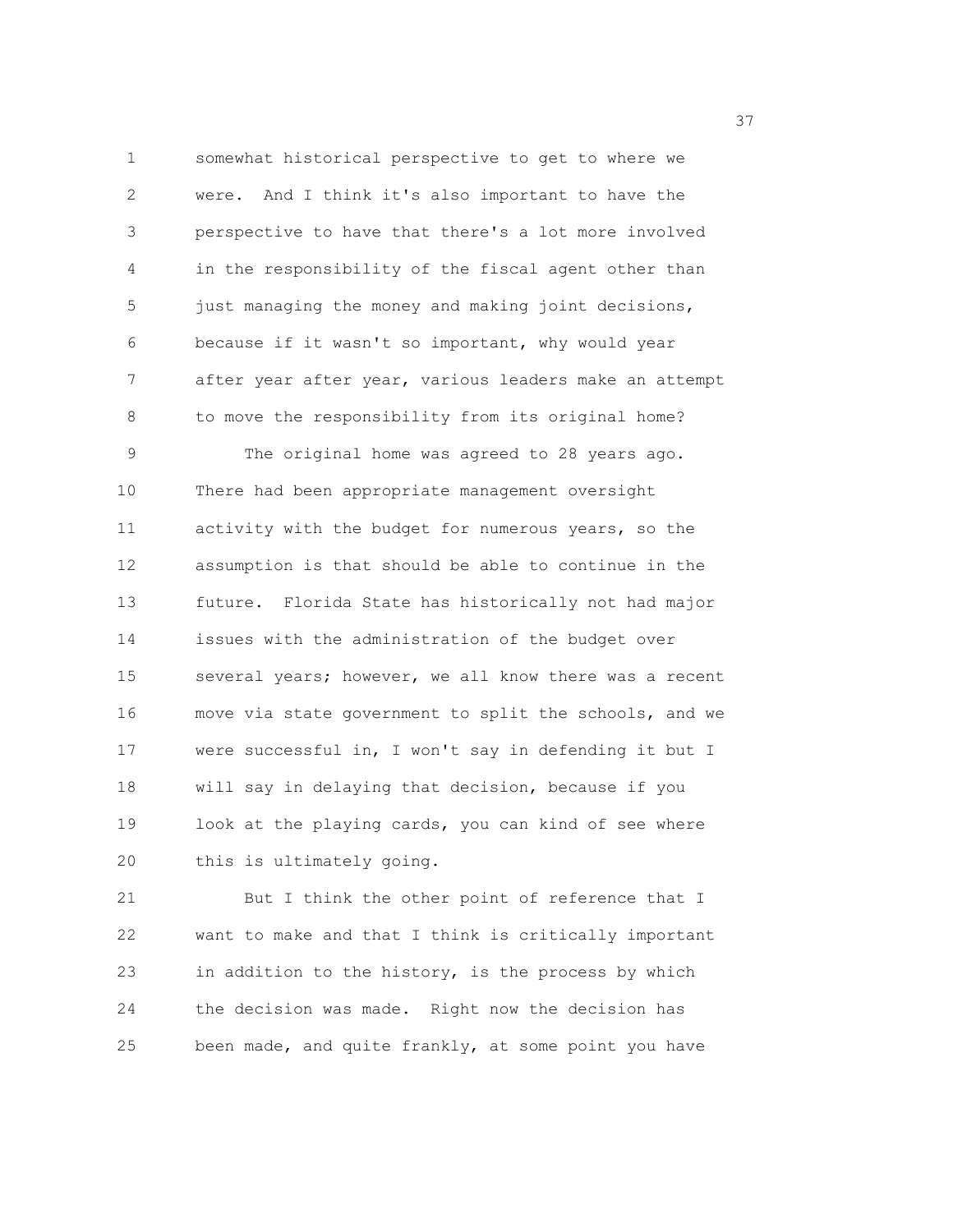1 somewhat historical perspective to get to where we 2 were. And I think it's also important to have the 3 perspective to have that there's a lot more involved 4 in the responsibility of the fiscal agent other than 5 just managing the money and making joint decisions, 6 because if it wasn't so important, why would year 7 after year after year, various leaders make an attempt 8 to move the responsibility from its original home? 9 The original home was agreed to 28 years ago. 10 There had been appropriate management oversight 11 activity with the budget for numerous years, so the 12 assumption is that should be able to continue in the 13 future. Florida State has historically not had major 14 issues with the administration of the budget over 15 several years; however, we all know there was a recent 16 move via state government to split the schools, and we 17 were successful in, I won't say in defending it but I 18 will say in delaying that decision, because if you 19 look at the playing cards, you can kind of see where 20 this is ultimately going.

21 But I think the other point of reference that I 22 want to make and that I think is critically important 23 in addition to the history, is the process by which 24 the decision was made. Right now the decision has 25 been made, and quite frankly, at some point you have

<u>37</u>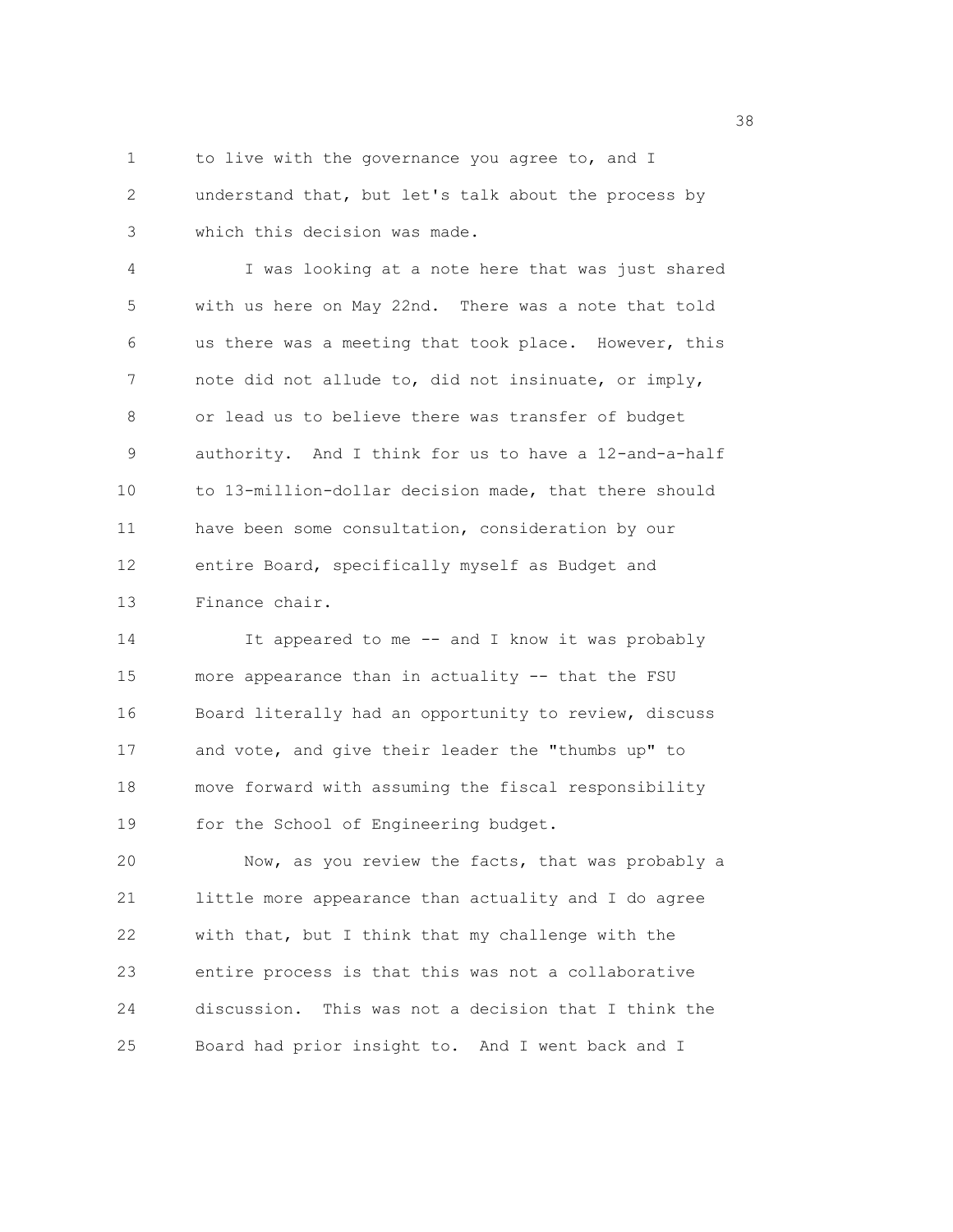1 to live with the governance you agree to, and I 2 understand that, but let's talk about the process by 3 which this decision was made.

4 I was looking at a note here that was just shared 5 with us here on May 22nd. There was a note that told 6 us there was a meeting that took place. However, this 7 note did not allude to, did not insinuate, or imply, 8 or lead us to believe there was transfer of budget 9 authority. And I think for us to have a 12-and-a-half 10 to 13-million-dollar decision made, that there should 11 have been some consultation, consideration by our 12 entire Board, specifically myself as Budget and 13 Finance chair.

14 It appeared to me -- and I know it was probably 15 more appearance than in actuality -- that the FSU 16 Board literally had an opportunity to review, discuss 17 and vote, and give their leader the "thumbs up" to 18 move forward with assuming the fiscal responsibility 19 for the School of Engineering budget.

20 Now, as you review the facts, that was probably a 21 little more appearance than actuality and I do agree 22 with that, but I think that my challenge with the 23 entire process is that this was not a collaborative 24 discussion. This was not a decision that I think the 25 Board had prior insight to. And I went back and I

<u>38 and 2001 and 2002 and 2003 and 2003 and 2003 and 2003 and 2003 and 2003 and 2003</u>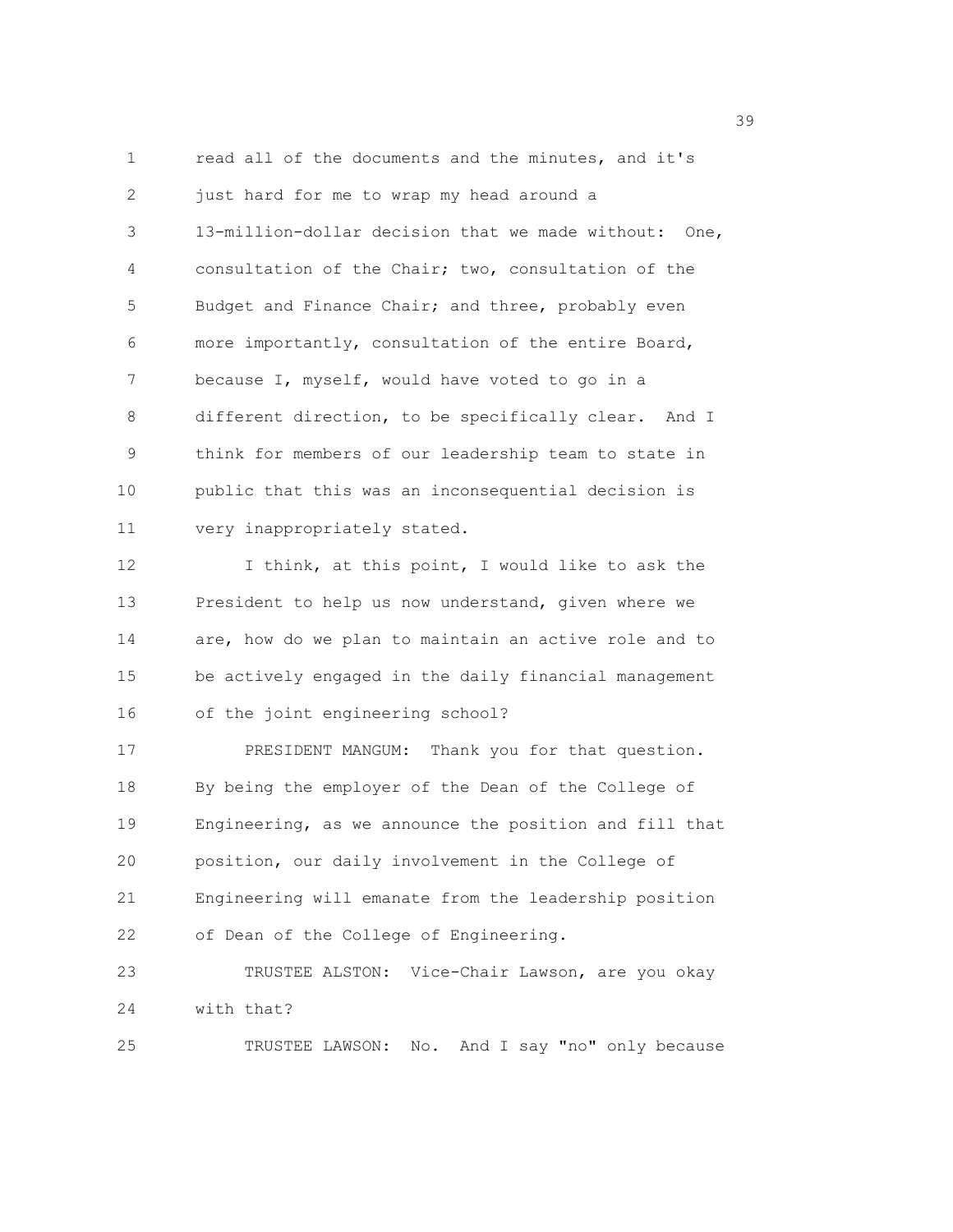1 read all of the documents and the minutes, and it's 2 just hard for me to wrap my head around a 3 13-million-dollar decision that we made without: One, 4 consultation of the Chair; two, consultation of the 5 Budget and Finance Chair; and three, probably even 6 more importantly, consultation of the entire Board, 7 because I, myself, would have voted to go in a 8 different direction, to be specifically clear. And I 9 think for members of our leadership team to state in 10 public that this was an inconsequential decision is 11 very inappropriately stated. 12 I think, at this point, I would like to ask the 13 President to help us now understand, given where we 14 are, how do we plan to maintain an active role and to 15 be actively engaged in the daily financial management 16 of the joint engineering school? 17 PRESIDENT MANGUM: Thank you for that question. 18 By being the employer of the Dean of the College of 19 Engineering, as we announce the position and fill that 20 position, our daily involvement in the College of 21 Engineering will emanate from the leadership position 22 of Dean of the College of Engineering. 23 TRUSTEE ALSTON: Vice-Chair Lawson, are you okay

24 with that?

25 TRUSTEE LAWSON: No. And I say "no" only because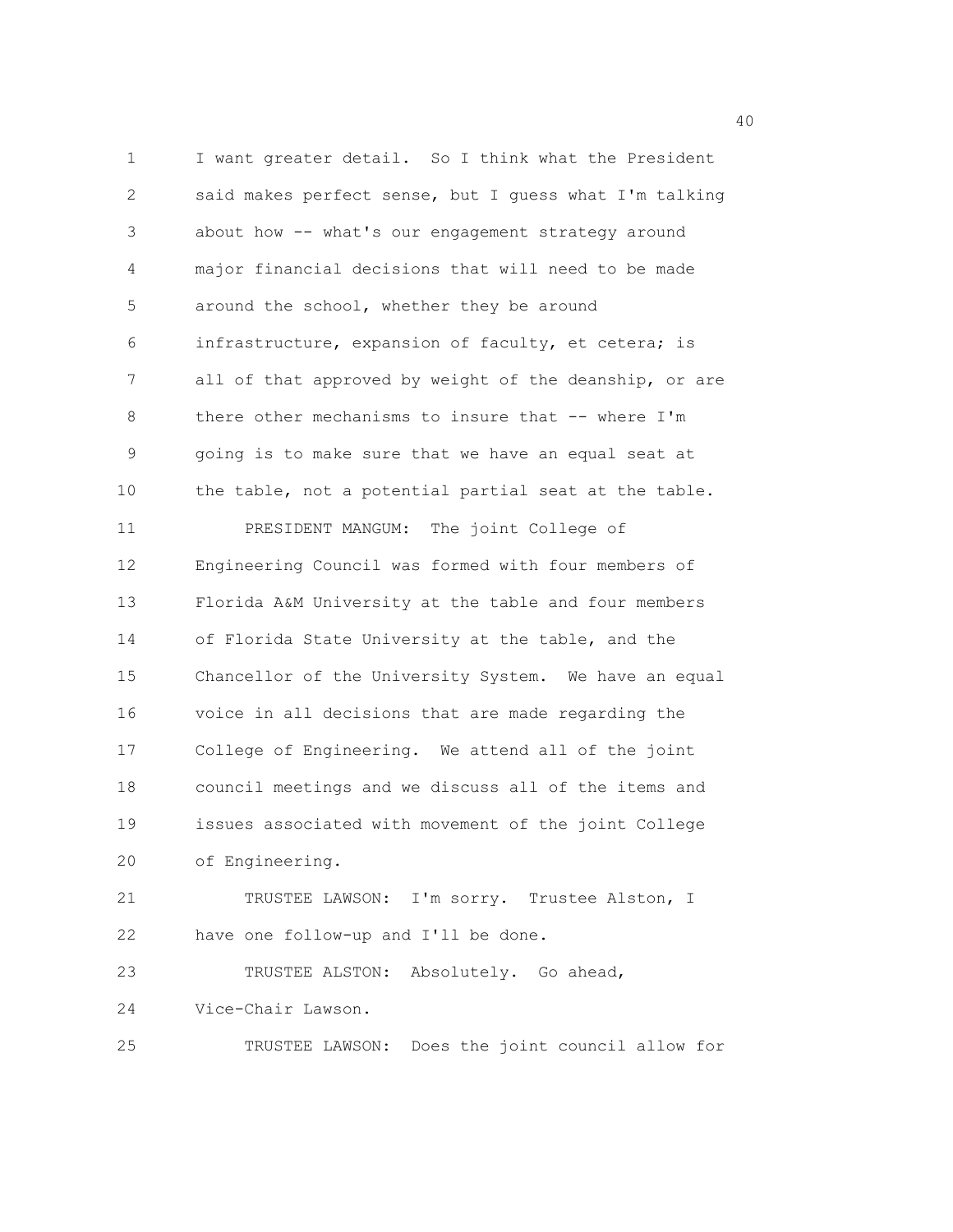1 I want greater detail. So I think what the President 2 said makes perfect sense, but I guess what I'm talking 3 about how -- what's our engagement strategy around 4 major financial decisions that will need to be made 5 around the school, whether they be around 6 infrastructure, expansion of faculty, et cetera; is 7 all of that approved by weight of the deanship, or are 8 there other mechanisms to insure that -- where I'm 9 going is to make sure that we have an equal seat at 10 the table, not a potential partial seat at the table. 11 PRESIDENT MANGUM: The joint College of 12 Engineering Council was formed with four members of 13 Florida A&M University at the table and four members 14 of Florida State University at the table, and the 15 Chancellor of the University System. We have an equal 16 voice in all decisions that are made regarding the 17 College of Engineering. We attend all of the joint 18 council meetings and we discuss all of the items and 19 issues associated with movement of the joint College 20 of Engineering. 21 TRUSTEE LAWSON: I'm sorry. Trustee Alston, I 22 have one follow-up and I'll be done. 23 TRUSTEE ALSTON: Absolutely. Go ahead, 24 Vice-Chair Lawson.

25 TRUSTEE LAWSON: Does the joint council allow for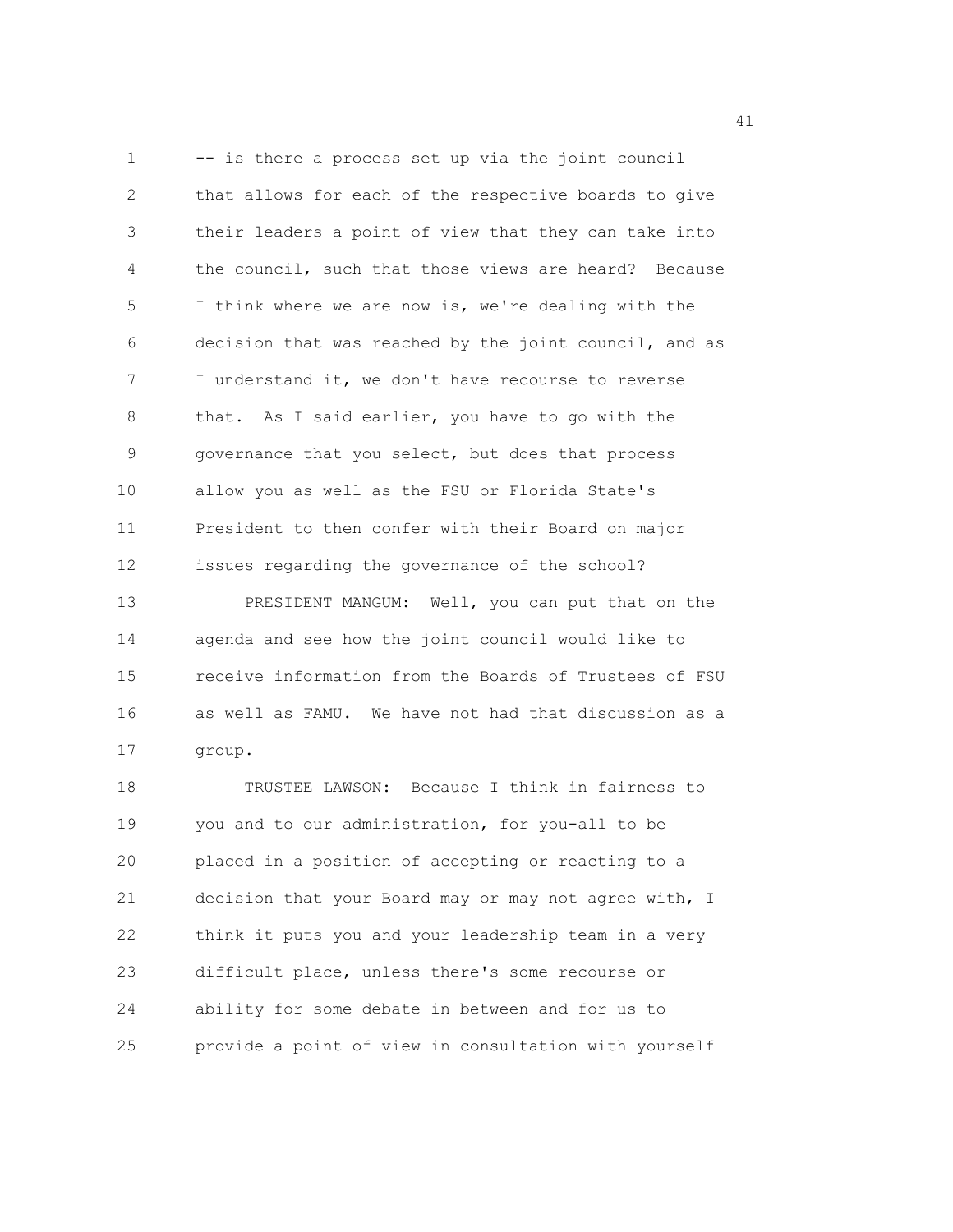1 -- is there a process set up via the joint council 2 that allows for each of the respective boards to give 3 their leaders a point of view that they can take into 4 the council, such that those views are heard? Because 5 I think where we are now is, we're dealing with the 6 decision that was reached by the joint council, and as 7 I understand it, we don't have recourse to reverse 8 that. As I said earlier, you have to go with the 9 governance that you select, but does that process 10 allow you as well as the FSU or Florida State's 11 President to then confer with their Board on major 12 issues regarding the governance of the school? 13 PRESIDENT MANGUM: Well, you can put that on the 14 agenda and see how the joint council would like to 15 receive information from the Boards of Trustees of FSU 16 as well as FAMU. We have not had that discussion as a 17 group.

18 TRUSTEE LAWSON: Because I think in fairness to 19 you and to our administration, for you-all to be 20 placed in a position of accepting or reacting to a 21 decision that your Board may or may not agree with, I 22 think it puts you and your leadership team in a very 23 difficult place, unless there's some recourse or 24 ability for some debate in between and for us to 25 provide a point of view in consultation with yourself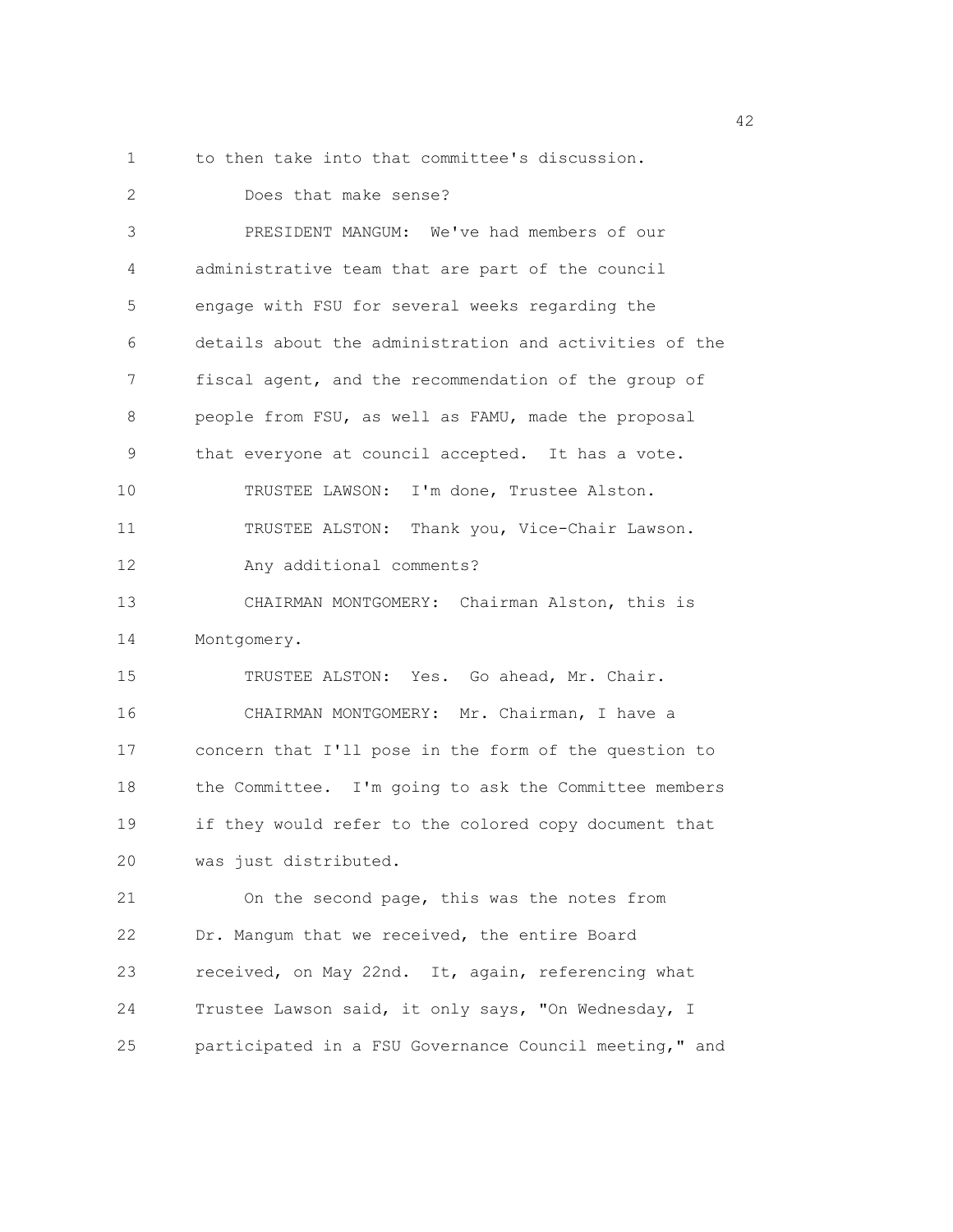1 to then take into that committee's discussion.

| 2  | Does that make sense?                                  |
|----|--------------------------------------------------------|
| 3  | PRESIDENT MANGUM: We've had members of our             |
| 4  | administrative team that are part of the council       |
| 5  | engage with FSU for several weeks regarding the        |
| 6  | details about the administration and activities of the |
| 7  | fiscal agent, and the recommendation of the group of   |
| 8  | people from FSU, as well as FAMU, made the proposal    |
| 9  | that everyone at council accepted. It has a vote.      |
| 10 | TRUSTEE LAWSON: I'm done, Trustee Alston.              |
| 11 | TRUSTEE ALSTON: Thank you, Vice-Chair Lawson.          |
| 12 | Any additional comments?                               |
| 13 | CHAIRMAN MONTGOMERY: Chairman Alston, this is          |
| 14 | Montgomery.                                            |
| 15 | TRUSTEE ALSTON: Yes. Go ahead, Mr. Chair.              |
| 16 | CHAIRMAN MONTGOMERY: Mr. Chairman, I have a            |
| 17 | concern that I'll pose in the form of the question to  |
| 18 | the Committee. I'm going to ask the Committee members  |
| 19 | if they would refer to the colored copy document that  |
| 20 | was just distributed.                                  |
| 21 | On the second page, this was the notes from            |
| 22 | Dr. Mangum that we received, the entire Board          |
| 23 | received, on May 22nd. It, again, referencing what     |
| 24 | Trustee Lawson said, it only says, "On Wednesday, I    |
| 25 | participated in a FSU Governance Council meeting," and |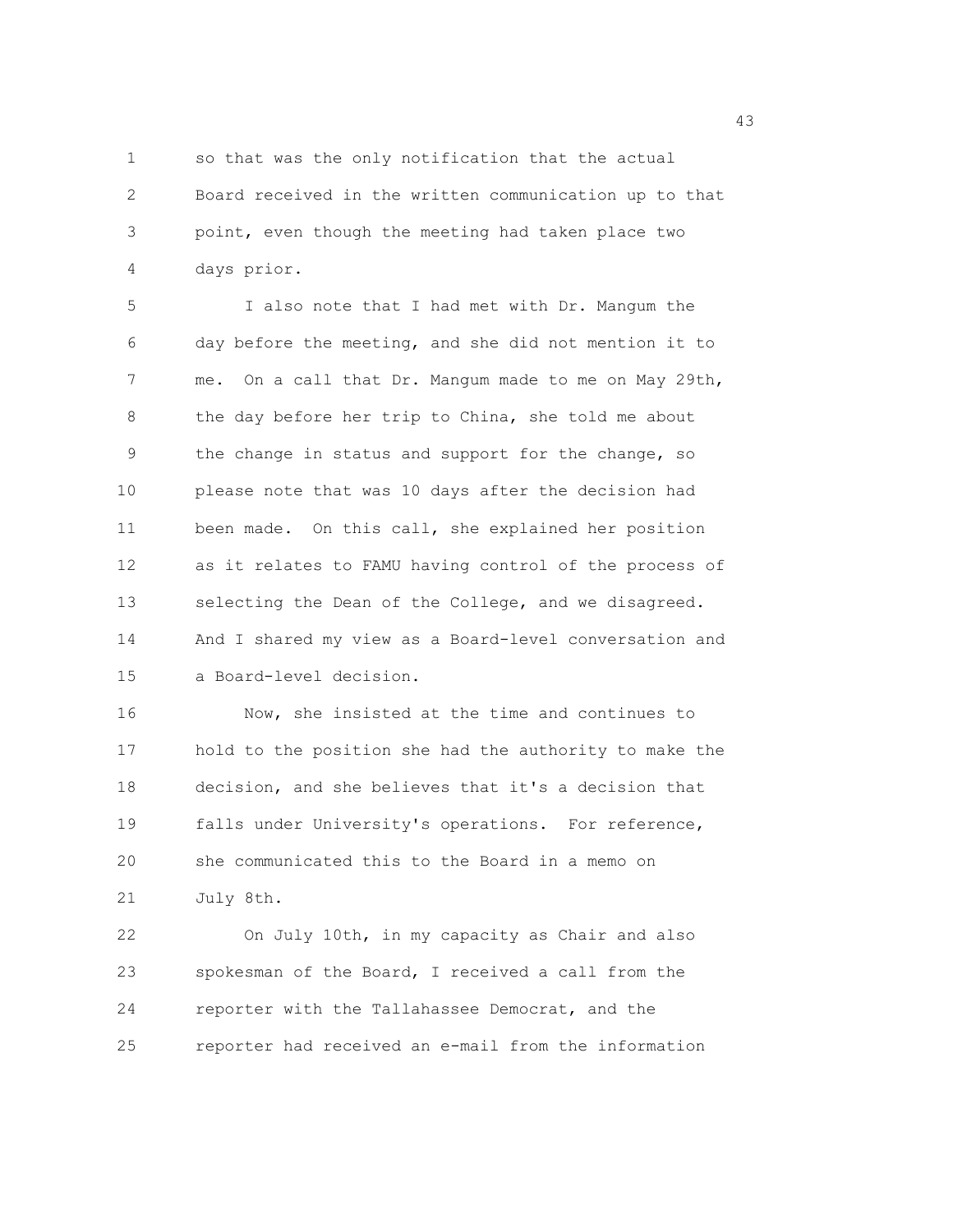1 so that was the only notification that the actual 2 Board received in the written communication up to that 3 point, even though the meeting had taken place two 4 days prior.

5 I also note that I had met with Dr. Mangum the 6 day before the meeting, and she did not mention it to 7 me. On a call that Dr. Mangum made to me on May 29th, 8 the day before her trip to China, she told me about 9 the change in status and support for the change, so 10 please note that was 10 days after the decision had 11 been made. On this call, she explained her position 12 as it relates to FAMU having control of the process of 13 selecting the Dean of the College, and we disagreed. 14 And I shared my view as a Board-level conversation and 15 a Board-level decision.

16 Now, she insisted at the time and continues to 17 hold to the position she had the authority to make the 18 decision, and she believes that it's a decision that 19 falls under University's operations. For reference, 20 she communicated this to the Board in a memo on 21 July 8th.

22 On July 10th, in my capacity as Chair and also 23 spokesman of the Board, I received a call from the 24 reporter with the Tallahassee Democrat, and the 25 reporter had received an e-mail from the information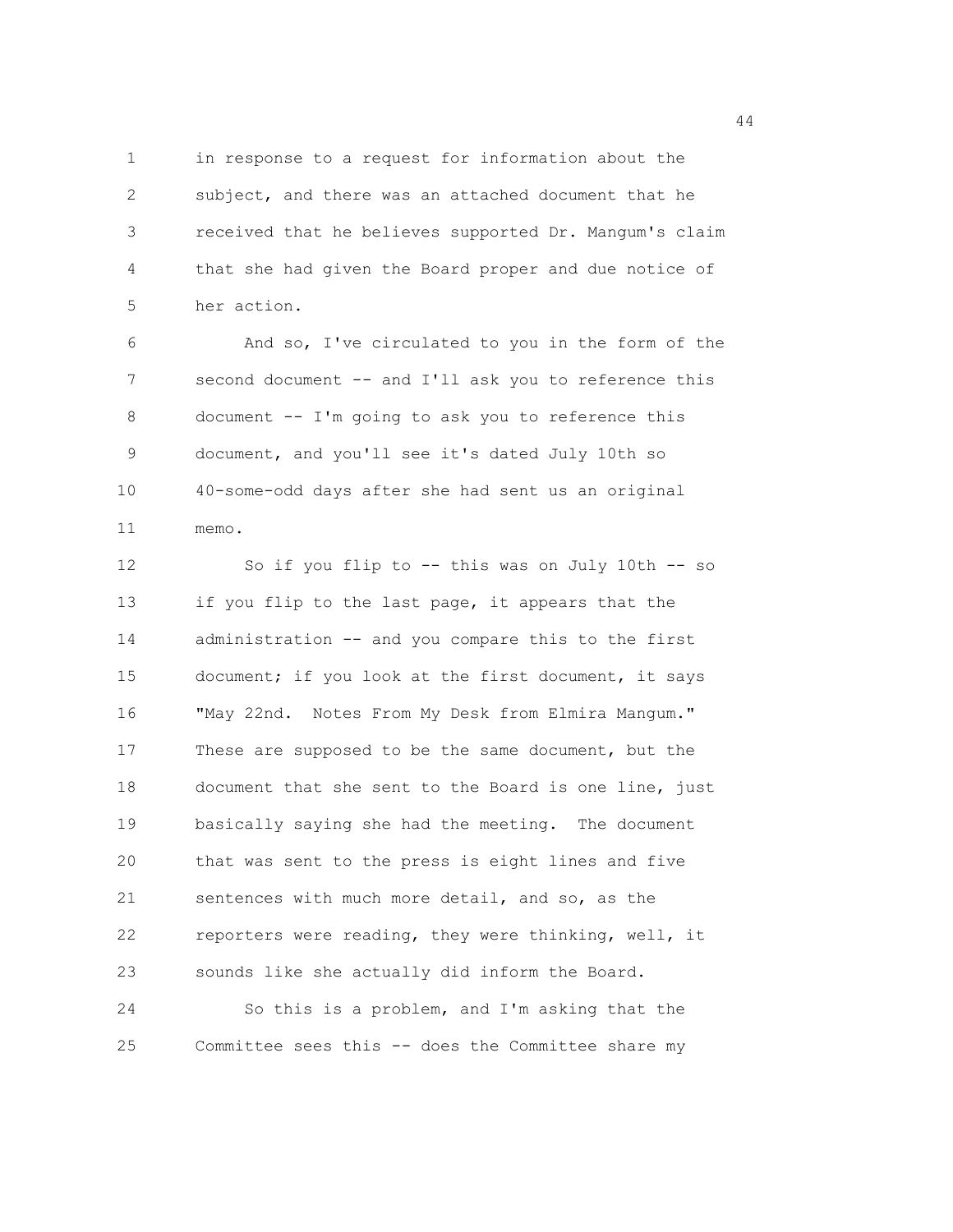1 in response to a request for information about the 2 subject, and there was an attached document that he 3 received that he believes supported Dr. Mangum's claim 4 that she had given the Board proper and due notice of 5 her action.

6 And so, I've circulated to you in the form of the 7 second document -- and I'll ask you to reference this 8 document -- I'm going to ask you to reference this 9 document, and you'll see it's dated July 10th so 10 40-some-odd days after she had sent us an original 11 memo.

12 So if you flip to -- this was on July 10th -- so 13 if you flip to the last page, it appears that the 14 administration -- and you compare this to the first 15 document; if you look at the first document, it says 16 "May 22nd. Notes From My Desk from Elmira Mangum." 17 These are supposed to be the same document, but the 18 document that she sent to the Board is one line, just 19 basically saying she had the meeting. The document 20 that was sent to the press is eight lines and five 21 sentences with much more detail, and so, as the 22 reporters were reading, they were thinking, well, it 23 sounds like she actually did inform the Board. 24 So this is a problem, and I'm asking that the 25 Committee sees this -- does the Committee share my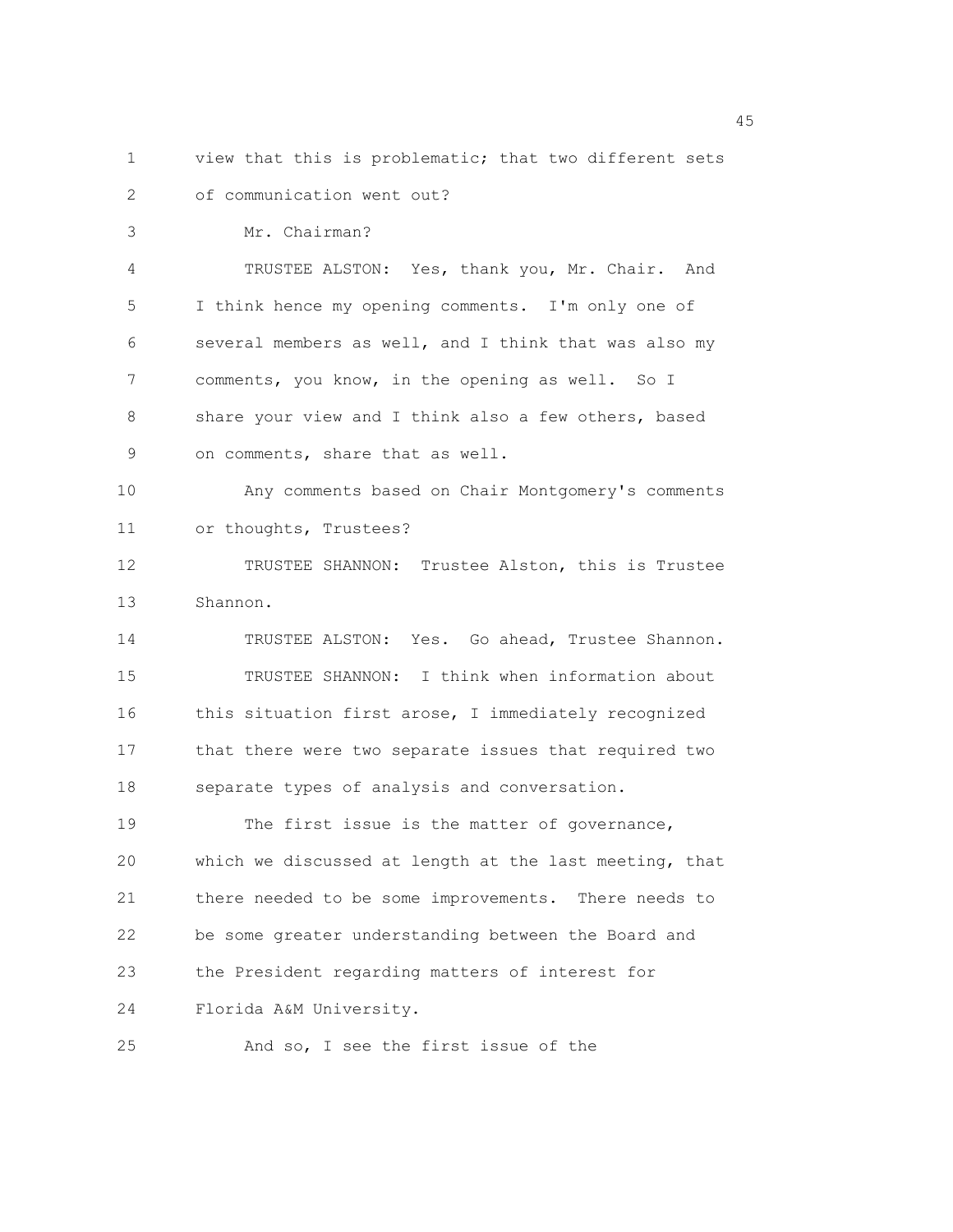1 view that this is problematic; that two different sets 2 of communication went out?

3 Mr. Chairman? 4 TRUSTEE ALSTON: Yes, thank you, Mr. Chair. And 5 I think hence my opening comments. I'm only one of 6 several members as well, and I think that was also my 7 comments, you know, in the opening as well. So I 8 share your view and I think also a few others, based 9 on comments, share that as well. 10 Any comments based on Chair Montgomery's comments 11 or thoughts, Trustees? 12 TRUSTEE SHANNON: Trustee Alston, this is Trustee

13 Shannon.

14 TRUSTEE ALSTON: Yes. Go ahead, Trustee Shannon. 15 TRUSTEE SHANNON: I think when information about 16 this situation first arose, I immediately recognized 17 that there were two separate issues that required two 18 separate types of analysis and conversation.

19 The first issue is the matter of governance, 20 which we discussed at length at the last meeting, that 21 there needed to be some improvements. There needs to 22 be some greater understanding between the Board and 23 the President regarding matters of interest for 24 Florida A&M University.

25 And so, I see the first issue of the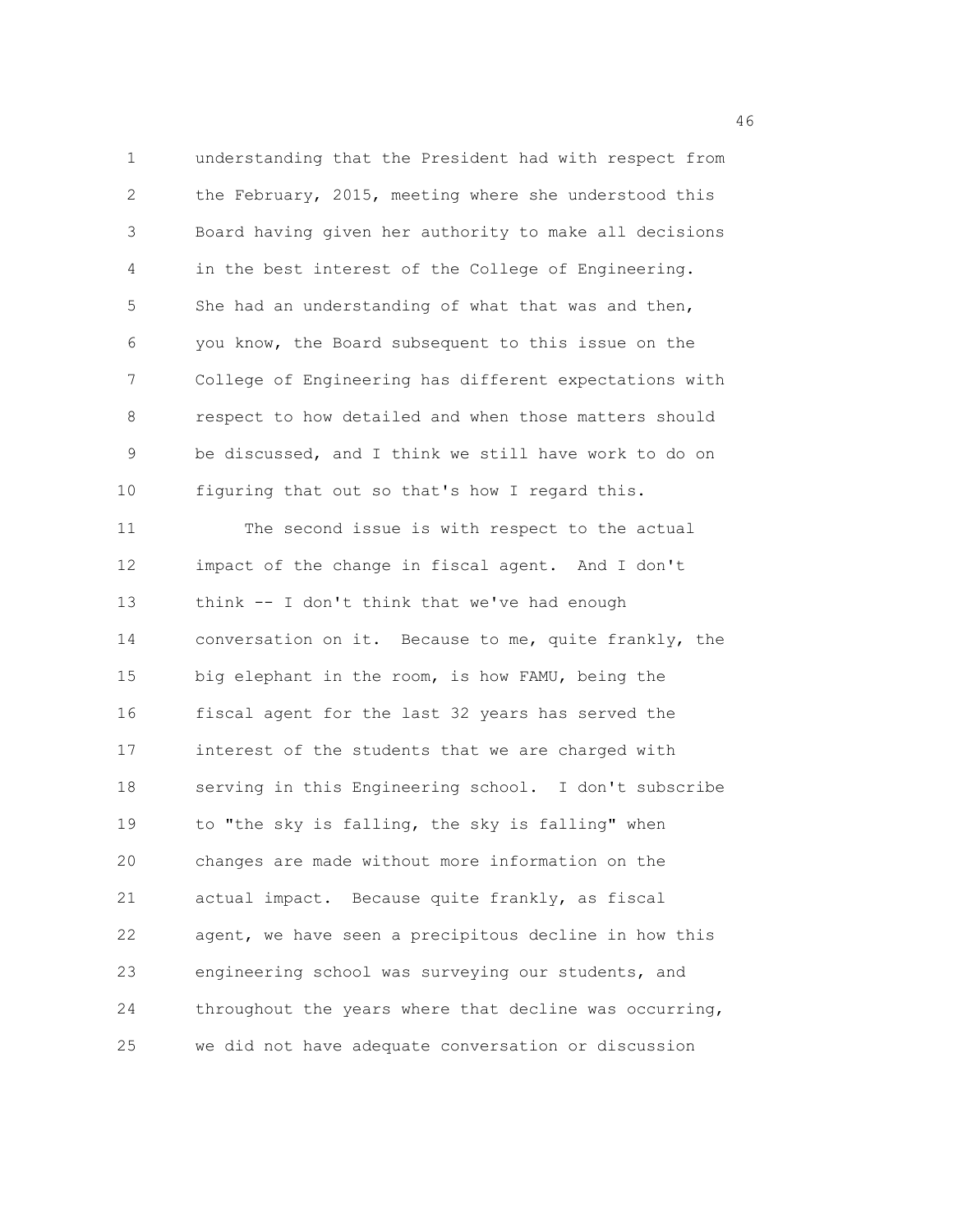1 understanding that the President had with respect from 2 the February, 2015, meeting where she understood this 3 Board having given her authority to make all decisions 4 in the best interest of the College of Engineering. 5 She had an understanding of what that was and then, 6 you know, the Board subsequent to this issue on the 7 College of Engineering has different expectations with 8 respect to how detailed and when those matters should 9 be discussed, and I think we still have work to do on 10 figuring that out so that's how I regard this.

11 The second issue is with respect to the actual 12 impact of the change in fiscal agent. And I don't 13 think -- I don't think that we've had enough 14 conversation on it. Because to me, quite frankly, the 15 big elephant in the room, is how FAMU, being the 16 fiscal agent for the last 32 years has served the 17 interest of the students that we are charged with 18 serving in this Engineering school. I don't subscribe 19 to "the sky is falling, the sky is falling" when 20 changes are made without more information on the 21 actual impact. Because quite frankly, as fiscal 22 agent, we have seen a precipitous decline in how this 23 engineering school was surveying our students, and 24 throughout the years where that decline was occurring, 25 we did not have adequate conversation or discussion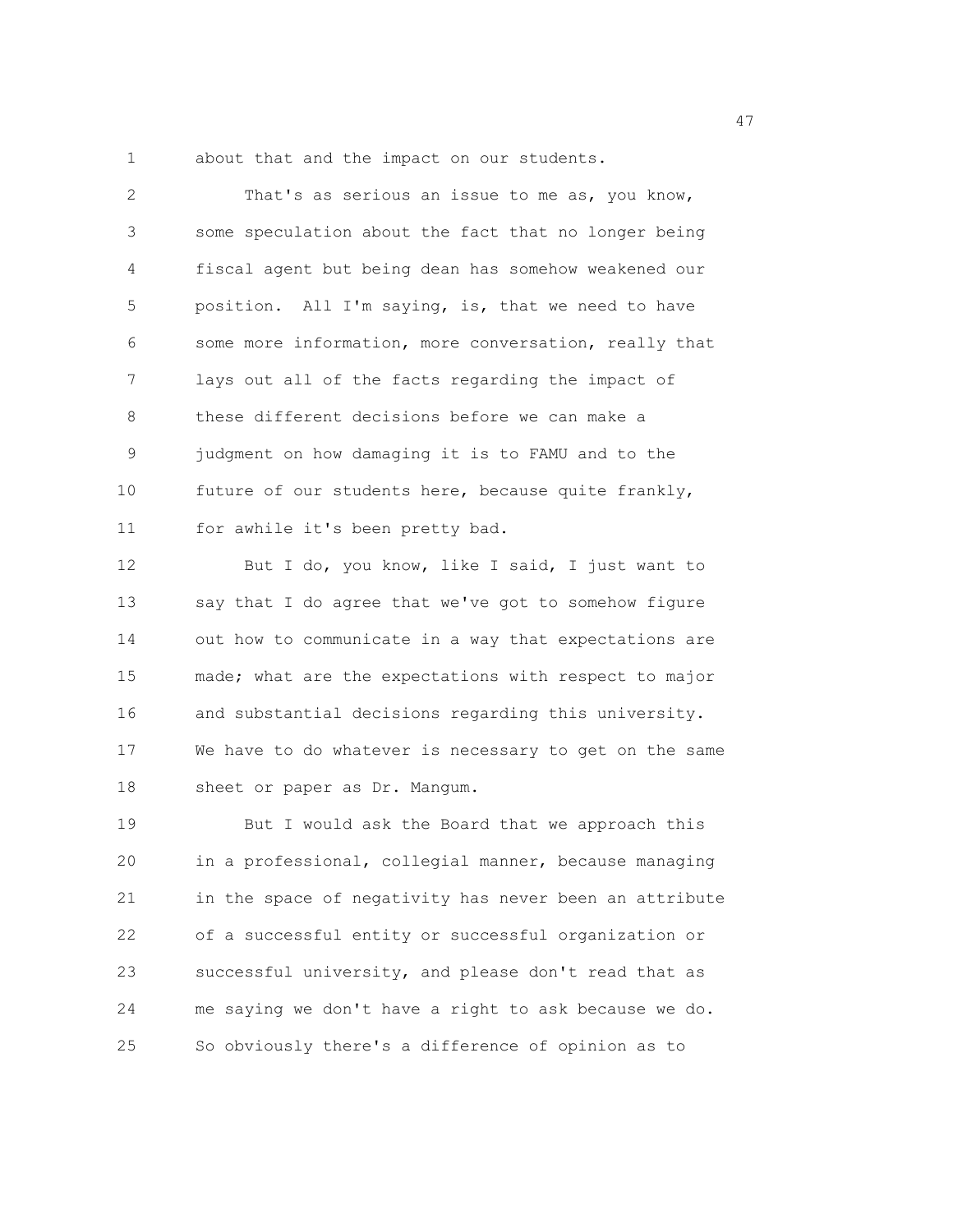1 about that and the impact on our students.

| 2  | That's as serious an issue to me as, you know,         |
|----|--------------------------------------------------------|
| 3  | some speculation about the fact that no longer being   |
| 4  | fiscal agent but being dean has somehow weakened our   |
| 5  | position. All I'm saying, is, that we need to have     |
| 6  | some more information, more conversation, really that  |
| 7  | lays out all of the facts regarding the impact of      |
| 8  | these different decisions before we can make a         |
| 9  | judgment on how damaging it is to FAMU and to the      |
| 10 | future of our students here, because quite frankly,    |
| 11 | for awhile it's been pretty bad.                       |
| 12 | But I do, you know, like I said, I just want to        |
| 13 | say that I do agree that we've got to somehow figure   |
| 14 | out how to communicate in a way that expectations are  |
| 15 | made; what are the expectations with respect to major  |
| 16 | and substantial decisions regarding this university.   |
| 17 | We have to do whatever is necessary to get on the same |
| 18 | sheet or paper as Dr. Mangum.                          |
| 19 | But I would ask the Board that we approach this        |
| 20 | in a professional, collegial manner, because managing  |
| 21 | in the space of negativity has never been an attribute |
| 22 | of a successful entity or successful organization or   |
| 23 | successful university, and please don't read that as   |
| 24 | me saying we don't have a right to ask because we do.  |

25 So obviously there's a difference of opinion as to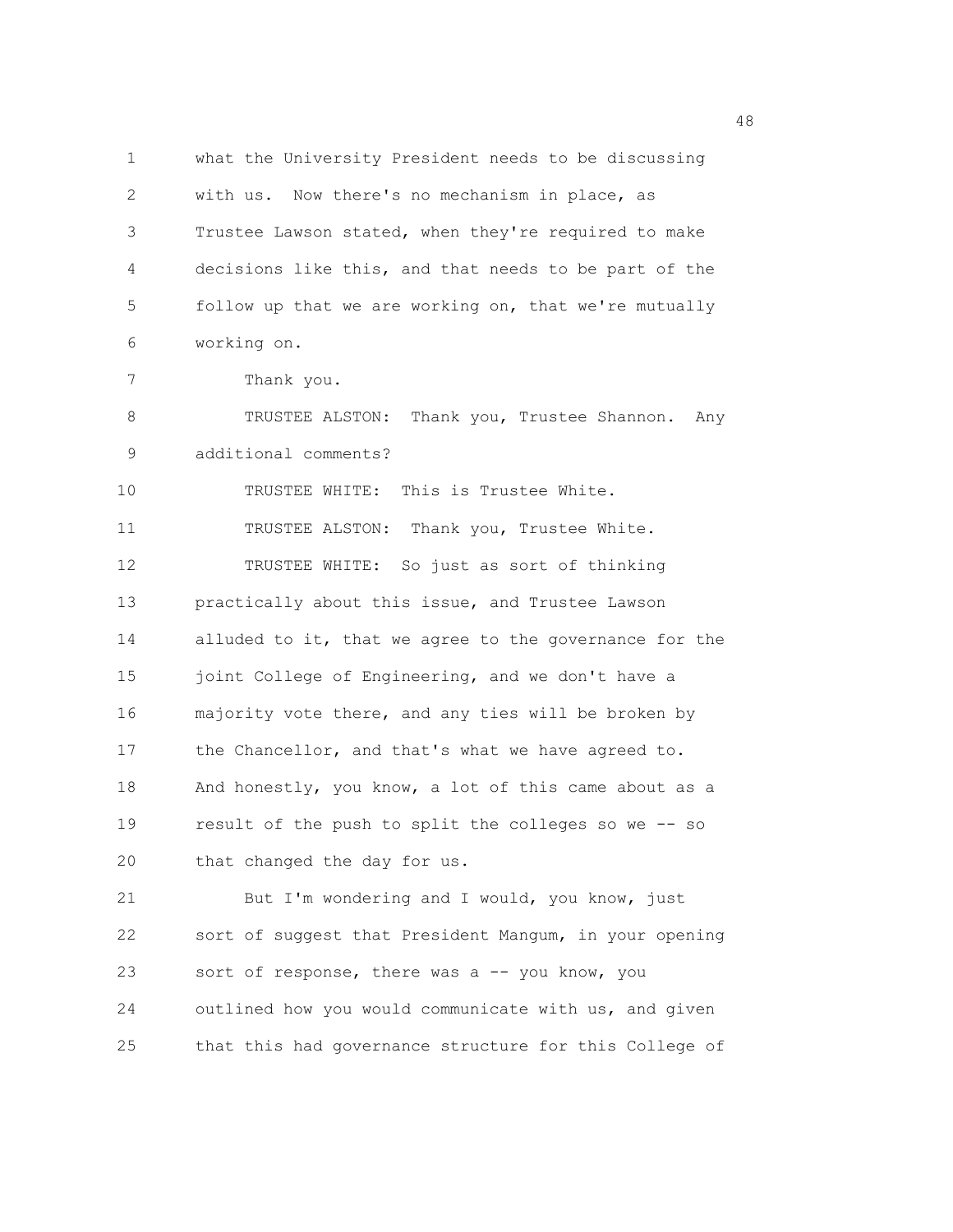1 what the University President needs to be discussing 2 with us. Now there's no mechanism in place, as 3 Trustee Lawson stated, when they're required to make 4 decisions like this, and that needs to be part of the 5 follow up that we are working on, that we're mutually 6 working on. 7 Thank you. 8 TRUSTEE ALSTON: Thank you, Trustee Shannon. Any 9 additional comments? 10 TRUSTEE WHITE: This is Trustee White. 11 TRUSTEE ALSTON: Thank you, Trustee White. 12 TRUSTEE WHITE: So just as sort of thinking 13 practically about this issue, and Trustee Lawson 14 alluded to it, that we agree to the governance for the 15 joint College of Engineering, and we don't have a 16 majority vote there, and any ties will be broken by 17 the Chancellor, and that's what we have agreed to. 18 And honestly, you know, a lot of this came about as a 19 result of the push to split the colleges so we -- so 20 that changed the day for us. 21 But I'm wondering and I would, you know, just 22 sort of suggest that President Mangum, in your opening 23 sort of response, there was a -- you know, you 24 outlined how you would communicate with us, and given

25 that this had governance structure for this College of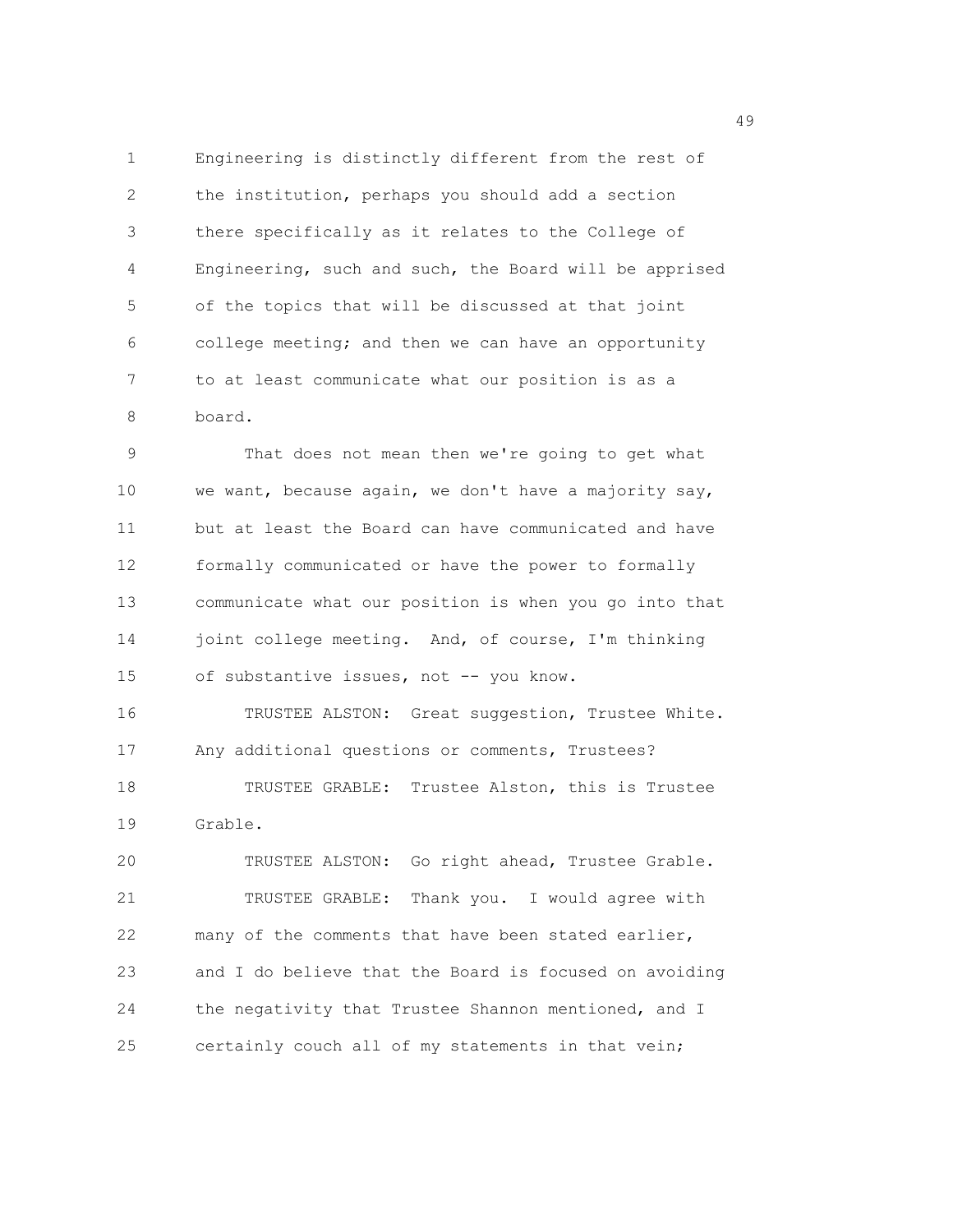1 Engineering is distinctly different from the rest of 2 the institution, perhaps you should add a section 3 there specifically as it relates to the College of 4 Engineering, such and such, the Board will be apprised 5 of the topics that will be discussed at that joint 6 college meeting; and then we can have an opportunity 7 to at least communicate what our position is as a 8 board.

9 That does not mean then we're going to get what 10 we want, because again, we don't have a majority say, 11 but at least the Board can have communicated and have 12 formally communicated or have the power to formally 13 communicate what our position is when you go into that 14 joint college meeting. And, of course, I'm thinking 15 of substantive issues, not -- you know.

16 TRUSTEE ALSTON: Great suggestion, Trustee White. 17 Any additional questions or comments, Trustees? 18 TRUSTEE GRABLE: Trustee Alston, this is Trustee 19 Grable.

20 TRUSTEE ALSTON: Go right ahead, Trustee Grable. 21 TRUSTEE GRABLE: Thank you. I would agree with 22 many of the comments that have been stated earlier, 23 and I do believe that the Board is focused on avoiding 24 the negativity that Trustee Shannon mentioned, and I 25 certainly couch all of my statements in that vein;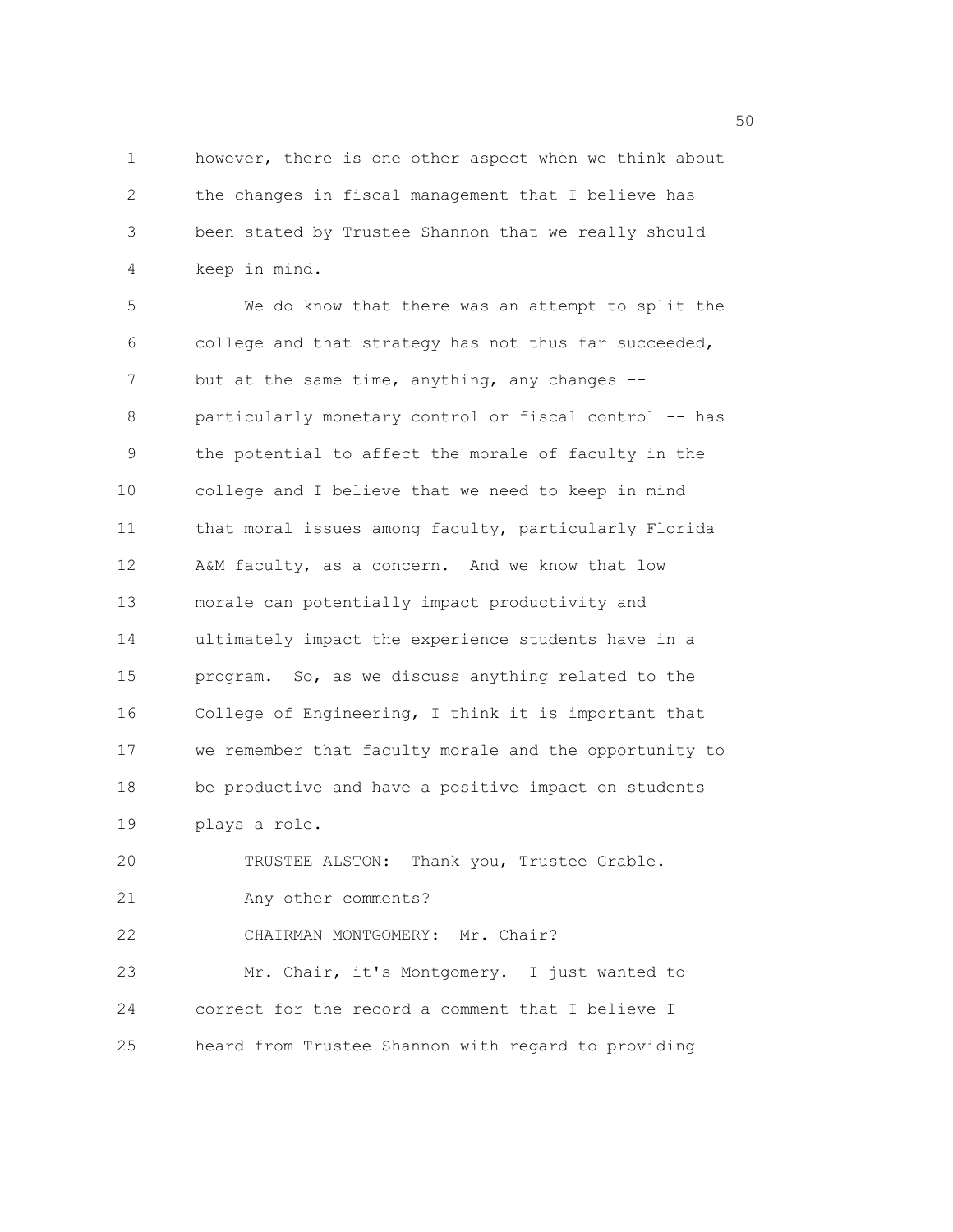1 however, there is one other aspect when we think about 2 the changes in fiscal management that I believe has 3 been stated by Trustee Shannon that we really should 4 keep in mind.

5 We do know that there was an attempt to split the 6 college and that strategy has not thus far succeeded, 7 but at the same time, anything, any changes --8 particularly monetary control or fiscal control -- has 9 the potential to affect the morale of faculty in the 10 college and I believe that we need to keep in mind 11 that moral issues among faculty, particularly Florida 12 A&M faculty, as a concern. And we know that low 13 morale can potentially impact productivity and 14 ultimately impact the experience students have in a 15 program. So, as we discuss anything related to the 16 College of Engineering, I think it is important that 17 we remember that faculty morale and the opportunity to 18 be productive and have a positive impact on students 19 plays a role.

20 TRUSTEE ALSTON: Thank you, Trustee Grable.

21 Any other comments?

22 CHAIRMAN MONTGOMERY: Mr. Chair?

23 Mr. Chair, it's Montgomery. I just wanted to 24 correct for the record a comment that I believe I 25 heard from Trustee Shannon with regard to providing

 $50<sub>50</sub>$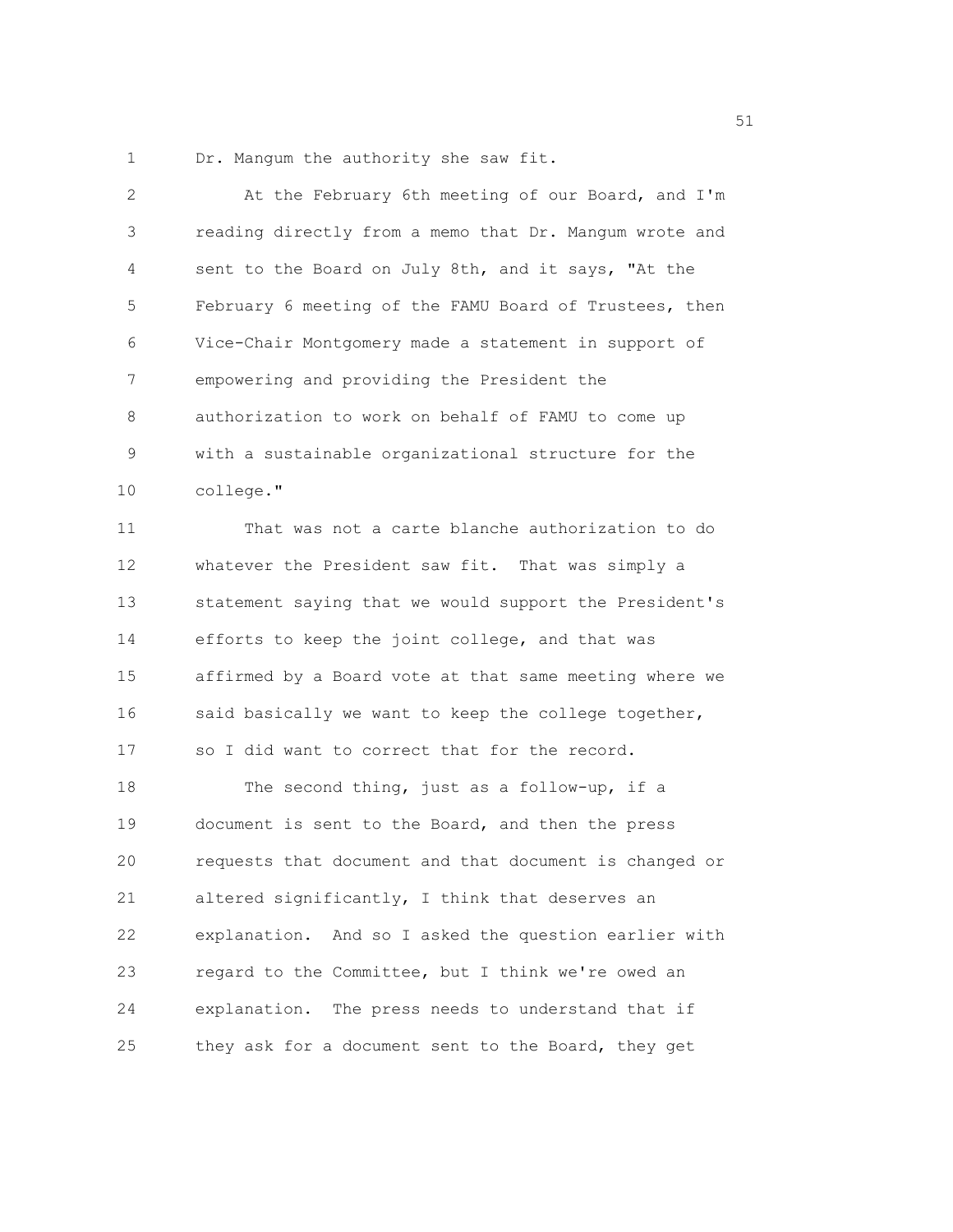1 Dr. Mangum the authority she saw fit.

| 2  | At the February 6th meeting of our Board, and I'm      |
|----|--------------------------------------------------------|
| 3  | reading directly from a memo that Dr. Mangum wrote and |
| 4  | sent to the Board on July 8th, and it says, "At the    |
| 5  | February 6 meeting of the FAMU Board of Trustees, then |
| 6  | Vice-Chair Montgomery made a statement in support of   |
| 7  | empowering and providing the President the             |
| 8  | authorization to work on behalf of FAMU to come up     |
| 9  | with a sustainable organizational structure for the    |
| 10 | college."                                              |
| 11 | That was not a carte blanche authorization to do       |
| 12 | whatever the President saw fit. That was simply a      |
| 13 | statement saying that we would support the President's |
| 14 | efforts to keep the joint college, and that was        |
| 15 | affirmed by a Board vote at that same meeting where we |
| 16 | said basically we want to keep the college together,   |
| 17 | so I did want to correct that for the record.          |
| 18 | The second thing, just as a follow-up, if a            |
| 19 | document is sent to the Board, and then the press      |
| 20 | requests that document and that document is changed or |
| 21 | altered significantly, I think that deserves an        |
| 22 | explanation. And so I asked the question earlier with  |
| 23 | regard to the Committee, but I think we're owed an     |
| 24 | explanation. The press needs to understand that if     |
| 25 | they ask for a document sent to the Board, they get    |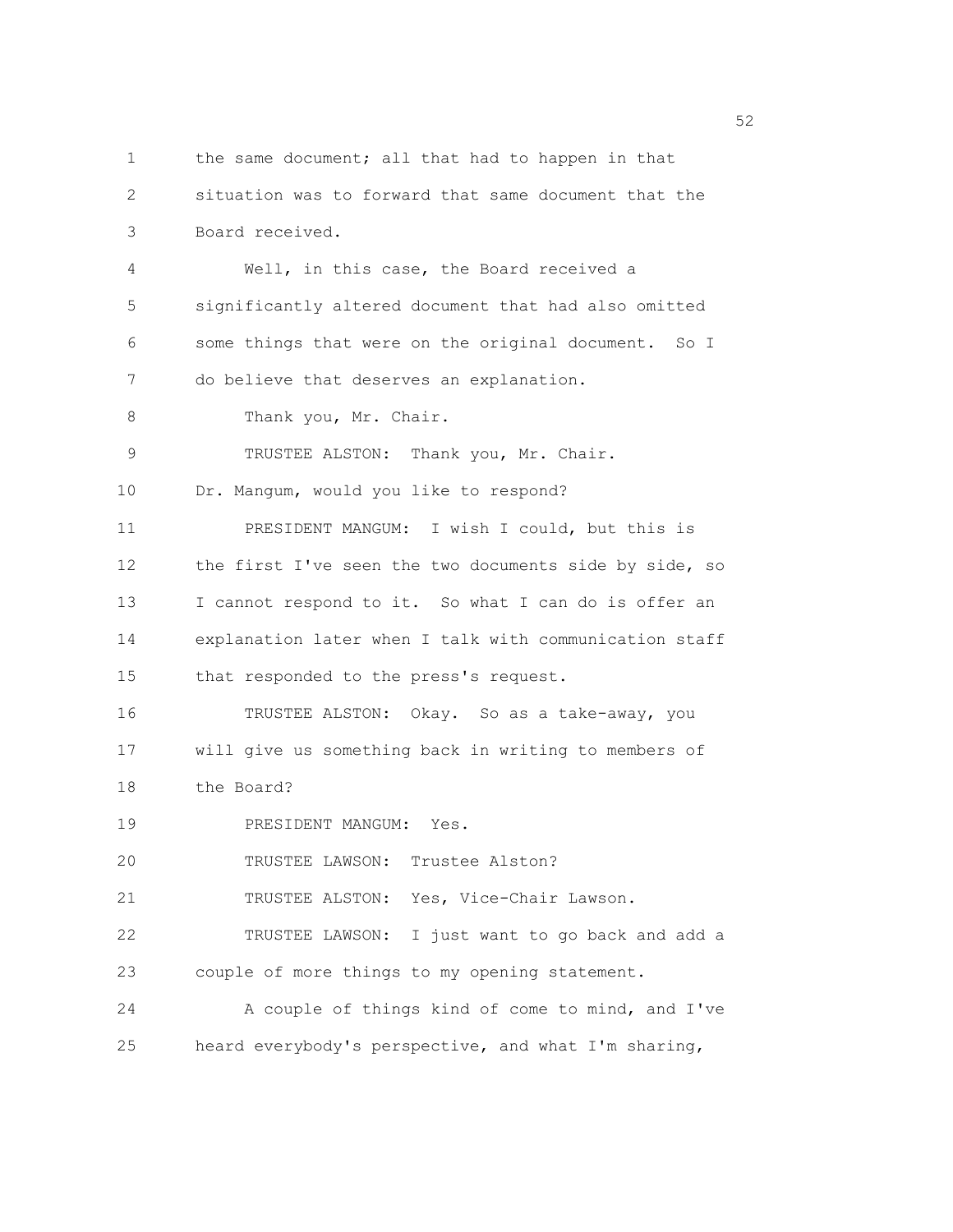1 the same document; all that had to happen in that 2 situation was to forward that same document that the 3 Board received. 4 Well, in this case, the Board received a 5 significantly altered document that had also omitted 6 some things that were on the original document. So I 7 do believe that deserves an explanation. 8 Thank you, Mr. Chair. 9 TRUSTEE ALSTON: Thank you, Mr. Chair. 10 Dr. Mangum, would you like to respond? 11 PRESIDENT MANGUM: I wish I could, but this is 12 the first I've seen the two documents side by side, so 13 I cannot respond to it. So what I can do is offer an 14 explanation later when I talk with communication staff 15 that responded to the press's request. 16 TRUSTEE ALSTON: Okay. So as a take-away, you 17 will give us something back in writing to members of 18 the Board? 19 PRESIDENT MANGUM: Yes. 20 TRUSTEE LAWSON: Trustee Alston? 21 TRUSTEE ALSTON: Yes, Vice-Chair Lawson. 22 TRUSTEE LAWSON: I just want to go back and add a 23 couple of more things to my opening statement. 24 A couple of things kind of come to mind, and I've 25 heard everybody's perspective, and what I'm sharing,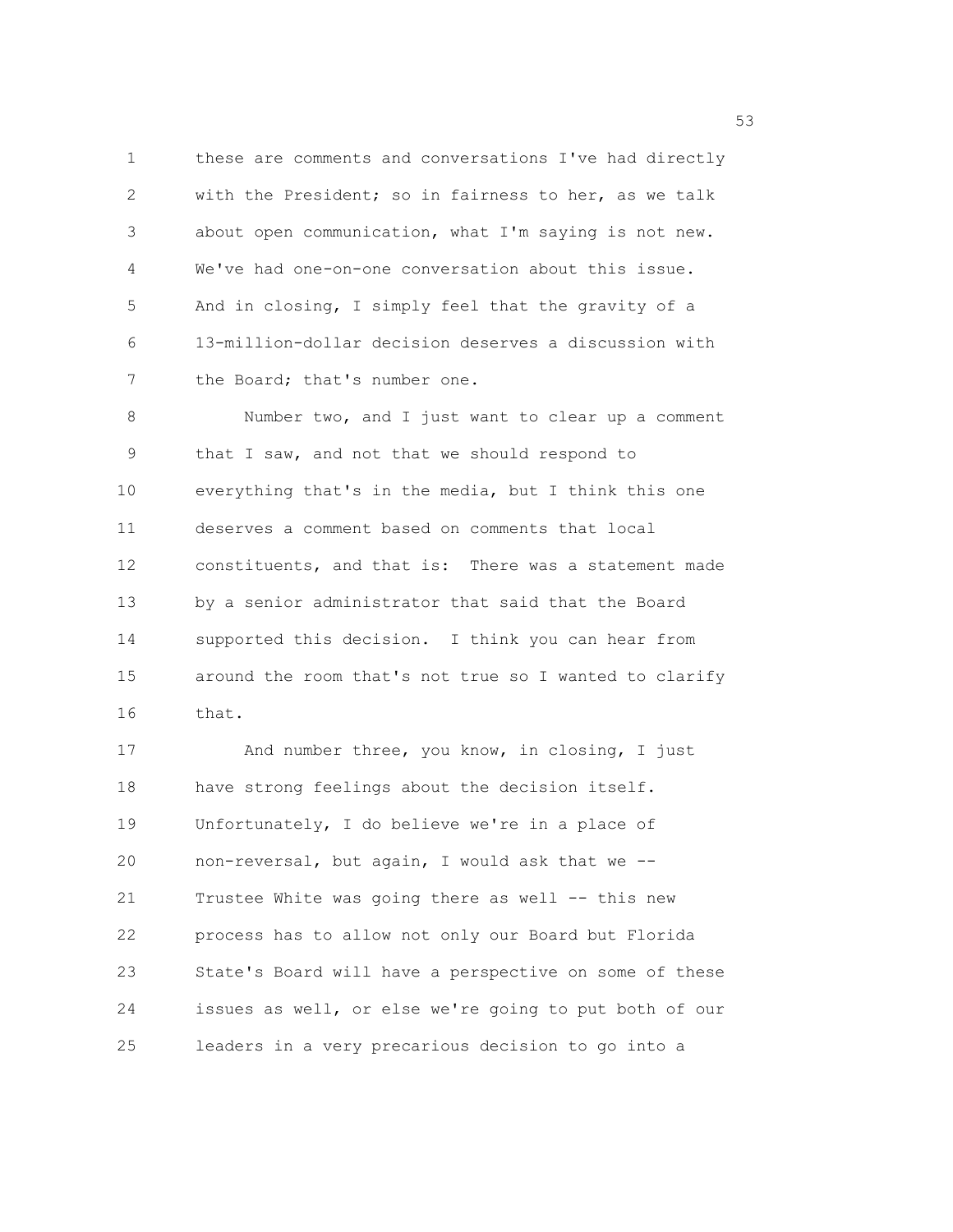1 these are comments and conversations I've had directly 2 with the President; so in fairness to her, as we talk 3 about open communication, what I'm saying is not new. 4 We've had one-on-one conversation about this issue. 5 And in closing, I simply feel that the gravity of a 6 13-million-dollar decision deserves a discussion with 7 the Board; that's number one.

8 Number two, and I just want to clear up a comment 9 that I saw, and not that we should respond to 10 everything that's in the media, but I think this one 11 deserves a comment based on comments that local 12 constituents, and that is: There was a statement made 13 by a senior administrator that said that the Board 14 supported this decision. I think you can hear from 15 around the room that's not true so I wanted to clarify 16 that.

17 And number three, you know, in closing, I just 18 have strong feelings about the decision itself. 19 Unfortunately, I do believe we're in a place of 20 non-reversal, but again, I would ask that we -- 21 Trustee White was going there as well -- this new 22 process has to allow not only our Board but Florida 23 State's Board will have a perspective on some of these 24 issues as well, or else we're going to put both of our 25 leaders in a very precarious decision to go into a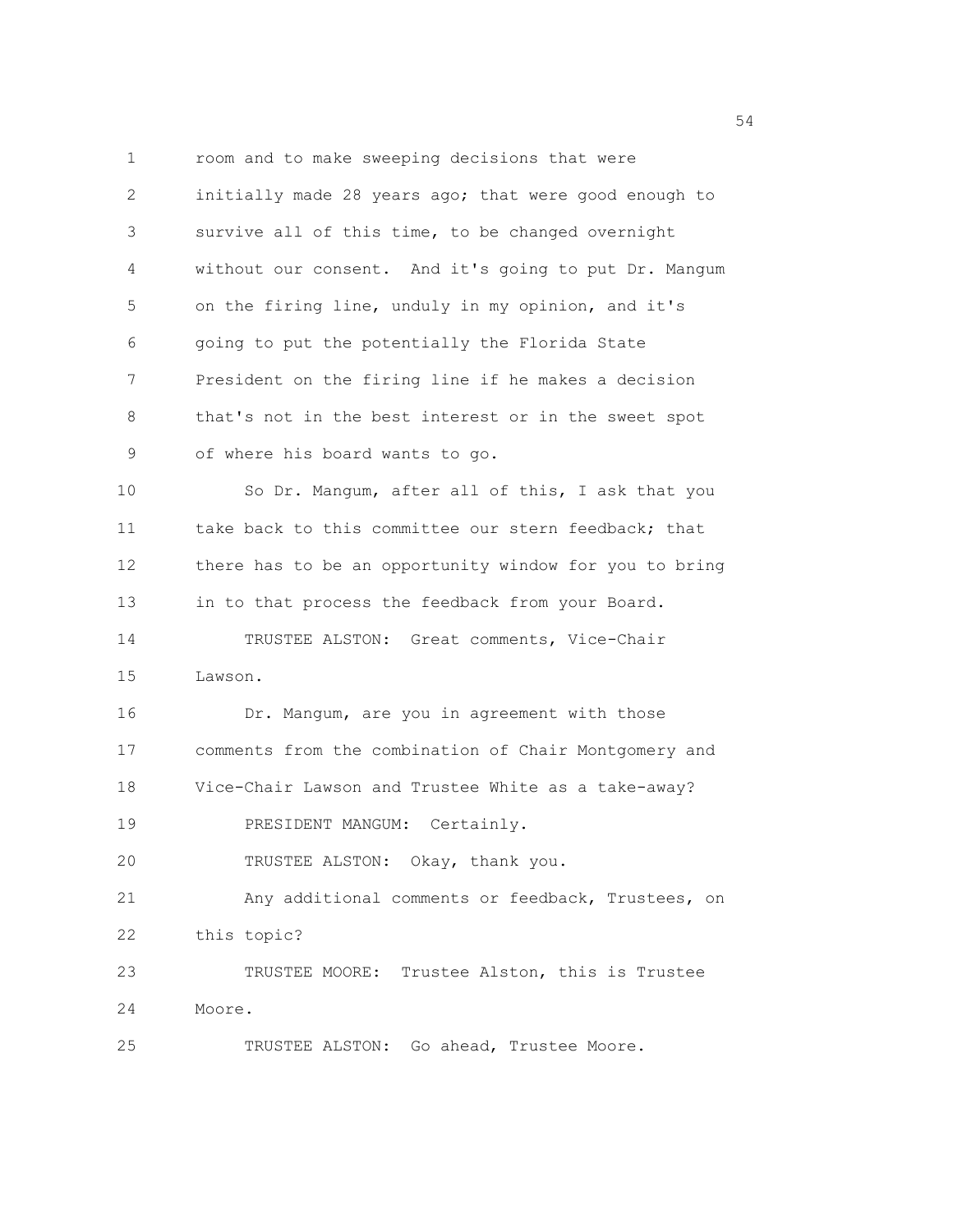1 room and to make sweeping decisions that were 2 initially made 28 years ago; that were good enough to 3 survive all of this time, to be changed overnight 4 without our consent. And it's going to put Dr. Mangum 5 on the firing line, unduly in my opinion, and it's 6 going to put the potentially the Florida State 7 President on the firing line if he makes a decision 8 that's not in the best interest or in the sweet spot 9 of where his board wants to go. 10 So Dr. Mangum, after all of this, I ask that you 11 take back to this committee our stern feedback; that 12 there has to be an opportunity window for you to bring 13 in to that process the feedback from your Board. 14 TRUSTEE ALSTON: Great comments, Vice-Chair 15 Lawson. 16 Dr. Mangum, are you in agreement with those 17 comments from the combination of Chair Montgomery and 18 Vice-Chair Lawson and Trustee White as a take-away? 19 PRESIDENT MANGUM: Certainly. 20 TRUSTEE ALSTON: Okay, thank you. 21 Any additional comments or feedback, Trustees, on 22 this topic? 23 TRUSTEE MOORE: Trustee Alston, this is Trustee 24 Moore. 25 TRUSTEE ALSTON: Go ahead, Trustee Moore.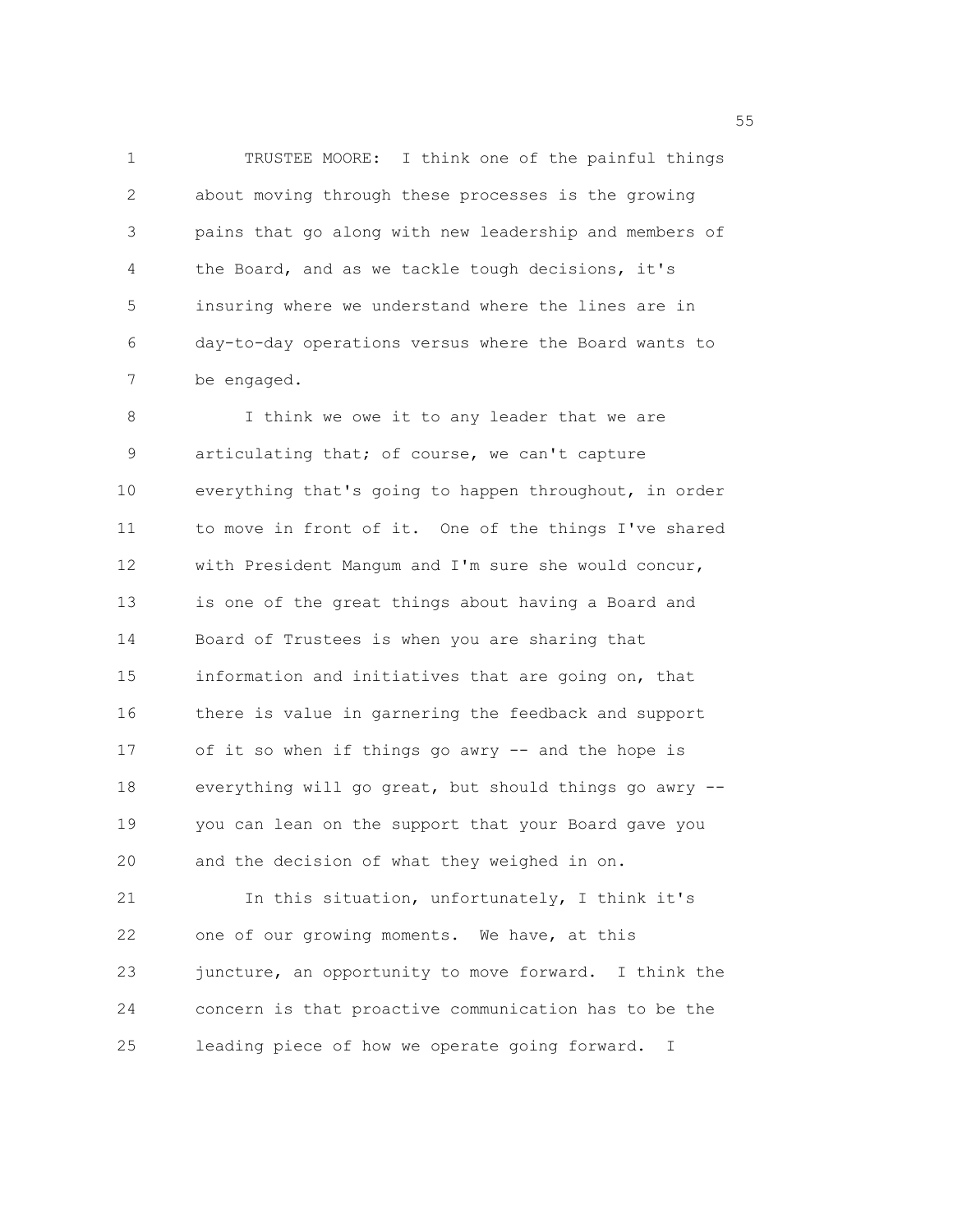1 TRUSTEE MOORE: I think one of the painful things 2 about moving through these processes is the growing 3 pains that go along with new leadership and members of 4 the Board, and as we tackle tough decisions, it's 5 insuring where we understand where the lines are in 6 day-to-day operations versus where the Board wants to 7 be engaged.

8 I think we owe it to any leader that we are 9 articulating that; of course, we can't capture 10 everything that's going to happen throughout, in order 11 to move in front of it. One of the things I've shared 12 with President Mangum and I'm sure she would concur, 13 is one of the great things about having a Board and 14 Board of Trustees is when you are sharing that 15 information and initiatives that are going on, that 16 there is value in garnering the feedback and support 17 of it so when if things go awry -- and the hope is 18 everything will go great, but should things go awry -- 19 you can lean on the support that your Board gave you 20 and the decision of what they weighed in on. 21 In this situation, unfortunately, I think it's 22 one of our growing moments. We have, at this 23 juncture, an opportunity to move forward. I think the 24 concern is that proactive communication has to be the 25 leading piece of how we operate going forward. I

the state of the state of the state of the state of the state of the state of the state of the state of the state of the state of the state of the state of the state of the state of the state of the state of the state of t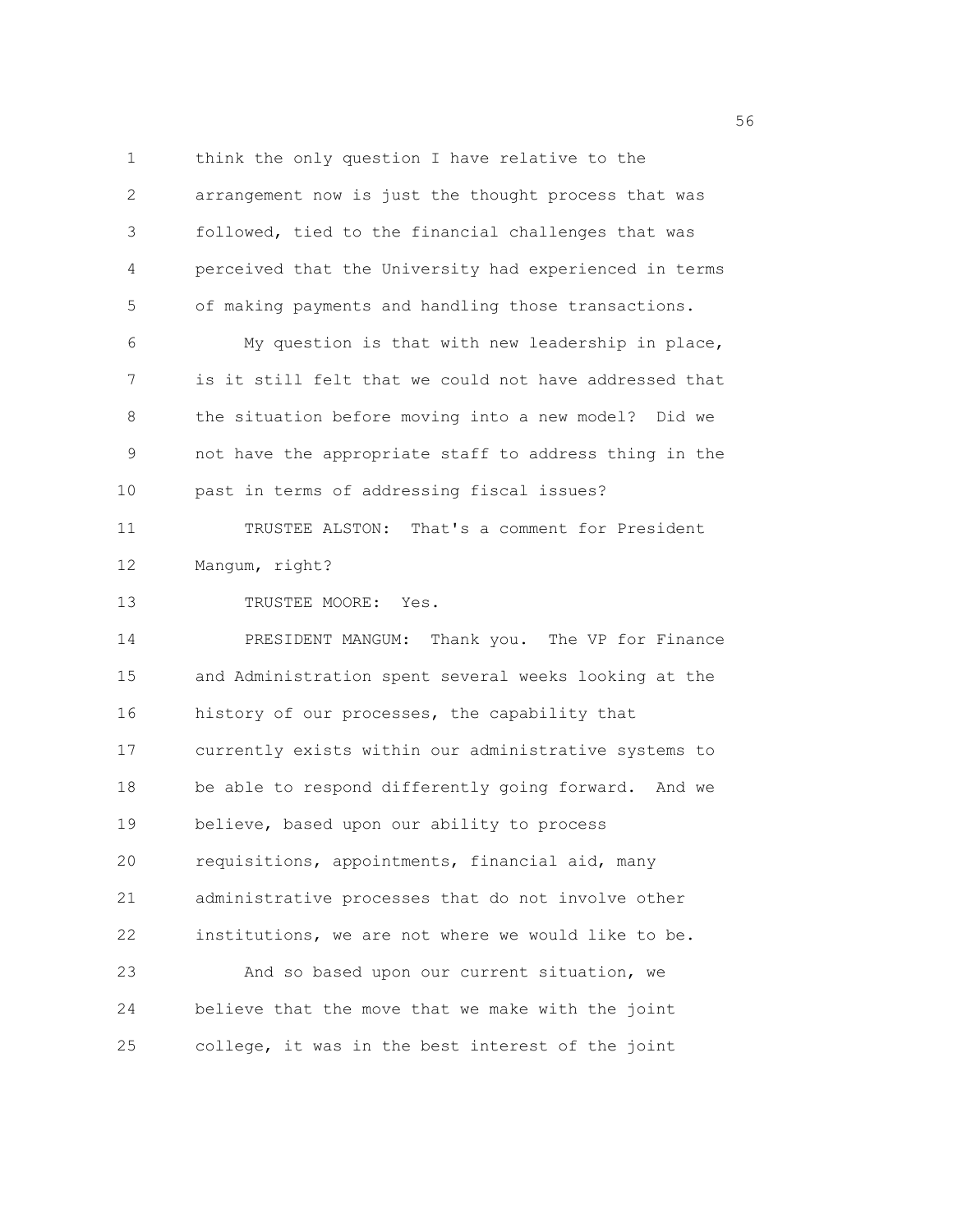1 think the only question I have relative to the 2 arrangement now is just the thought process that was 3 followed, tied to the financial challenges that was 4 perceived that the University had experienced in terms 5 of making payments and handling those transactions. 6 My question is that with new leadership in place, 7 is it still felt that we could not have addressed that 8 the situation before moving into a new model? Did we 9 not have the appropriate staff to address thing in the 10 past in terms of addressing fiscal issues? 11 TRUSTEE ALSTON: That's a comment for President 12 Mangum, right? 13 TRUSTEE MOORE: Yes. 14 PRESIDENT MANGUM: Thank you. The VP for Finance 15 and Administration spent several weeks looking at the 16 history of our processes, the capability that 17 currently exists within our administrative systems to 18 be able to respond differently going forward. And we 19 believe, based upon our ability to process 20 requisitions, appointments, financial aid, many 21 administrative processes that do not involve other 22 institutions, we are not where we would like to be. 23 And so based upon our current situation, we 24 believe that the move that we make with the joint 25 college, it was in the best interest of the joint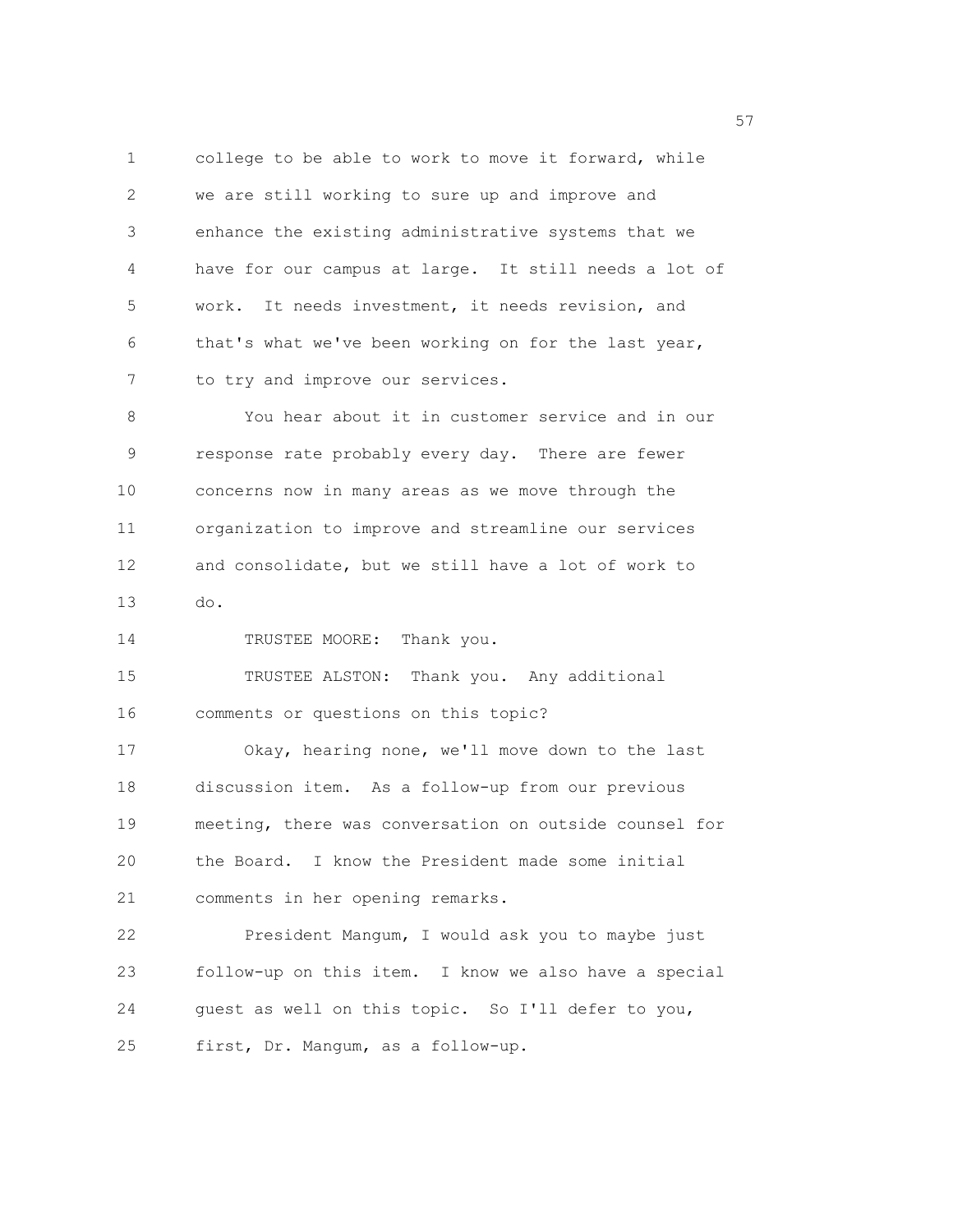1 college to be able to work to move it forward, while 2 we are still working to sure up and improve and 3 enhance the existing administrative systems that we 4 have for our campus at large. It still needs a lot of 5 work. It needs investment, it needs revision, and 6 that's what we've been working on for the last year, 7 to try and improve our services.

8 You hear about it in customer service and in our 9 response rate probably every day. There are fewer 10 concerns now in many areas as we move through the 11 organization to improve and streamline our services 12 and consolidate, but we still have a lot of work to 13 do.

14 TRUSTEE MOORE: Thank you.

15 TRUSTEE ALSTON: Thank you. Any additional 16 comments or questions on this topic?

17 Okay, hearing none, we'll move down to the last 18 discussion item. As a follow-up from our previous 19 meeting, there was conversation on outside counsel for 20 the Board. I know the President made some initial 21 comments in her opening remarks.

22 President Mangum, I would ask you to maybe just 23 follow-up on this item. I know we also have a special 24 guest as well on this topic. So I'll defer to you, 25 first, Dr. Mangum, as a follow-up.

<u>57</u>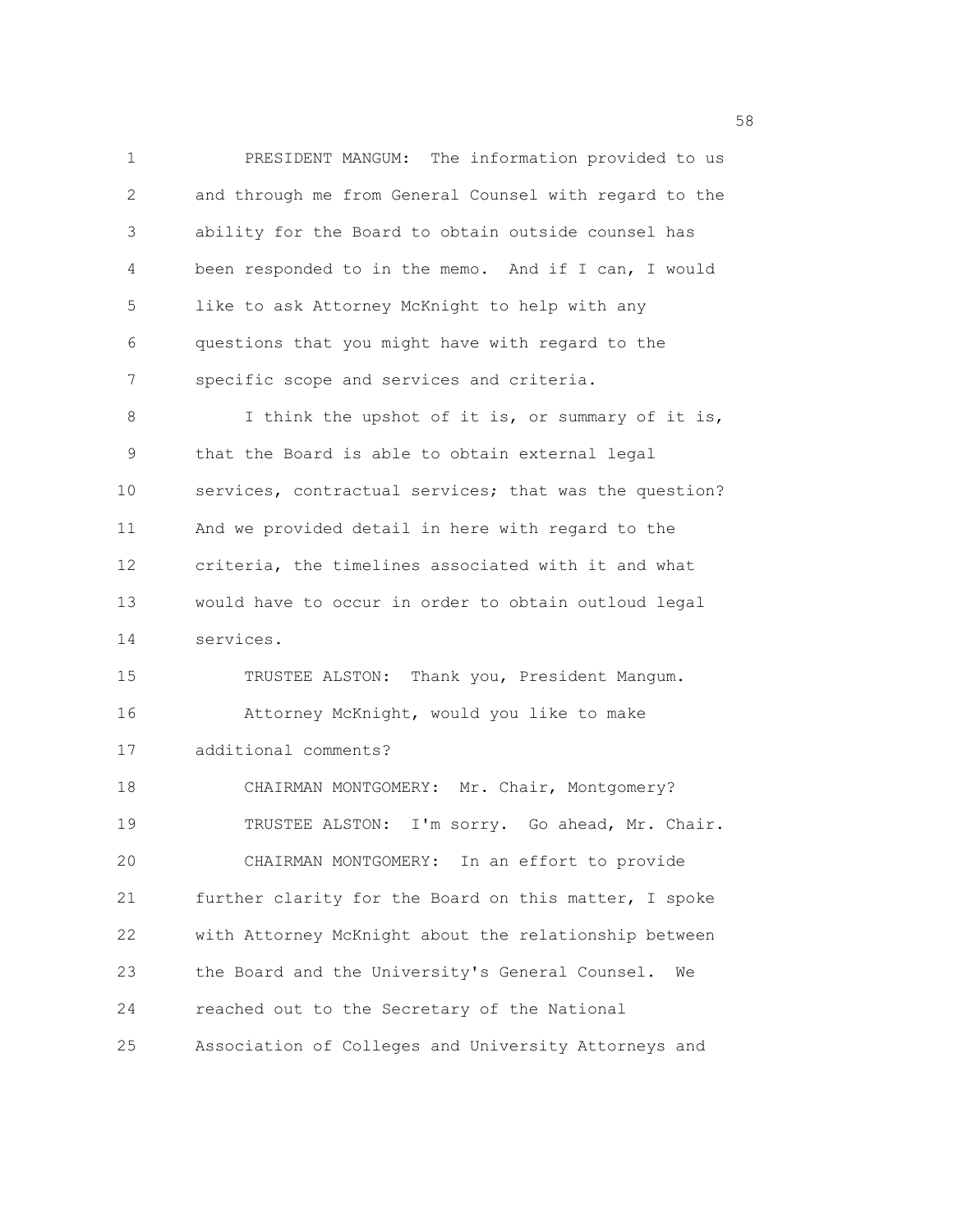1 PRESIDENT MANGUM: The information provided to us 2 and through me from General Counsel with regard to the 3 ability for the Board to obtain outside counsel has 4 been responded to in the memo. And if I can, I would 5 like to ask Attorney McKnight to help with any 6 questions that you might have with regard to the 7 specific scope and services and criteria. 8 I think the upshot of it is, or summary of it is, 9 that the Board is able to obtain external legal 10 services, contractual services; that was the question? 11 And we provided detail in here with regard to the 12 criteria, the timelines associated with it and what 13 would have to occur in order to obtain outloud legal 14 services. 15 TRUSTEE ALSTON: Thank you, President Mangum. 16 Attorney McKnight, would you like to make 17 additional comments? 18 CHAIRMAN MONTGOMERY: Mr. Chair, Montgomery? 19 TRUSTEE ALSTON: I'm sorry. Go ahead, Mr. Chair. 20 CHAIRMAN MONTGOMERY: In an effort to provide 21 further clarity for the Board on this matter, I spoke 22 with Attorney McKnight about the relationship between 23 the Board and the University's General Counsel. We 24 reached out to the Secretary of the National 25 Association of Colleges and University Attorneys and

the state of the state of the state of the state of the state of the state of the state of the state of the state of the state of the state of the state of the state of the state of the state of the state of the state of t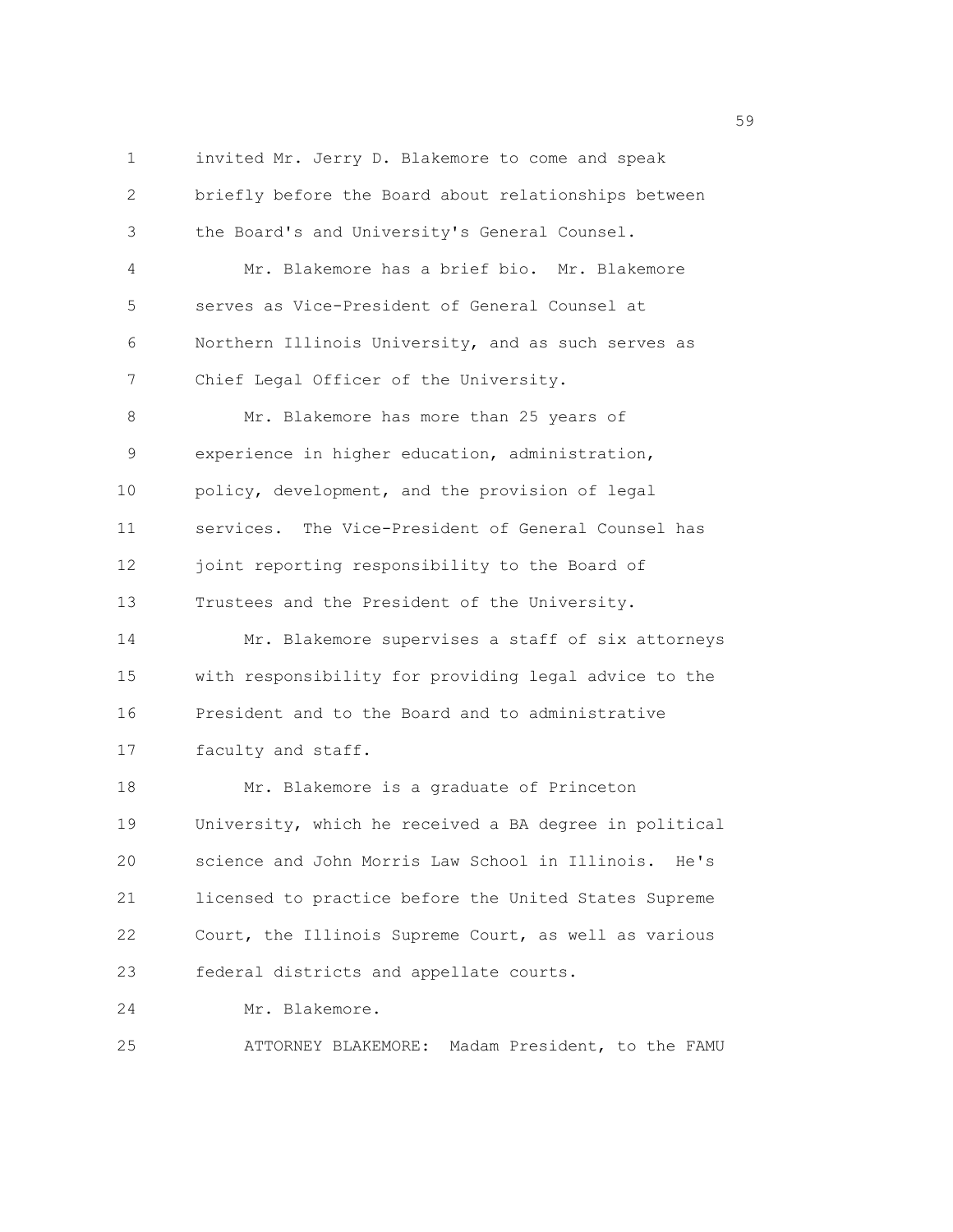1 invited Mr. Jerry D. Blakemore to come and speak 2 briefly before the Board about relationships between 3 the Board's and University's General Counsel. 4 Mr. Blakemore has a brief bio. Mr. Blakemore 5 serves as Vice-President of General Counsel at 6 Northern Illinois University, and as such serves as 7 Chief Legal Officer of the University. 8 Mr. Blakemore has more than 25 years of 9 experience in higher education, administration, 10 policy, development, and the provision of legal 11 services. The Vice-President of General Counsel has 12 joint reporting responsibility to the Board of 13 Trustees and the President of the University. 14 Mr. Blakemore supervises a staff of six attorneys 15 with responsibility for providing legal advice to the 16 President and to the Board and to administrative 17 faculty and staff. 18 Mr. Blakemore is a graduate of Princeton 19 University, which he received a BA degree in political 20 science and John Morris Law School in Illinois. He's 21 licensed to practice before the United States Supreme 22 Court, the Illinois Supreme Court, as well as various 23 federal districts and appellate courts. 24 Mr. Blakemore. 25 ATTORNEY BLAKEMORE: Madam President, to the FAMU

 $59<sub>59</sub>$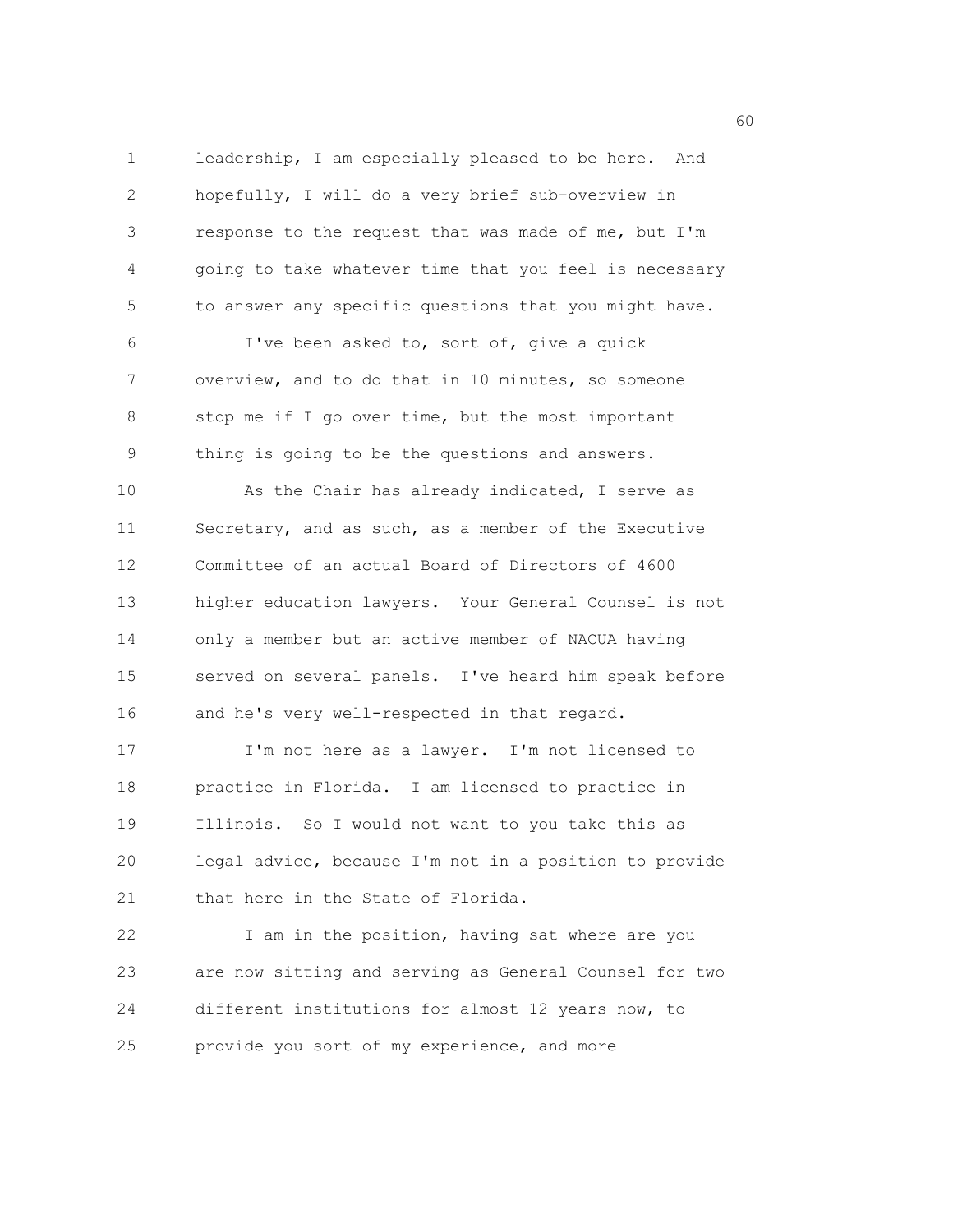1 leadership, I am especially pleased to be here. And 2 hopefully, I will do a very brief sub-overview in 3 response to the request that was made of me, but I'm 4 going to take whatever time that you feel is necessary 5 to answer any specific questions that you might have. 6 I've been asked to, sort of, give a quick 7 overview, and to do that in 10 minutes, so someone 8 stop me if I go over time, but the most important 9 thing is going to be the questions and answers. 10 As the Chair has already indicated, I serve as 11 Secretary, and as such, as a member of the Executive 12 Committee of an actual Board of Directors of 4600 13 higher education lawyers. Your General Counsel is not 14 only a member but an active member of NACUA having 15 served on several panels. I've heard him speak before 16 and he's very well-respected in that regard. 17 I'm not here as a lawyer. I'm not licensed to 18 practice in Florida. I am licensed to practice in 19 Illinois. So I would not want to you take this as 20 legal advice, because I'm not in a position to provide 21 that here in the State of Florida.

22 I am in the position, having sat where are you 23 are now sitting and serving as General Counsel for two 24 different institutions for almost 12 years now, to 25 provide you sort of my experience, and more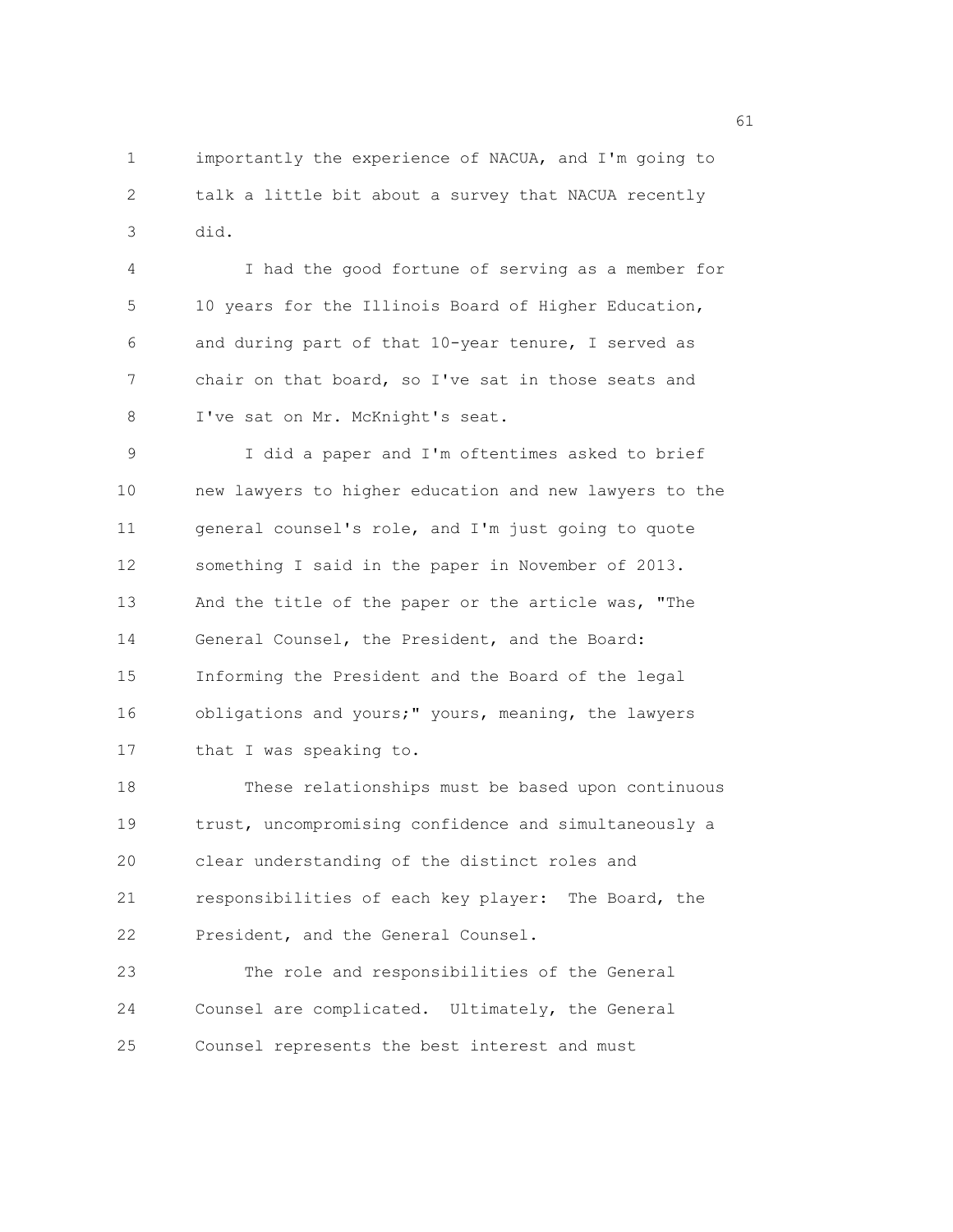1 importantly the experience of NACUA, and I'm going to 2 talk a little bit about a survey that NACUA recently 3 did.

4 I had the good fortune of serving as a member for 5 10 years for the Illinois Board of Higher Education, 6 and during part of that 10-year tenure, I served as 7 chair on that board, so I've sat in those seats and 8 I've sat on Mr. McKnight's seat.

9 I did a paper and I'm oftentimes asked to brief 10 new lawyers to higher education and new lawyers to the 11 general counsel's role, and I'm just going to quote 12 something I said in the paper in November of 2013. 13 And the title of the paper or the article was, "The 14 General Counsel, the President, and the Board: 15 Informing the President and the Board of the legal 16 obligations and yours;" yours, meaning, the lawyers 17 that I was speaking to.

18 These relationships must be based upon continuous 19 trust, uncompromising confidence and simultaneously a 20 clear understanding of the distinct roles and 21 responsibilities of each key player: The Board, the 22 President, and the General Counsel.

23 The role and responsibilities of the General 24 Counsel are complicated. Ultimately, the General 25 Counsel represents the best interest and must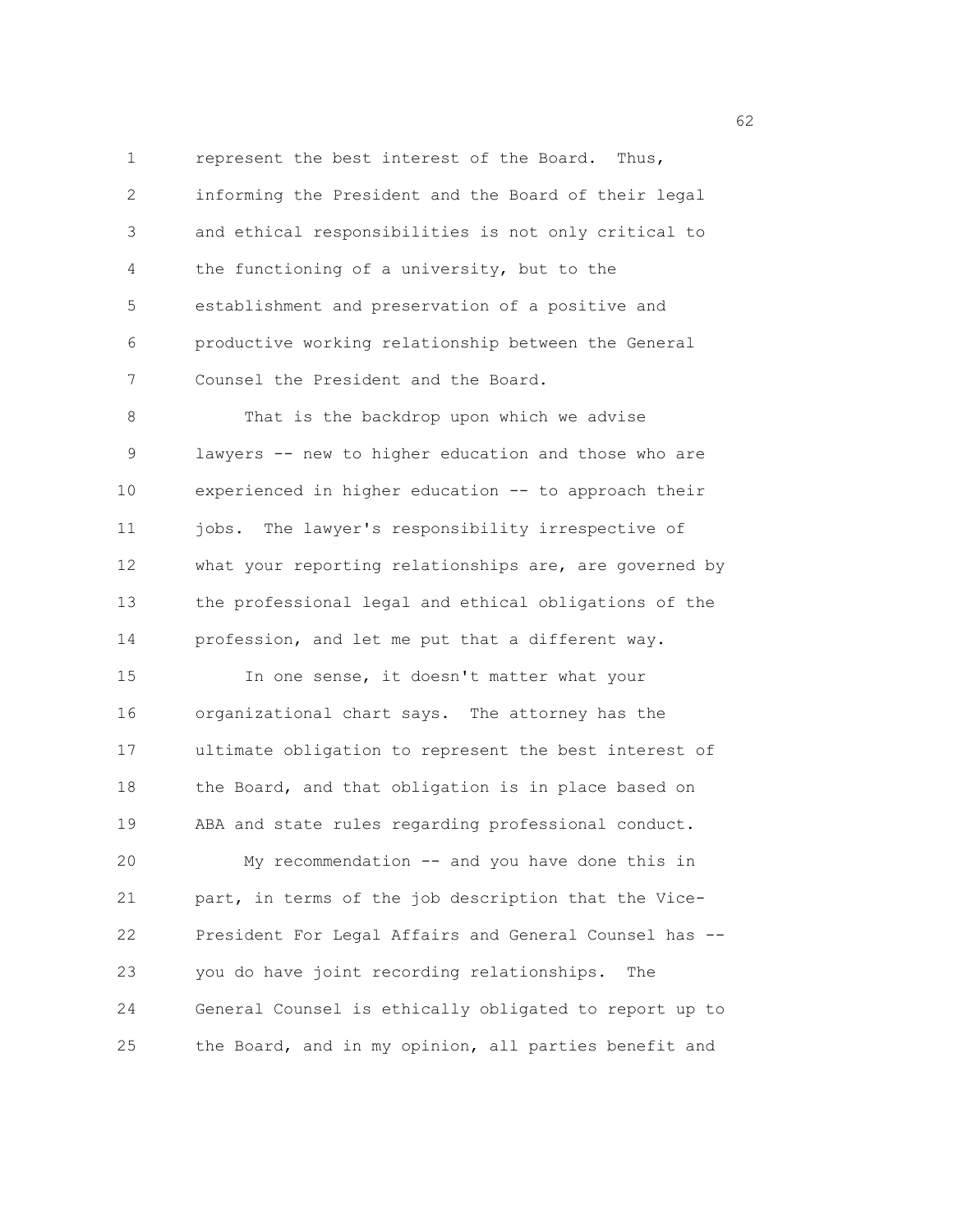1 represent the best interest of the Board. Thus, 2 informing the President and the Board of their legal 3 and ethical responsibilities is not only critical to 4 the functioning of a university, but to the 5 establishment and preservation of a positive and 6 productive working relationship between the General 7 Counsel the President and the Board.

8 That is the backdrop upon which we advise 9 lawyers -- new to higher education and those who are 10 experienced in higher education -- to approach their 11 jobs. The lawyer's responsibility irrespective of 12 what your reporting relationships are, are governed by 13 the professional legal and ethical obligations of the 14 profession, and let me put that a different way.

15 In one sense, it doesn't matter what your 16 organizational chart says. The attorney has the 17 ultimate obligation to represent the best interest of 18 the Board, and that obligation is in place based on 19 ABA and state rules regarding professional conduct.

20 My recommendation -- and you have done this in 21 part, in terms of the job description that the Vice-22 President For Legal Affairs and General Counsel has -- 23 you do have joint recording relationships. The 24 General Counsel is ethically obligated to report up to 25 the Board, and in my opinion, all parties benefit and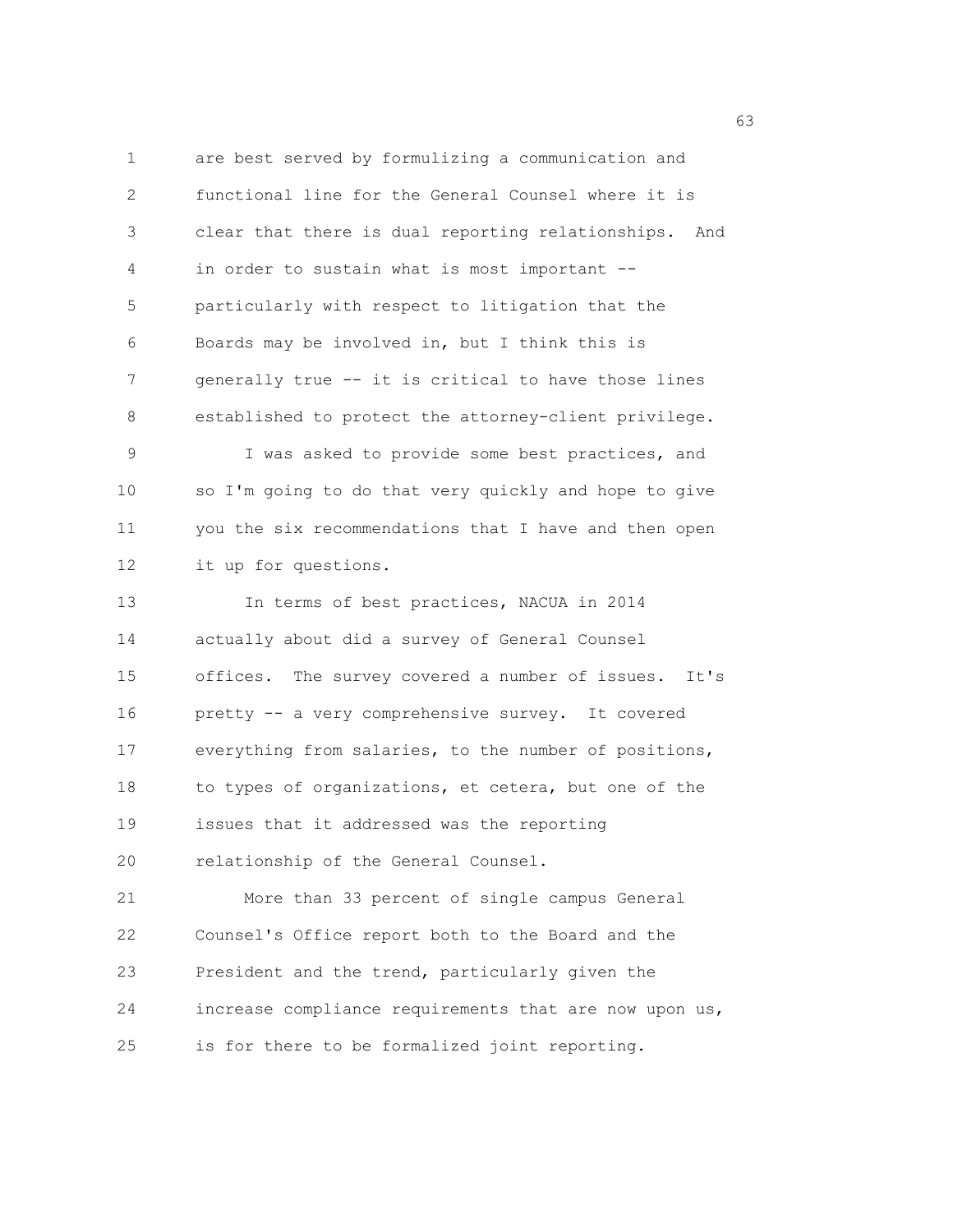1 are best served by formulizing a communication and 2 functional line for the General Counsel where it is 3 clear that there is dual reporting relationships. And 4 in order to sustain what is most important -- 5 particularly with respect to litigation that the 6 Boards may be involved in, but I think this is 7 generally true -- it is critical to have those lines 8 established to protect the attorney-client privilege. 9 I was asked to provide some best practices, and 10 so I'm going to do that very quickly and hope to give 11 you the six recommendations that I have and then open 12 it up for questions. 13 In terms of best practices, NACUA in 2014 14 actually about did a survey of General Counsel 15 offices. The survey covered a number of issues. It's 16 pretty -- a very comprehensive survey. It covered 17 everything from salaries, to the number of positions, 18 to types of organizations, et cetera, but one of the 19 issues that it addressed was the reporting 20 relationship of the General Counsel. 21 More than 33 percent of single campus General 22 Counsel's Office report both to the Board and the 23 President and the trend, particularly given the 24 increase compliance requirements that are now upon us, 25 is for there to be formalized joint reporting.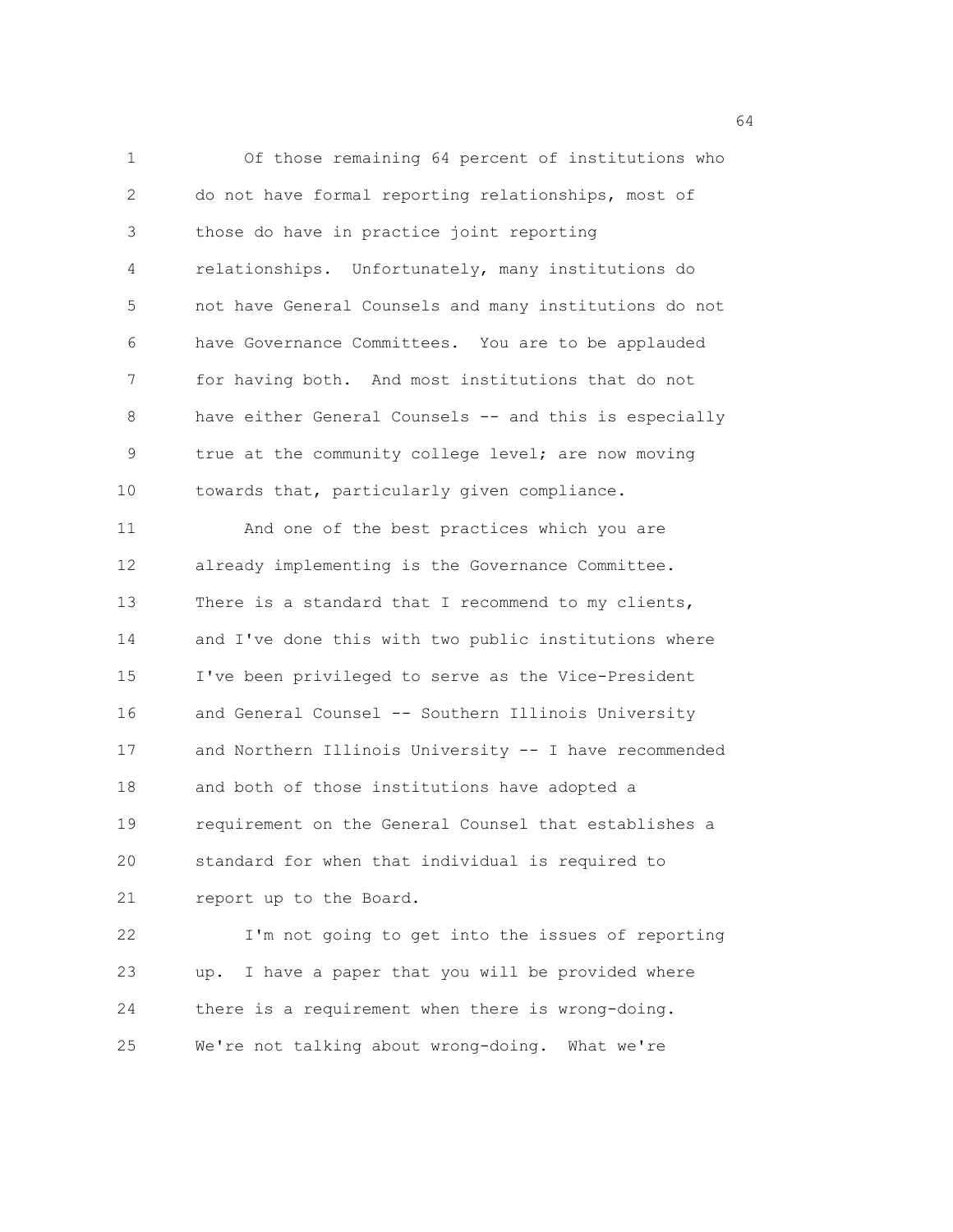1 Of those remaining 64 percent of institutions who 2 do not have formal reporting relationships, most of 3 those do have in practice joint reporting 4 relationships. Unfortunately, many institutions do 5 not have General Counsels and many institutions do not 6 have Governance Committees. You are to be applauded 7 for having both. And most institutions that do not 8 have either General Counsels -- and this is especially 9 true at the community college level; are now moving 10 towards that, particularly given compliance. 11 And one of the best practices which you are 12 already implementing is the Governance Committee. 13 There is a standard that I recommend to my clients, 14 and I've done this with two public institutions where 15 I've been privileged to serve as the Vice-President 16 and General Counsel -- Southern Illinois University 17 and Northern Illinois University -- I have recommended 18 and both of those institutions have adopted a 19 requirement on the General Counsel that establishes a 20 standard for when that individual is required to 21 report up to the Board. 22 I'm not going to get into the issues of reporting 23 up. I have a paper that you will be provided where 24 there is a requirement when there is wrong-doing.

25 We're not talking about wrong-doing. What we're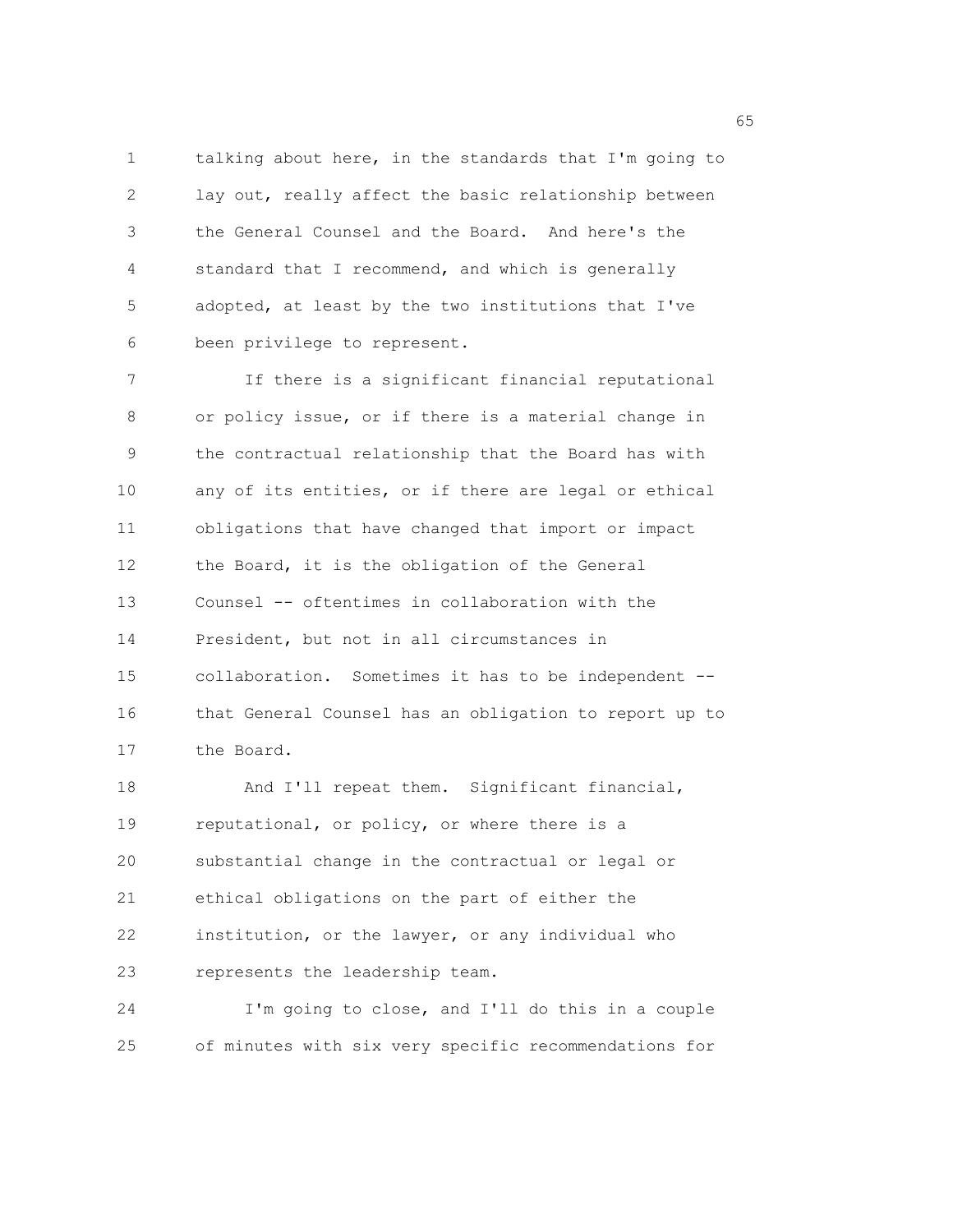1 talking about here, in the standards that I'm going to 2 lay out, really affect the basic relationship between 3 the General Counsel and the Board. And here's the 4 standard that I recommend, and which is generally 5 adopted, at least by the two institutions that I've 6 been privilege to represent.

7 If there is a significant financial reputational 8 or policy issue, or if there is a material change in 9 the contractual relationship that the Board has with 10 any of its entities, or if there are legal or ethical 11 obligations that have changed that import or impact 12 the Board, it is the obligation of the General 13 Counsel -- oftentimes in collaboration with the 14 President, but not in all circumstances in 15 collaboration. Sometimes it has to be independent -- 16 that General Counsel has an obligation to report up to 17 the Board.

18 And I'll repeat them. Significant financial, 19 reputational, or policy, or where there is a 20 substantial change in the contractual or legal or 21 ethical obligations on the part of either the 22 institution, or the lawyer, or any individual who 23 represents the leadership team.

24 I'm going to close, and I'll do this in a couple 25 of minutes with six very specific recommendations for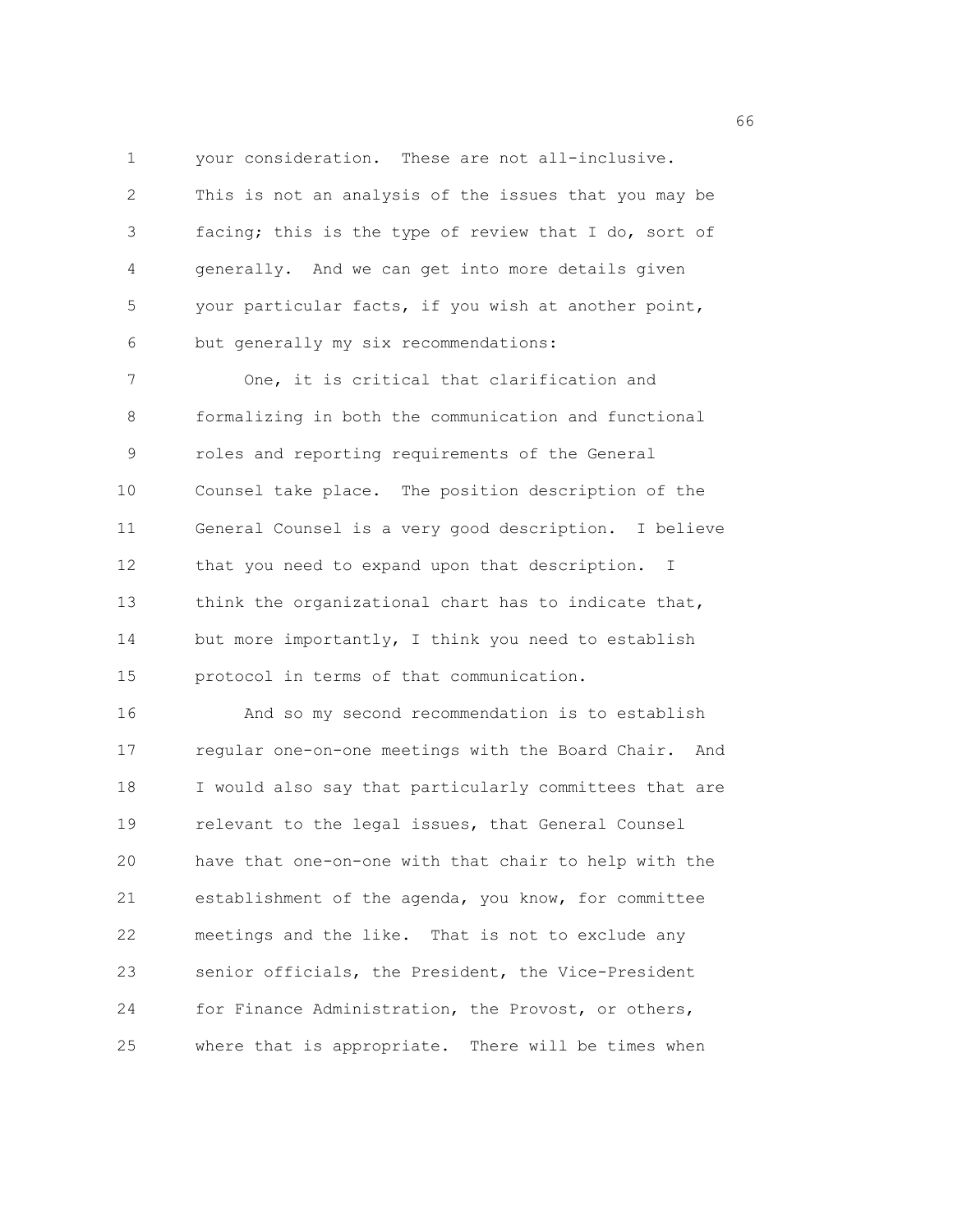1 your consideration. These are not all-inclusive.

2 This is not an analysis of the issues that you may be 3 facing; this is the type of review that I do, sort of 4 generally. And we can get into more details given 5 your particular facts, if you wish at another point, 6 but generally my six recommendations:

7 One, it is critical that clarification and 8 formalizing in both the communication and functional 9 roles and reporting requirements of the General 10 Counsel take place. The position description of the 11 General Counsel is a very good description. I believe 12 that you need to expand upon that description. I 13 think the organizational chart has to indicate that, 14 but more importantly, I think you need to establish 15 protocol in terms of that communication.

16 And so my second recommendation is to establish 17 regular one-on-one meetings with the Board Chair. And 18 I would also say that particularly committees that are 19 relevant to the legal issues, that General Counsel 20 have that one-on-one with that chair to help with the 21 establishment of the agenda, you know, for committee 22 meetings and the like. That is not to exclude any 23 senior officials, the President, the Vice-President 24 for Finance Administration, the Provost, or others, 25 where that is appropriate. There will be times when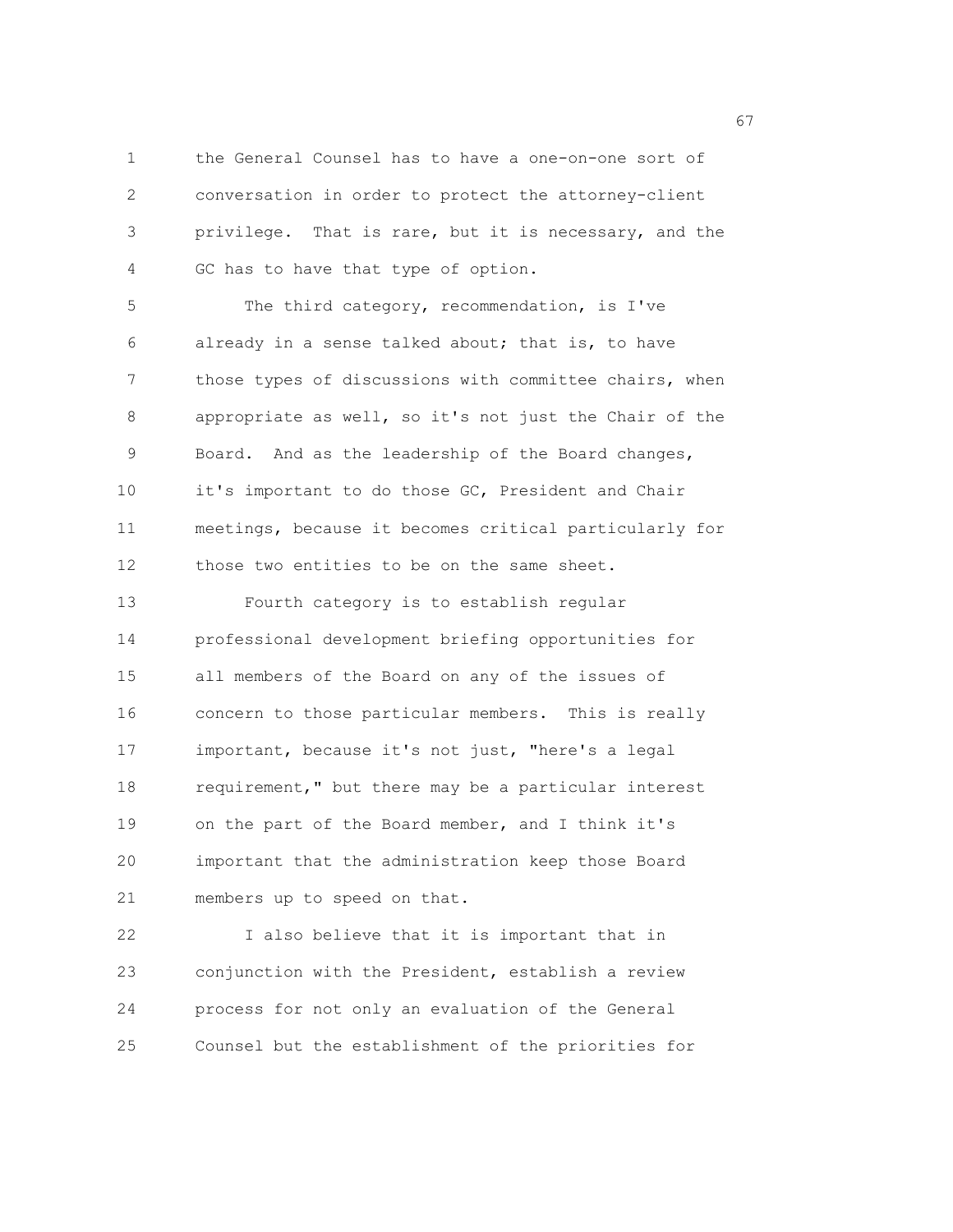1 the General Counsel has to have a one-on-one sort of 2 conversation in order to protect the attorney-client 3 privilege. That is rare, but it is necessary, and the 4 GC has to have that type of option.

5 The third category, recommendation, is I've 6 already in a sense talked about; that is, to have 7 those types of discussions with committee chairs, when 8 appropriate as well, so it's not just the Chair of the 9 Board. And as the leadership of the Board changes, 10 it's important to do those GC, President and Chair 11 meetings, because it becomes critical particularly for 12 those two entities to be on the same sheet. 13 Fourth category is to establish regular 14 professional development briefing opportunities for

15 all members of the Board on any of the issues of 16 concern to those particular members. This is really 17 important, because it's not just, "here's a legal 18 requirement," but there may be a particular interest 19 on the part of the Board member, and I think it's 20 important that the administration keep those Board 21 members up to speed on that.

22 I also believe that it is important that in 23 conjunction with the President, establish a review 24 process for not only an evaluation of the General 25 Counsel but the establishment of the priorities for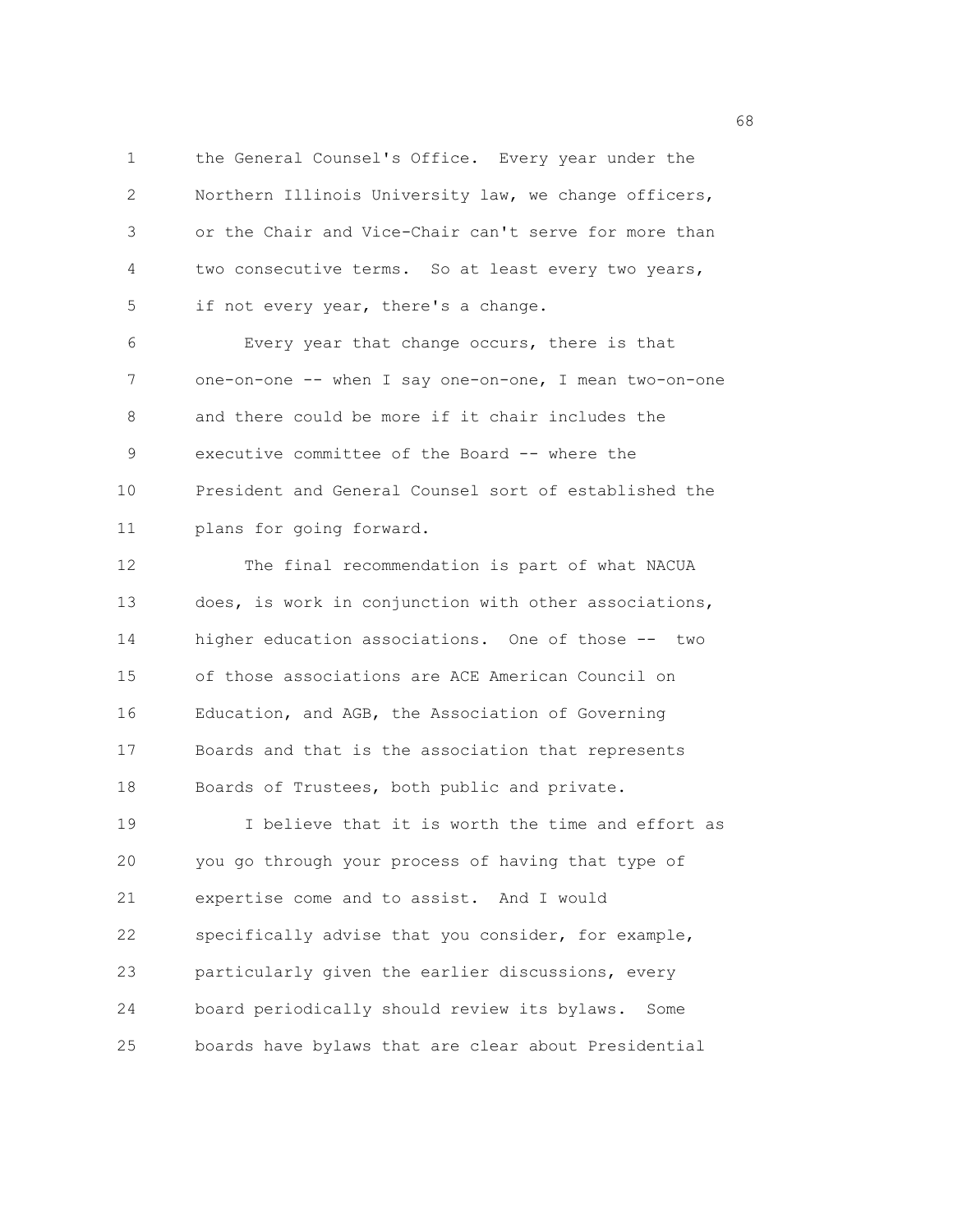1 the General Counsel's Office. Every year under the 2 Northern Illinois University law, we change officers, 3 or the Chair and Vice-Chair can't serve for more than 4 two consecutive terms. So at least every two years, 5 if not every year, there's a change.

6 Every year that change occurs, there is that 7 one-on-one -- when I say one-on-one, I mean two-on-one 8 and there could be more if it chair includes the 9 executive committee of the Board -- where the 10 President and General Counsel sort of established the 11 plans for going forward.

12 The final recommendation is part of what NACUA 13 does, is work in conjunction with other associations, 14 higher education associations. One of those -- two 15 of those associations are ACE American Council on 16 Education, and AGB, the Association of Governing 17 Boards and that is the association that represents 18 Boards of Trustees, both public and private. 19 I believe that it is worth the time and effort as 20 you go through your process of having that type of 21 expertise come and to assist. And I would 22 specifically advise that you consider, for example, 23 particularly given the earlier discussions, every 24 board periodically should review its bylaws. Some

25 boards have bylaws that are clear about Presidential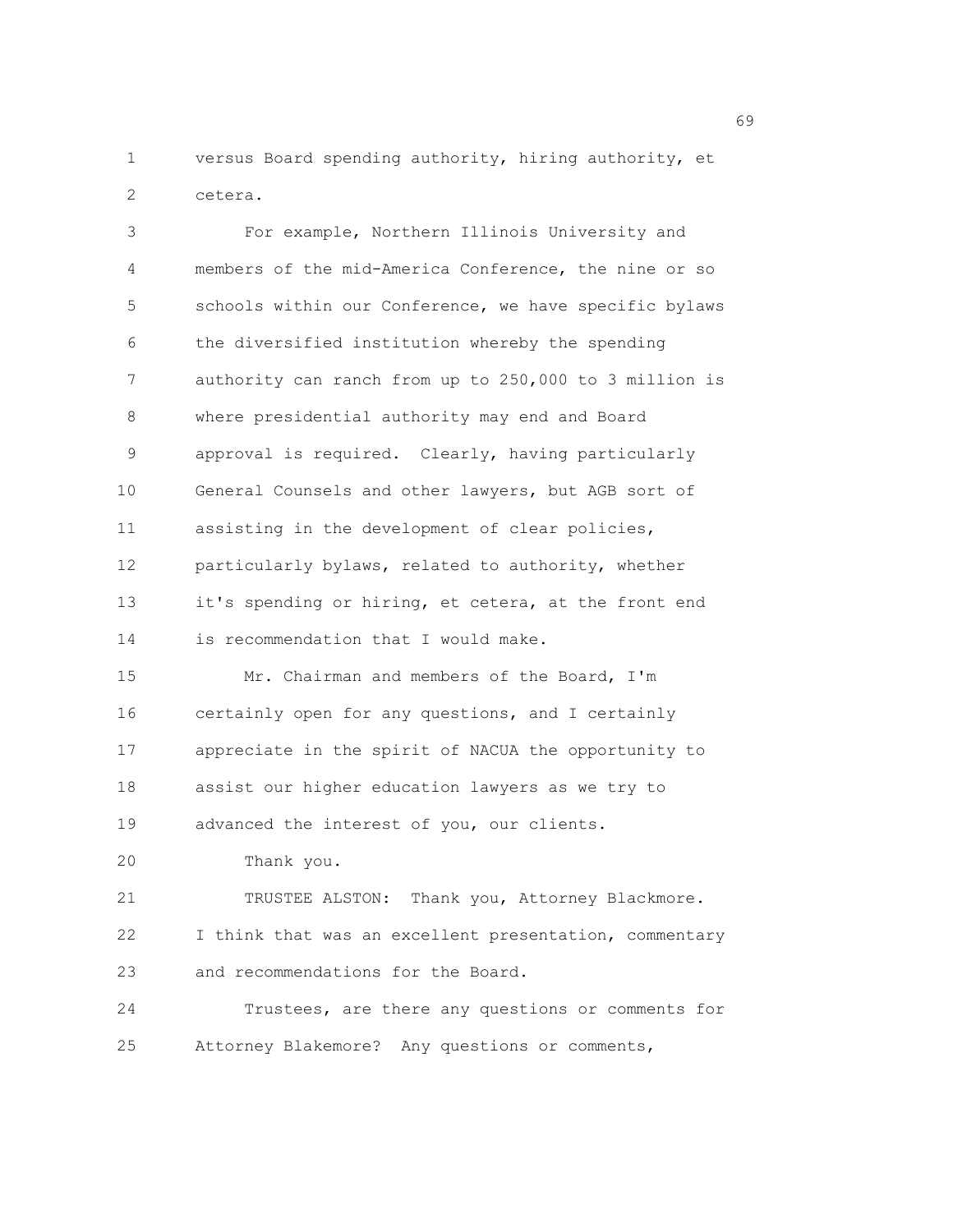1 versus Board spending authority, hiring authority, et 2 cetera.

3 For example, Northern Illinois University and 4 members of the mid-America Conference, the nine or so 5 schools within our Conference, we have specific bylaws 6 the diversified institution whereby the spending 7 authority can ranch from up to 250,000 to 3 million is 8 where presidential authority may end and Board 9 approval is required. Clearly, having particularly 10 General Counsels and other lawyers, but AGB sort of 11 assisting in the development of clear policies, 12 particularly bylaws, related to authority, whether 13 it's spending or hiring, et cetera, at the front end 14 is recommendation that I would make. 15 Mr. Chairman and members of the Board, I'm 16 certainly open for any questions, and I certainly 17 appreciate in the spirit of NACUA the opportunity to 18 assist our higher education lawyers as we try to 19 advanced the interest of you, our clients. 20 Thank you. 21 TRUSTEE ALSTON: Thank you, Attorney Blackmore. 22 I think that was an excellent presentation, commentary 23 and recommendations for the Board. 24 Trustees, are there any questions or comments for 25 Attorney Blakemore? Any questions or comments,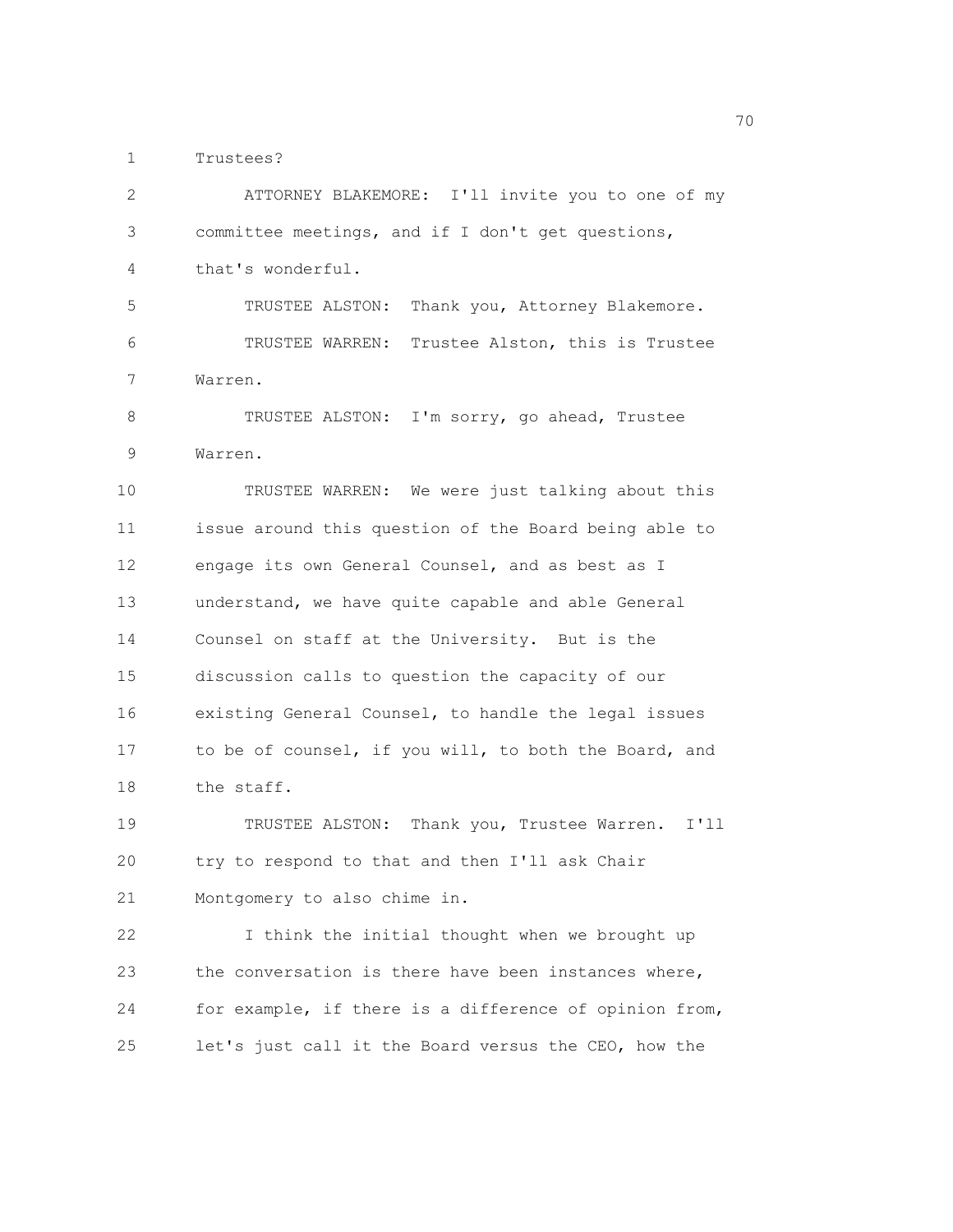1 Trustees?

| 2           | ATTORNEY BLAKEMORE: I'll invite you to one of my       |
|-------------|--------------------------------------------------------|
| 3           | committee meetings, and if I don't get questions,      |
| 4           | that's wonderful.                                      |
| 5           | TRUSTEE ALSTON:<br>Thank you, Attorney Blakemore.      |
| 6           | Trustee Alston, this is Trustee<br>TRUSTEE WARREN:     |
| 7           | Warren.                                                |
| 8           | TRUSTEE ALSTON: I'm sorry, go ahead, Trustee           |
| $\mathsf 9$ | Warren.                                                |
| 10          | TRUSTEE WARREN: We were just talking about this        |
| 11          | issue around this question of the Board being able to  |
| 12          | engage its own General Counsel, and as best as I       |
| 13          | understand, we have quite capable and able General     |
| 14          | Counsel on staff at the University. But is the         |
| 15          | discussion calls to question the capacity of our       |
| 16          | existing General Counsel, to handle the legal issues   |
| 17          | to be of counsel, if you will, to both the Board, and  |
| 18          | the staff.                                             |
| 19          | TRUSTEE ALSTON:<br>Thank you, Trustee Warren.<br>I'11  |
| 20          | try to respond to that and then I'll ask Chair         |
| 21          | Montgomery to also chime in.                           |
| 22          | I think the initial thought when we brought up         |
| 23          | the conversation is there have been instances where,   |
| 24          | for example, if there is a difference of opinion from, |
| 25          | let's just call it the Board versus the CEO, how the   |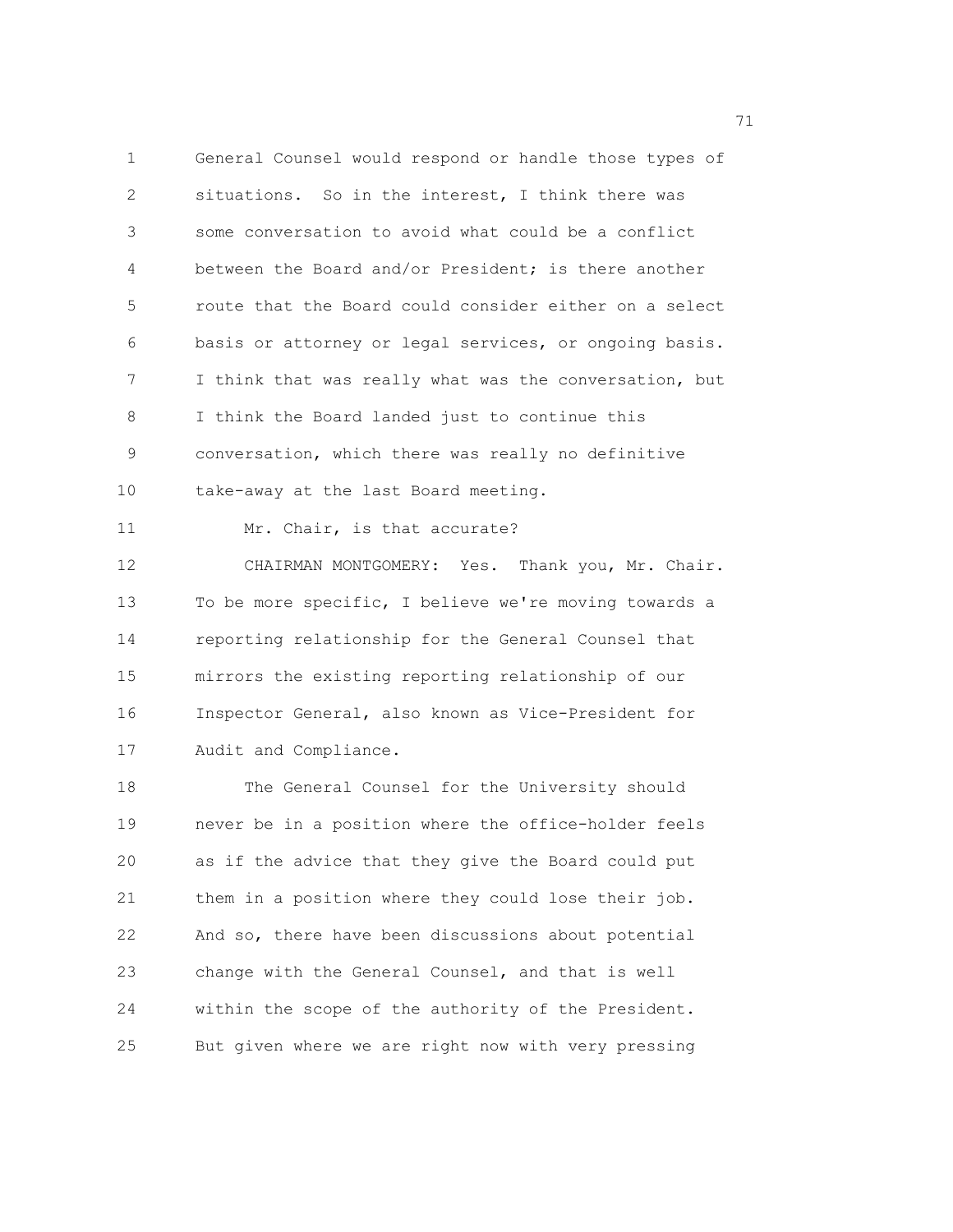1 General Counsel would respond or handle those types of 2 situations. So in the interest, I think there was 3 some conversation to avoid what could be a conflict 4 between the Board and/or President; is there another 5 route that the Board could consider either on a select 6 basis or attorney or legal services, or ongoing basis. 7 I think that was really what was the conversation, but 8 I think the Board landed just to continue this 9 conversation, which there was really no definitive 10 take-away at the last Board meeting. 11 Mr. Chair, is that accurate?

12 CHAIRMAN MONTGOMERY: Yes. Thank you, Mr. Chair. 13 To be more specific, I believe we're moving towards a 14 reporting relationship for the General Counsel that 15 mirrors the existing reporting relationship of our 16 Inspector General, also known as Vice-President for 17 Audit and Compliance.

18 The General Counsel for the University should 19 never be in a position where the office-holder feels 20 as if the advice that they give the Board could put 21 them in a position where they could lose their job. 22 And so, there have been discussions about potential 23 change with the General Counsel, and that is well 24 within the scope of the authority of the President. 25 But given where we are right now with very pressing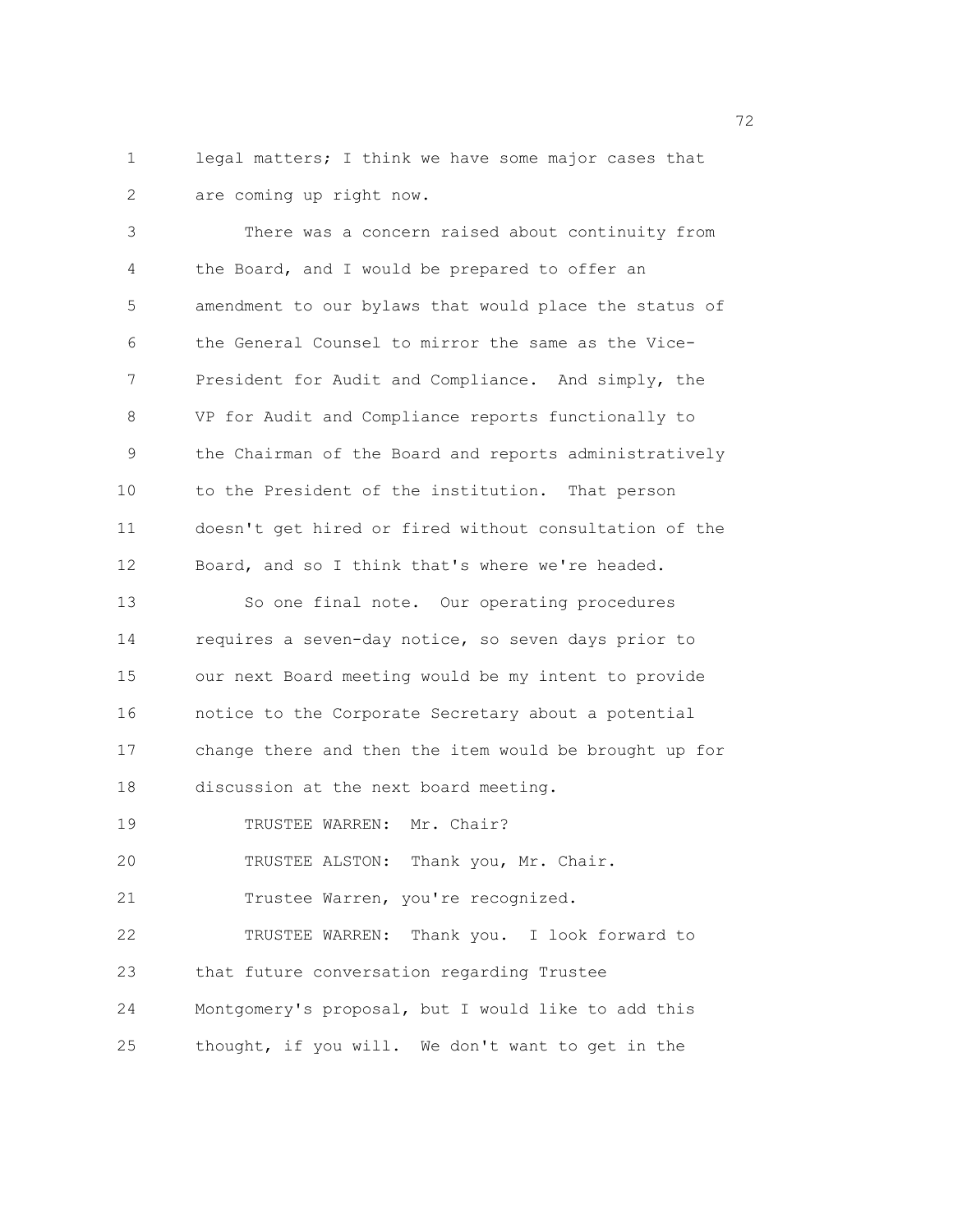1 legal matters; I think we have some major cases that 2 are coming up right now.

3 There was a concern raised about continuity from 4 the Board, and I would be prepared to offer an 5 amendment to our bylaws that would place the status of 6 the General Counsel to mirror the same as the Vice-7 President for Audit and Compliance. And simply, the 8 VP for Audit and Compliance reports functionally to 9 the Chairman of the Board and reports administratively 10 to the President of the institution. That person 11 doesn't get hired or fired without consultation of the 12 Board, and so I think that's where we're headed. 13 So one final note. Our operating procedures 14 requires a seven-day notice, so seven days prior to 15 our next Board meeting would be my intent to provide 16 notice to the Corporate Secretary about a potential 17 change there and then the item would be brought up for 18 discussion at the next board meeting. 19 TRUSTEE WARREN: Mr. Chair? 20 TRUSTEE ALSTON: Thank you, Mr. Chair. 21 Trustee Warren, you're recognized. 22 TRUSTEE WARREN: Thank you. I look forward to 23 that future conversation regarding Trustee 24 Montgomery's proposal, but I would like to add this 25 thought, if you will. We don't want to get in the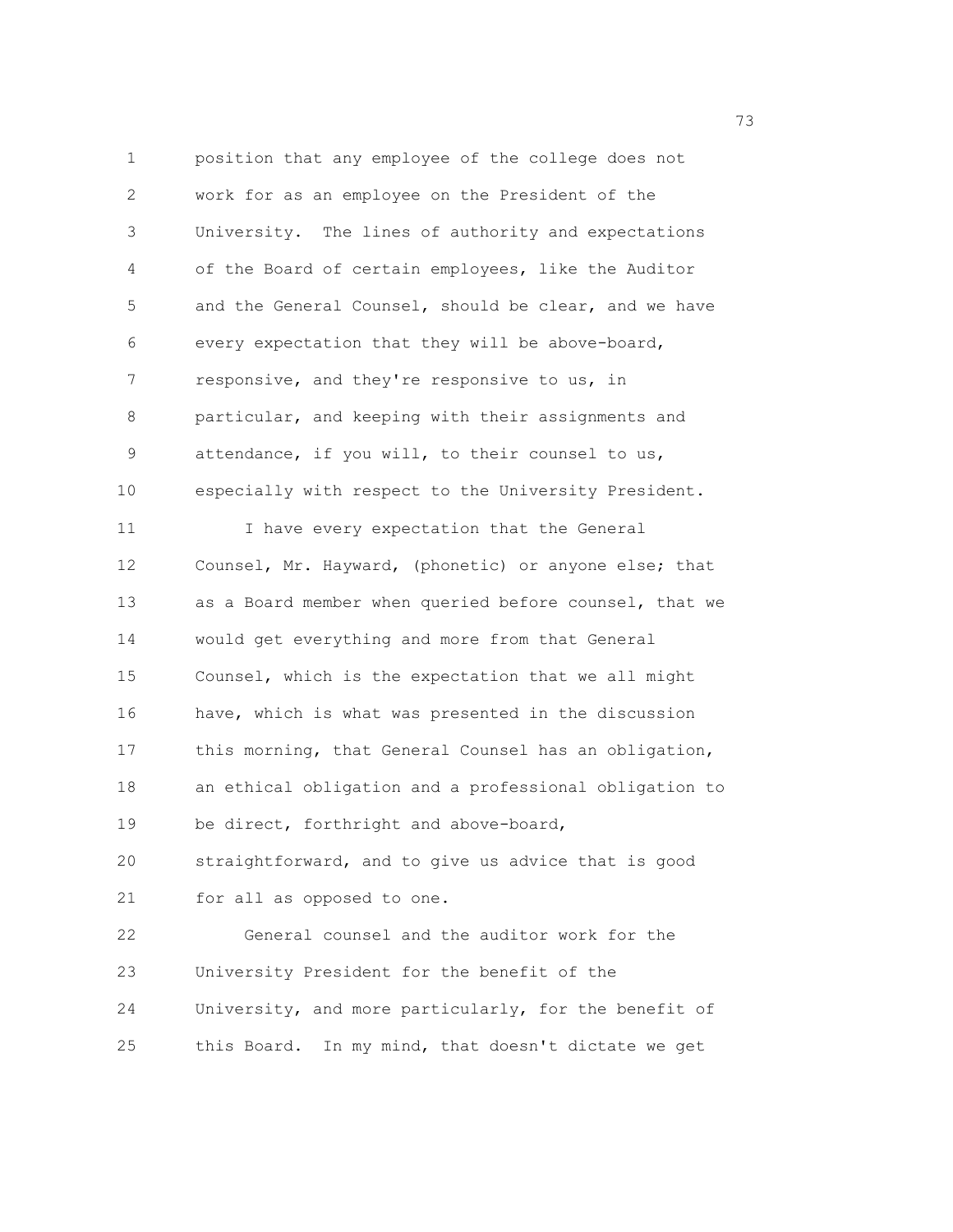1 position that any employee of the college does not 2 work for as an employee on the President of the 3 University. The lines of authority and expectations 4 of the Board of certain employees, like the Auditor 5 and the General Counsel, should be clear, and we have 6 every expectation that they will be above-board, 7 responsive, and they're responsive to us, in 8 particular, and keeping with their assignments and 9 attendance, if you will, to their counsel to us, 10 especially with respect to the University President. 11 I have every expectation that the General 12 Counsel, Mr. Hayward, (phonetic) or anyone else; that 13 as a Board member when queried before counsel, that we 14 would get everything and more from that General 15 Counsel, which is the expectation that we all might 16 have, which is what was presented in the discussion 17 this morning, that General Counsel has an obligation, 18 an ethical obligation and a professional obligation to 19 be direct, forthright and above-board, 20 straightforward, and to give us advice that is good 21 for all as opposed to one. 22 General counsel and the auditor work for the 23 University President for the benefit of the 24 University, and more particularly, for the benefit of 25 this Board. In my mind, that doesn't dictate we get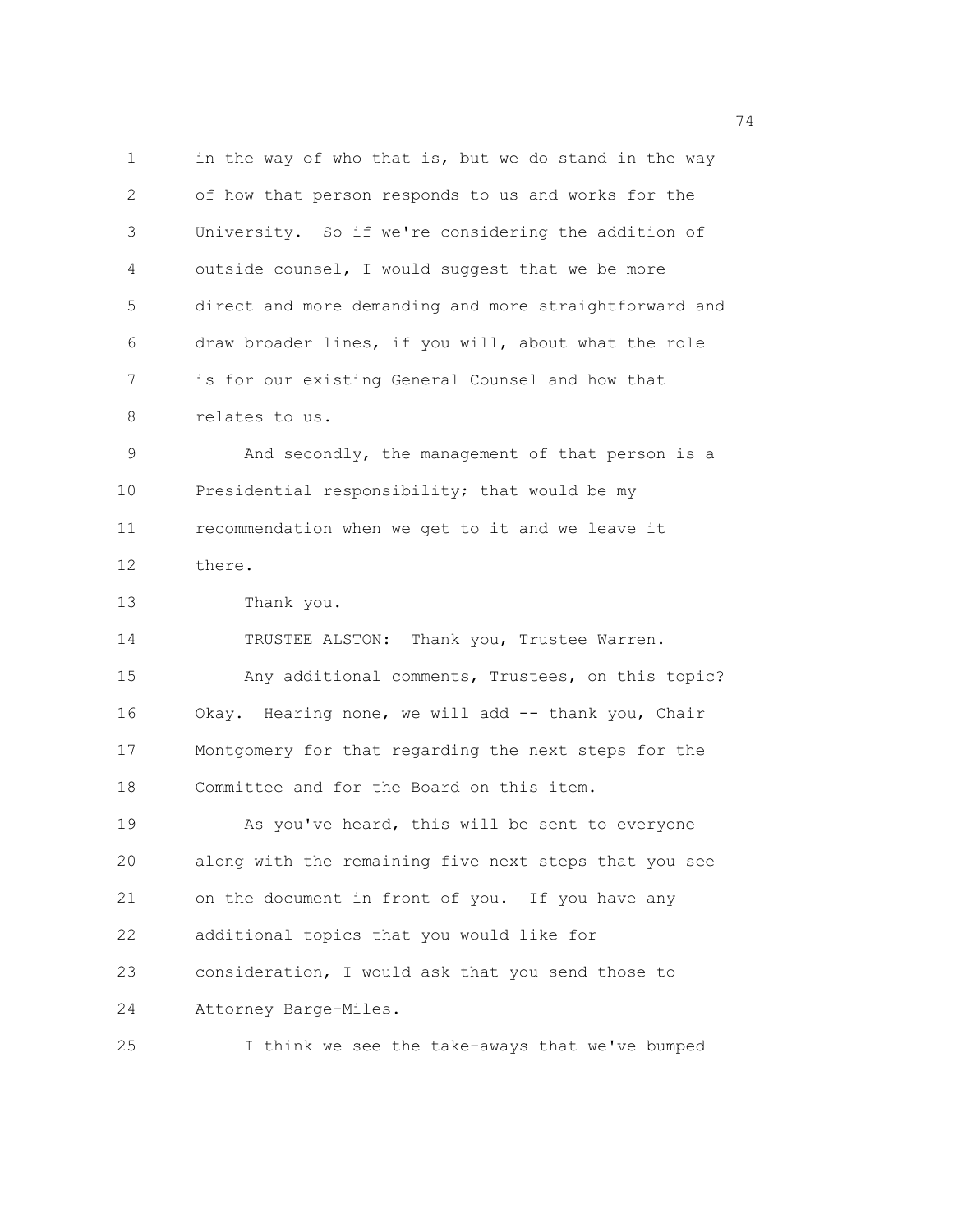1 in the way of who that is, but we do stand in the way 2 of how that person responds to us and works for the 3 University. So if we're considering the addition of 4 outside counsel, I would suggest that we be more 5 direct and more demanding and more straightforward and 6 draw broader lines, if you will, about what the role 7 is for our existing General Counsel and how that 8 relates to us. 9 And secondly, the management of that person is a 10 Presidential responsibility; that would be my 11 recommendation when we get to it and we leave it 12 there. 13 Thank you. 14 TRUSTEE ALSTON: Thank you, Trustee Warren. 15 Any additional comments, Trustees, on this topic? 16 Okay. Hearing none, we will add -- thank you, Chair 17 Montgomery for that regarding the next steps for the 18 Committee and for the Board on this item. 19 As you've heard, this will be sent to everyone 20 along with the remaining five next steps that you see 21 on the document in front of you. If you have any 22 additional topics that you would like for 23 consideration, I would ask that you send those to 24 Attorney Barge-Miles. 25 I think we see the take-aways that we've bumped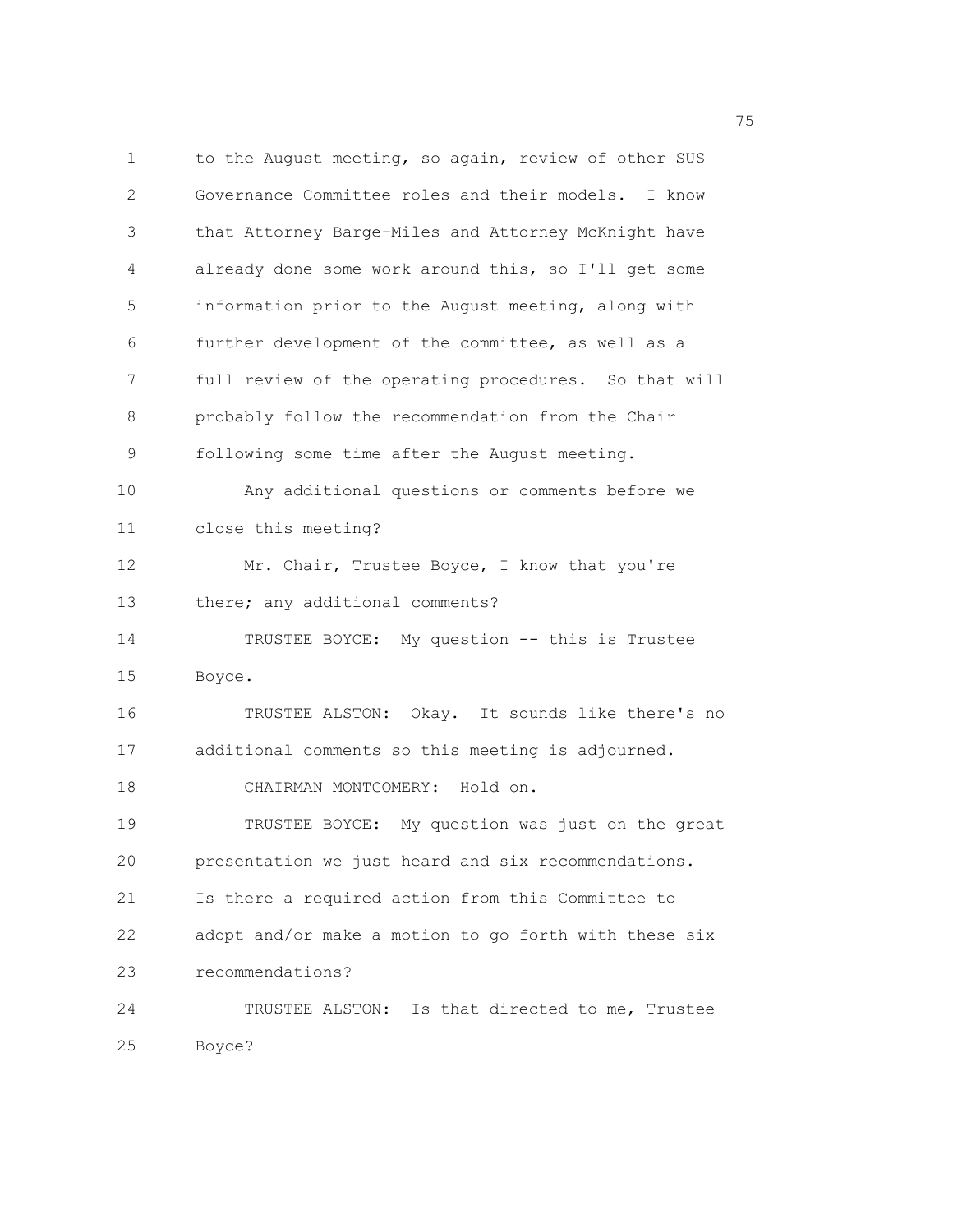1 to the August meeting, so again, review of other SUS 2 Governance Committee roles and their models. I know 3 that Attorney Barge-Miles and Attorney McKnight have 4 already done some work around this, so I'll get some 5 information prior to the August meeting, along with 6 further development of the committee, as well as a 7 full review of the operating procedures. So that will 8 probably follow the recommendation from the Chair 9 following some time after the August meeting. 10 Any additional questions or comments before we 11 close this meeting? 12 Mr. Chair, Trustee Boyce, I know that you're 13 there; any additional comments? 14 TRUSTEE BOYCE: My question -- this is Trustee 15 Boyce. 16 TRUSTEE ALSTON: Okay. It sounds like there's no 17 additional comments so this meeting is adjourned. 18 CHAIRMAN MONTGOMERY: Hold on. 19 TRUSTEE BOYCE: My question was just on the great 20 presentation we just heard and six recommendations. 21 Is there a required action from this Committee to 22 adopt and/or make a motion to go forth with these six 23 recommendations? 24 TRUSTEE ALSTON: Is that directed to me, Trustee 25 Boyce?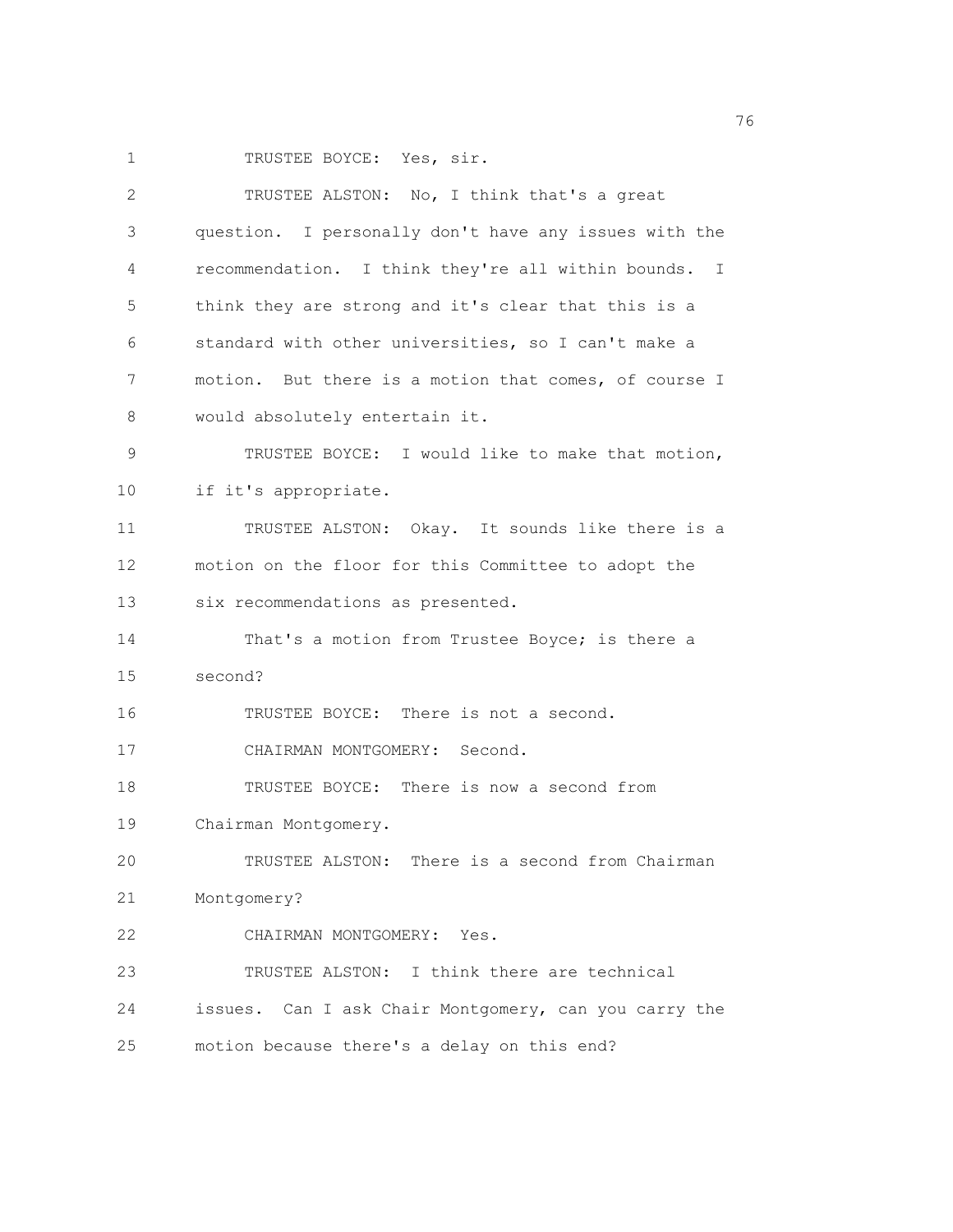1 TRUSTEE BOYCE: Yes, sir.

| 2  | TRUSTEE ALSTON: No, I think that's a great            |
|----|-------------------------------------------------------|
| 3  | question. I personally don't have any issues with the |
| 4  | recommendation. I think they're all within bounds. I  |
| 5  | think they are strong and it's clear that this is a   |
| 6  | standard with other universities, so I can't make a   |
| 7  | motion. But there is a motion that comes, of course I |
| 8  | would absolutely entertain it.                        |
| 9  | TRUSTEE BOYCE: I would like to make that motion,      |
| 10 | if it's appropriate.                                  |
| 11 | TRUSTEE ALSTON: Okay. It sounds like there is a       |
| 12 | motion on the floor for this Committee to adopt the   |
| 13 | six recommendations as presented.                     |
| 14 | That's a motion from Trustee Boyce; is there a        |
| 15 | second?                                               |
| 16 | TRUSTEE BOYCE: There is not a second.                 |
| 17 | CHAIRMAN MONTGOMERY: Second.                          |
| 18 | TRUSTEE BOYCE: There is now a second from             |
| 19 | Chairman Montgomery.                                  |
| 20 | TRUSTEE ALSTON: There is a second from Chairman       |
| 21 | Montgomery?                                           |
| 22 | CHAIRMAN MONTGOMERY: Yes.                             |
| 23 | TRUSTEE ALSTON: I think there are technical           |
| 24 | issues. Can I ask Chair Montgomery, can you carry the |
| 25 | motion because there's a delay on this end?           |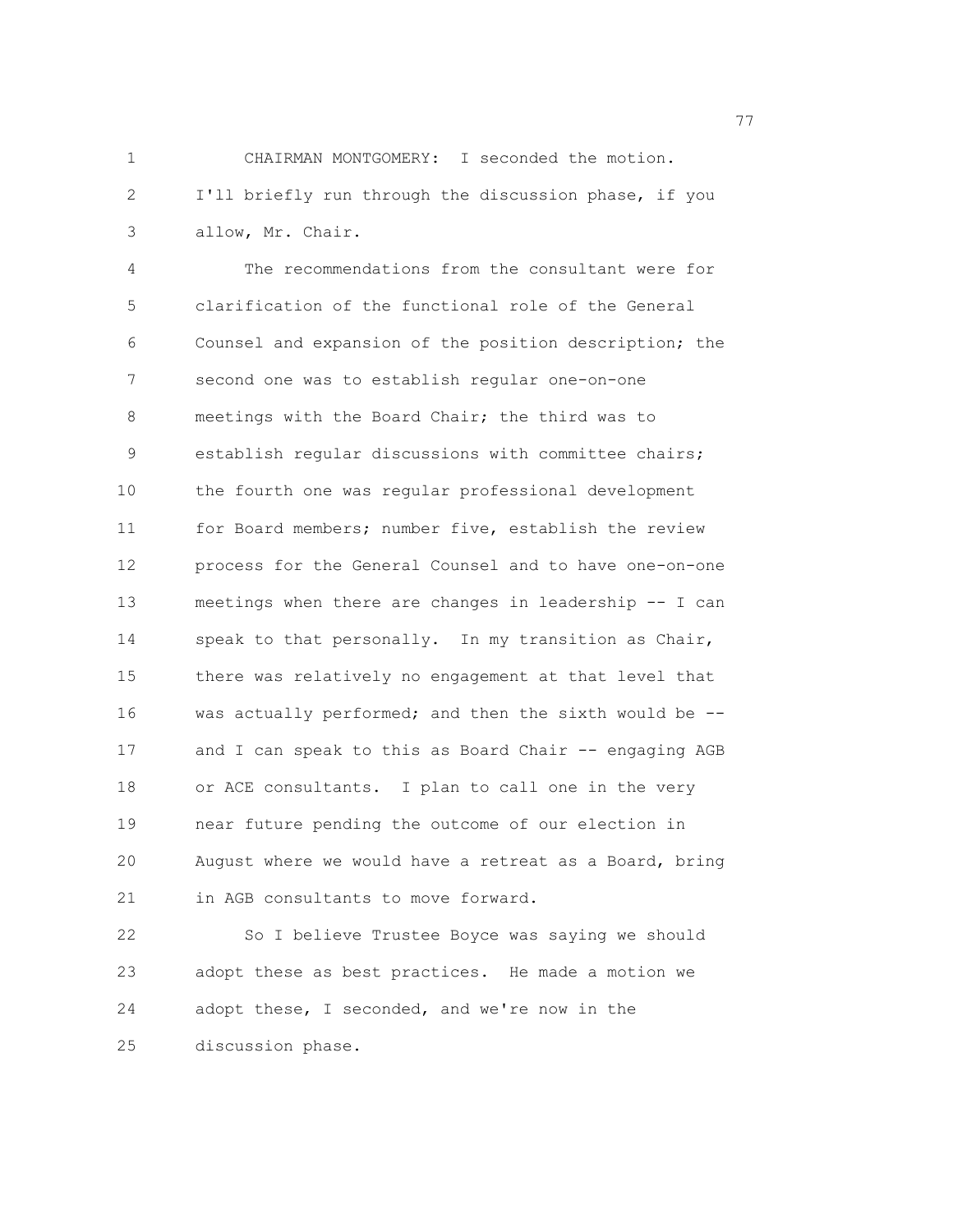1 CHAIRMAN MONTGOMERY: I seconded the motion. 2 I'll briefly run through the discussion phase, if you 3 allow, Mr. Chair.

4 The recommendations from the consultant were for 5 clarification of the functional role of the General 6 Counsel and expansion of the position description; the 7 second one was to establish regular one-on-one 8 meetings with the Board Chair; the third was to 9 establish regular discussions with committee chairs; 10 the fourth one was regular professional development 11 for Board members; number five, establish the review 12 process for the General Counsel and to have one-on-one 13 meetings when there are changes in leadership -- I can 14 speak to that personally. In my transition as Chair, 15 there was relatively no engagement at that level that 16 was actually performed; and then the sixth would be -- 17 and I can speak to this as Board Chair -- engaging AGB 18 or ACE consultants. I plan to call one in the very 19 near future pending the outcome of our election in 20 August where we would have a retreat as a Board, bring 21 in AGB consultants to move forward.

22 So I believe Trustee Boyce was saying we should 23 adopt these as best practices. He made a motion we 24 adopt these, I seconded, and we're now in the 25 discussion phase.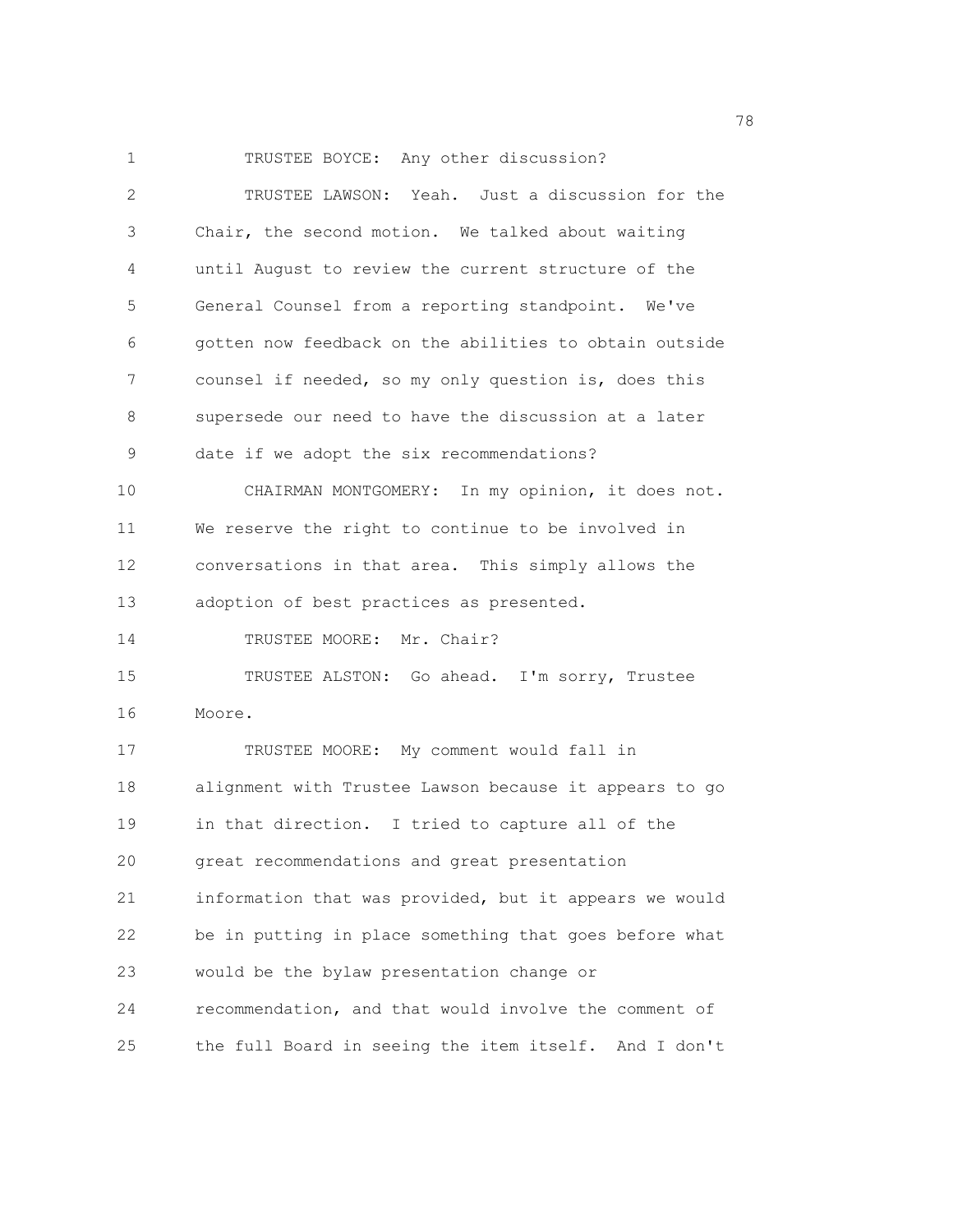1 TRUSTEE BOYCE: Any other discussion? 2 TRUSTEE LAWSON: Yeah. Just a discussion for the 3 Chair, the second motion. We talked about waiting 4 until August to review the current structure of the 5 General Counsel from a reporting standpoint. We've 6 gotten now feedback on the abilities to obtain outside 7 counsel if needed, so my only question is, does this 8 supersede our need to have the discussion at a later 9 date if we adopt the six recommendations? 10 CHAIRMAN MONTGOMERY: In my opinion, it does not. 11 We reserve the right to continue to be involved in 12 conversations in that area. This simply allows the 13 adoption of best practices as presented. 14 TRUSTEE MOORE: Mr. Chair? 15 TRUSTEE ALSTON: Go ahead. I'm sorry, Trustee 16 Moore. 17 TRUSTEE MOORE: My comment would fall in 18 alignment with Trustee Lawson because it appears to go 19 in that direction. I tried to capture all of the 20 great recommendations and great presentation 21 information that was provided, but it appears we would 22 be in putting in place something that goes before what 23 would be the bylaw presentation change or 24 recommendation, and that would involve the comment of 25 the full Board in seeing the item itself. And I don't

na matsay na matsay na matsay na matsay na matsay na matsay na matsay na matsay na matsay na matsay na matsay<br>Matsay na matsay na matsay na matsay na matsay na matsay na matsay na matsay na matsay na matsay na matsay na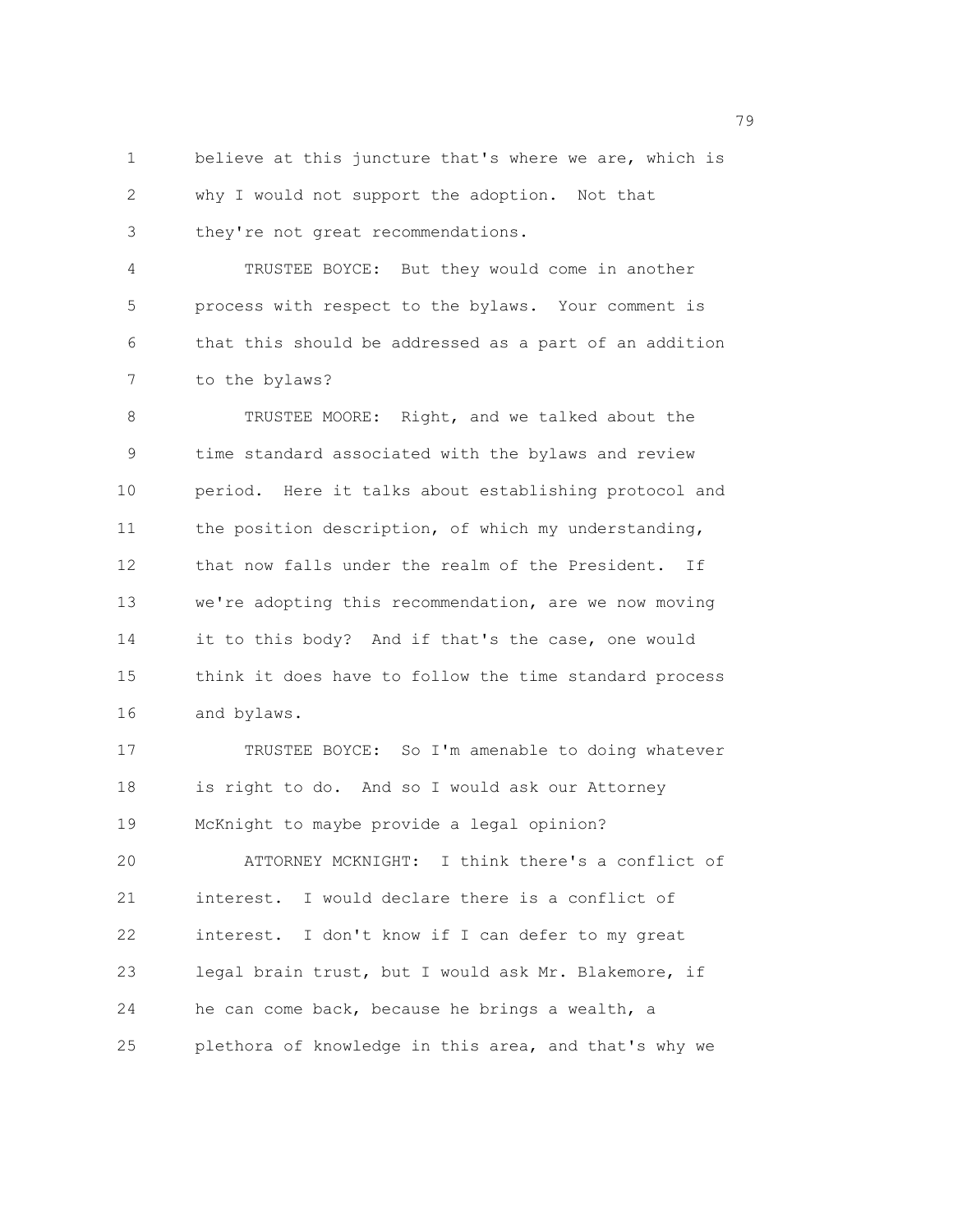1 believe at this juncture that's where we are, which is 2 why I would not support the adoption. Not that 3 they're not great recommendations.

4 TRUSTEE BOYCE: But they would come in another 5 process with respect to the bylaws. Your comment is 6 that this should be addressed as a part of an addition 7 to the bylaws?

8 TRUSTEE MOORE: Right, and we talked about the 9 time standard associated with the bylaws and review 10 period. Here it talks about establishing protocol and 11 the position description, of which my understanding, 12 that now falls under the realm of the President. If 13 we're adopting this recommendation, are we now moving 14 it to this body? And if that's the case, one would 15 think it does have to follow the time standard process 16 and bylaws.

17 TRUSTEE BOYCE: So I'm amenable to doing whatever 18 is right to do. And so I would ask our Attorney 19 McKnight to maybe provide a legal opinion? 20 ATTORNEY MCKNIGHT: I think there's a conflict of 21 interest. I would declare there is a conflict of 22 interest. I don't know if I can defer to my great 23 legal brain trust, but I would ask Mr. Blakemore, if 24 he can come back, because he brings a wealth, a

25 plethora of knowledge in this area, and that's why we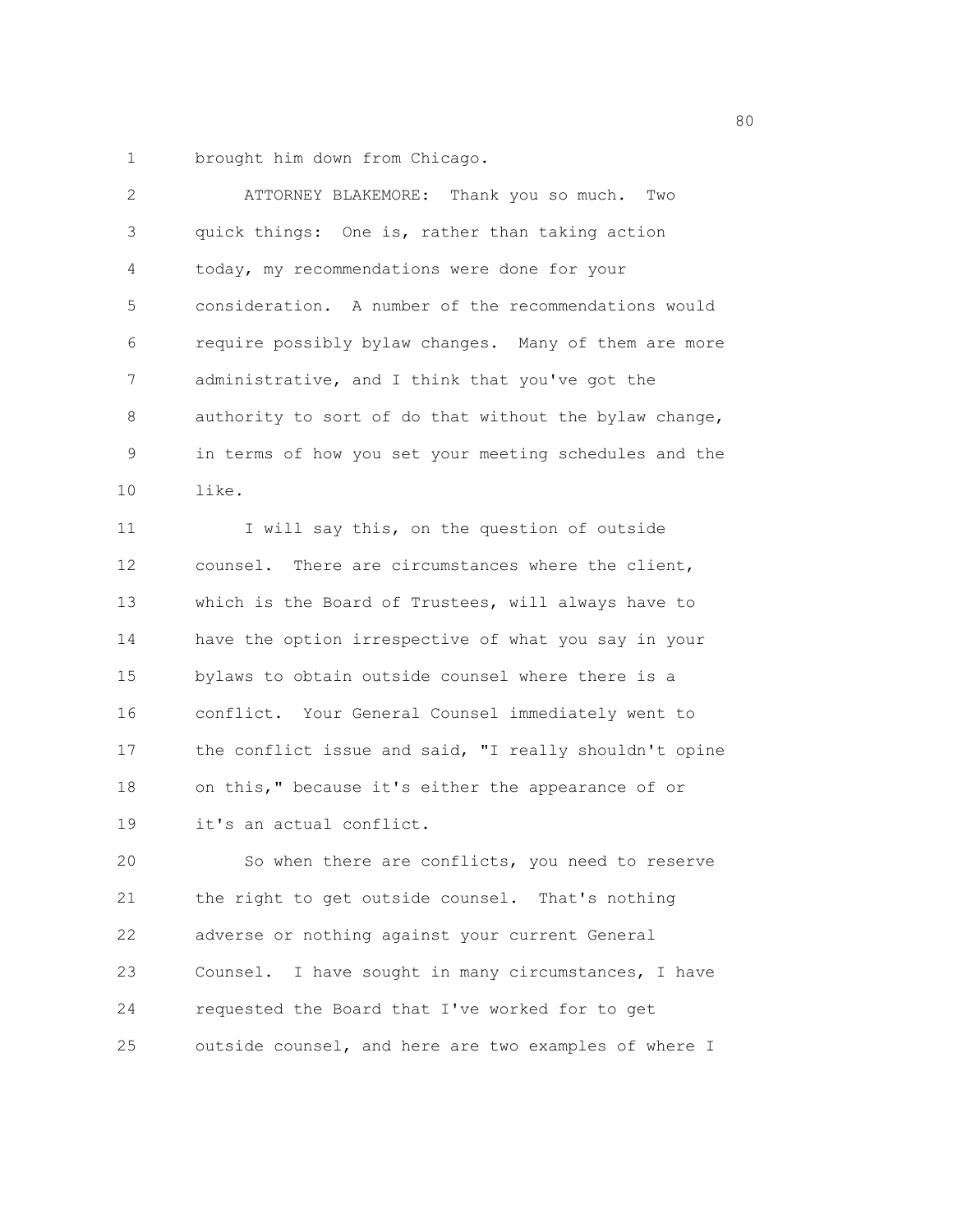1 brought him down from Chicago.

| $\overline{2}$ | ATTORNEY BLAKEMORE: Thank you so much. Two             |
|----------------|--------------------------------------------------------|
| 3              | quick things: One is, rather than taking action        |
| 4              | today, my recommendations were done for your           |
| 5              | consideration. A number of the recommendations would   |
| 6              | require possibly bylaw changes. Many of them are more  |
| 7              | administrative, and I think that you've got the        |
| 8              | authority to sort of do that without the bylaw change, |
| 9              | in terms of how you set your meeting schedules and the |
| 10             | like.                                                  |
| 11             | I will say this, on the question of outside            |
| 12             | counsel. There are circumstances where the client,     |
| 13             | which is the Board of Trustees, will always have to    |
| 14             | have the option irrespective of what you say in your   |
| 15             | bylaws to obtain outside counsel where there is a      |
| 16             | conflict. Your General Counsel immediately went to     |
| 17             | the conflict issue and said, "I really shouldn't opine |
| 18             | on this," because it's either the appearance of or     |
| 19             | it's an actual conflict.                               |
| 20             | So when there are conflicts, you need to reserve       |
| 21             | the right to get outside counsel. That's nothing       |
| 22             | adverse or nothing against your current General        |
| 23             | Counsel. I have sought in many circumstances, I have   |
| 24             | requested the Board that I've worked for to get        |
| 25             | outside counsel, and here are two examples of where I  |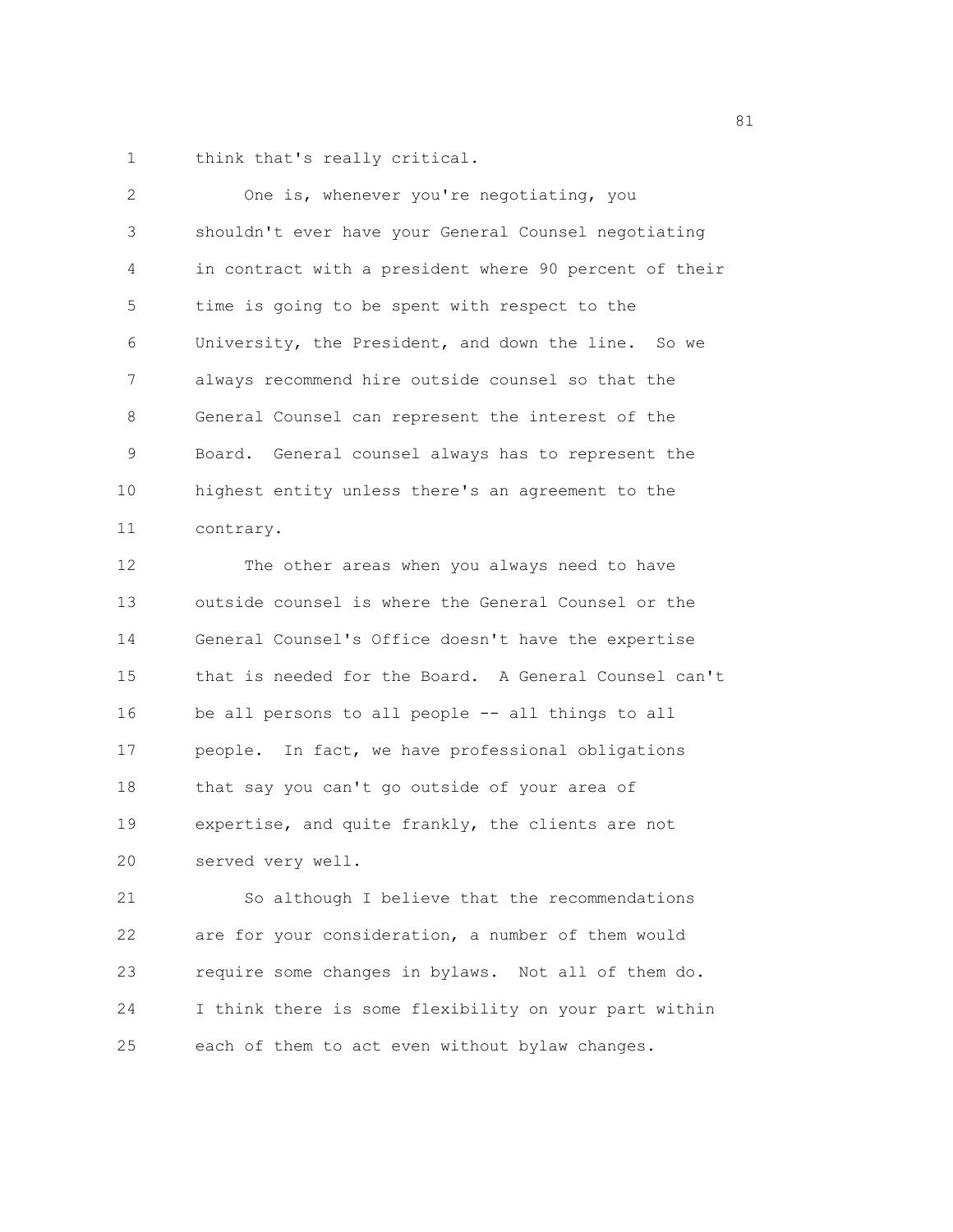1 think that's really critical.

| $\overline{2}$ | One is, whenever you're negotiating, you               |
|----------------|--------------------------------------------------------|
| 3              | shouldn't ever have your General Counsel negotiating   |
| 4              | in contract with a president where 90 percent of their |
| 5              | time is going to be spent with respect to the          |
| 6              | University, the President, and down the line. So we    |
| 7              | always recommend hire outside counsel so that the      |
| 8              | General Counsel can represent the interest of the      |
| 9              | Board. General counsel always has to represent the     |
| 10             | highest entity unless there's an agreement to the      |
| 11             | contrary.                                              |
| 12             | The other areas when you always need to have           |
| 13             | outside counsel is where the General Counsel or the    |
| 14             | General Counsel's Office doesn't have the expertise    |
| 15             | that is needed for the Board. A General Counsel can't  |
| 16             | be all persons to all people -- all things to all      |
| 17             | people. In fact, we have professional obligations      |
| 18             | that say you can't go outside of your area of          |
| 19             | expertise, and quite frankly, the clients are not      |
| 20             | served very well.                                      |

21 So although I believe that the recommendations 22 are for your consideration, a number of them would 23 require some changes in bylaws. Not all of them do. 24 I think there is some flexibility on your part within 25 each of them to act even without bylaw changes.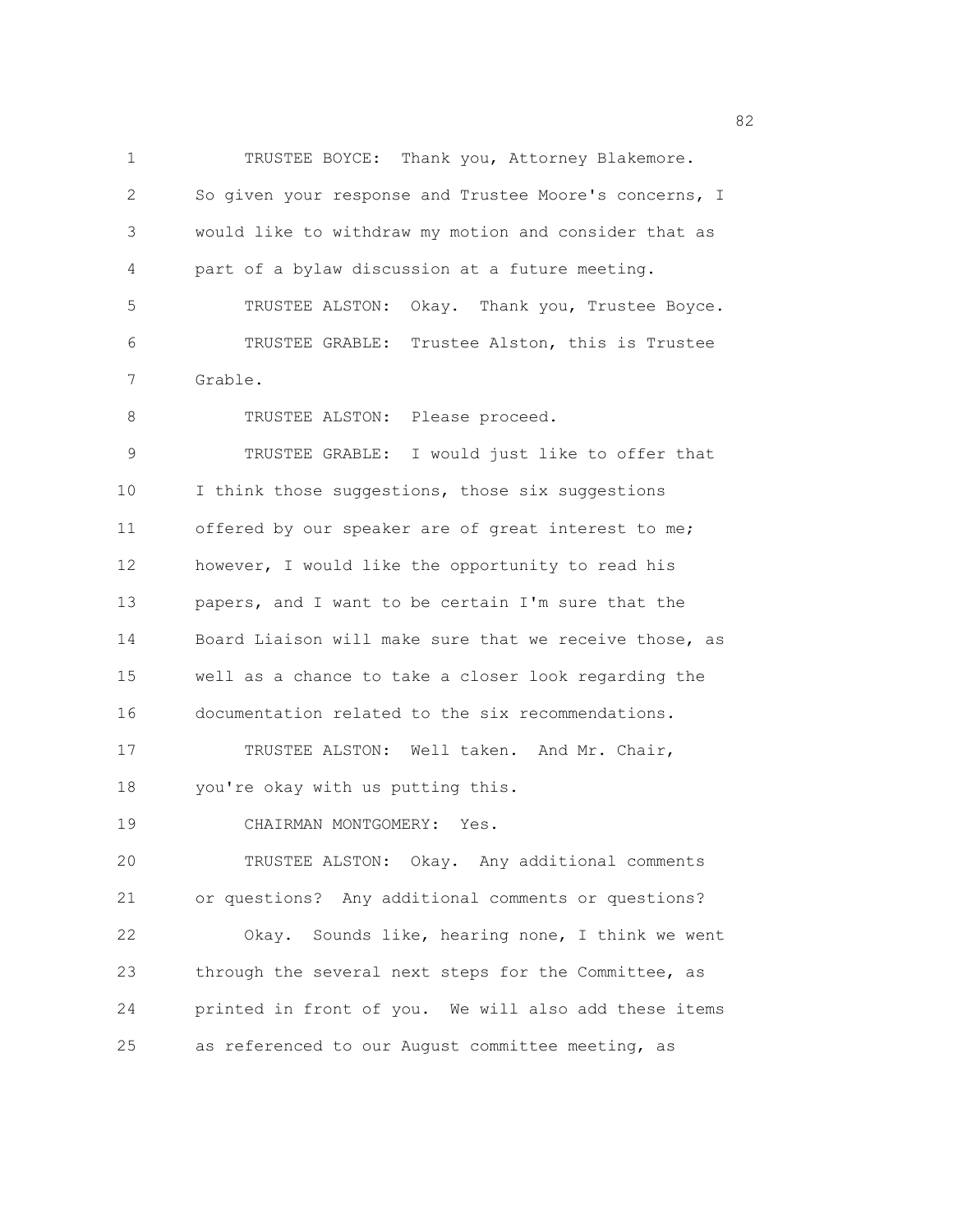1 TRUSTEE BOYCE: Thank you, Attorney Blakemore. 2 So given your response and Trustee Moore's concerns, I 3 would like to withdraw my motion and consider that as 4 part of a bylaw discussion at a future meeting. 5 TRUSTEE ALSTON: Okay. Thank you, Trustee Boyce. 6 TRUSTEE GRABLE: Trustee Alston, this is Trustee 7 Grable. 8 TRUSTEE ALSTON: Please proceed. 9 TRUSTEE GRABLE: I would just like to offer that 10 I think those suggestions, those six suggestions 11 offered by our speaker are of great interest to me; 12 however, I would like the opportunity to read his 13 papers, and I want to be certain I'm sure that the 14 Board Liaison will make sure that we receive those, as 15 well as a chance to take a closer look regarding the 16 documentation related to the six recommendations. 17 TRUSTEE ALSTON: Well taken. And Mr. Chair, 18 you're okay with us putting this. 19 CHAIRMAN MONTGOMERY: Yes. 20 TRUSTEE ALSTON: Okay. Any additional comments 21 or questions? Any additional comments or questions? 22 Okay. Sounds like, hearing none, I think we went 23 through the several next steps for the Committee, as 24 printed in front of you. We will also add these items 25 as referenced to our August committee meeting, as

en and the state of the state of the state of the state of the state of the state of the state of the state of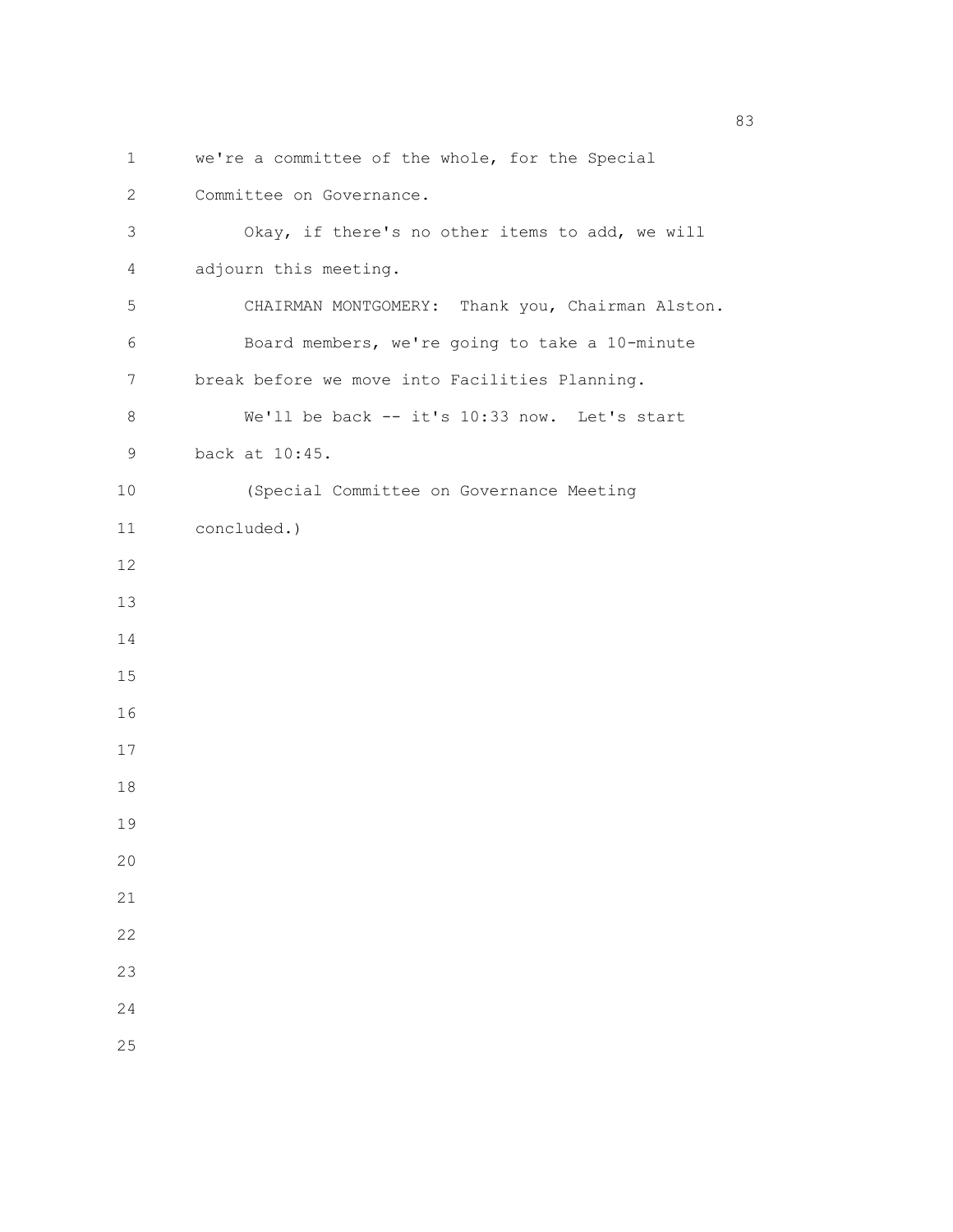```
1 we're a committee of the whole, for the Special 
2 Committee on Governance. 
 3 Okay, if there's no other items to add, we will 
 4 adjourn this meeting. 
 5 CHAIRMAN MONTGOMERY: Thank you, Chairman Alston. 
 6 Board members, we're going to take a 10-minute 
7 break before we move into Facilities Planning. 
8 We'll be back -- it's 10:33 now. Let's start 
9 back at 10:45.
10 (Special Committee on Governance Meeting 
11 concluded.)
12 
13 
14 
15 
16 
17 
18 
19 
20 
21 
22 
23 
24
```